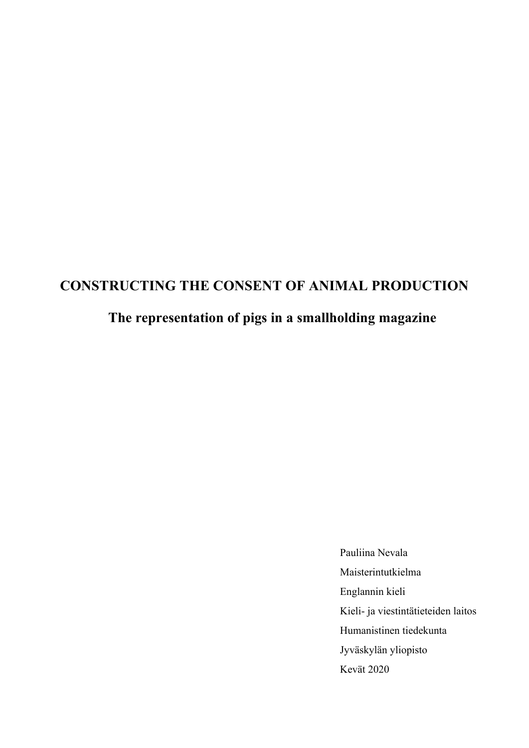# **CONSTRUCTING THE CONSENT OF ANIMAL PRODUCTION**

# **The representation of pigs in a smallholding magazine**

Pauliina Nevala Maisterintutkielma Englannin kieli Kieli- ja viestintätieteiden laitos Humanistinen tiedekunta Jyväskylän yliopisto Kevät 2020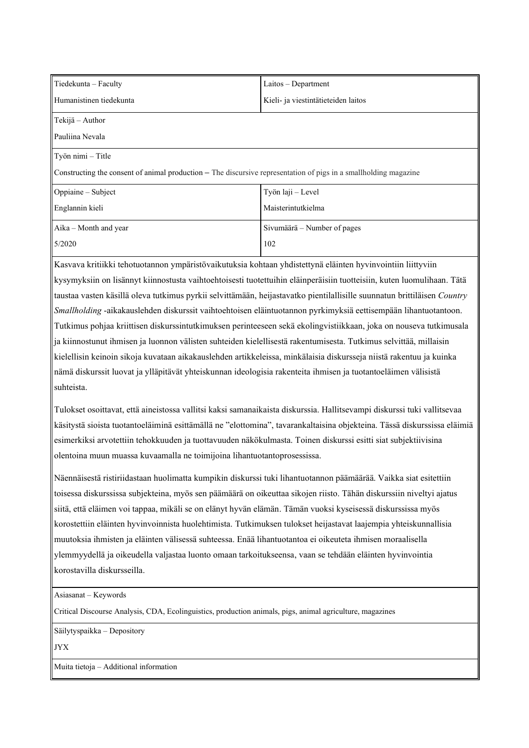| Tiedekunta – Faculty                                                                                             | Laitos – Department                 |  |  |  |  |  |
|------------------------------------------------------------------------------------------------------------------|-------------------------------------|--|--|--|--|--|
| Humanistinen tiedekunta                                                                                          | Kieli- ja viestintätieteiden laitos |  |  |  |  |  |
| Tekijä – Author                                                                                                  |                                     |  |  |  |  |  |
| Pauliina Nevala                                                                                                  |                                     |  |  |  |  |  |
| Työn nimi – Title                                                                                                |                                     |  |  |  |  |  |
| Constructing the consent of animal production – The discursive representation of pigs in a smallholding magazine |                                     |  |  |  |  |  |
| Oppiaine - Subject                                                                                               | Työn laji – Level                   |  |  |  |  |  |
| Englannin kieli                                                                                                  | Maisterintutkielma                  |  |  |  |  |  |
| $A$ ika – Month and year                                                                                         | Sivumäärä – Number of pages         |  |  |  |  |  |
| 5/2020                                                                                                           | 102                                 |  |  |  |  |  |

Kasvava kritiikki tehotuotannon ympäristövaikutuksia kohtaan yhdistettynä eläinten hyvinvointiin liittyviin kysymyksiin on lisännyt kiinnostusta vaihtoehtoisesti tuotettuihin eläinperäisiin tuotteisiin, kuten luomulihaan. Tätä taustaa vasten käsillä oleva tutkimus pyrkii selvittämään, heijastavatko pientilallisille suunnatun brittiläisen *Country Smallholding* -aikakauslehden diskurssit vaihtoehtoisen eläintuotannon pyrkimyksiä eettisempään lihantuotantoon. Tutkimus pohjaa kriittisen diskurssintutkimuksen perinteeseen sekä ekolingvistiikkaan, joka on nouseva tutkimusala ja kiinnostunut ihmisen ja luonnon välisten suhteiden kielellisestä rakentumisesta. Tutkimus selvittää, millaisin kielellisin keinoin sikoja kuvataan aikakauslehden artikkeleissa, minkälaisia diskursseja niistä rakentuu ja kuinka nämä diskurssit luovat ja ylläpitävät yhteiskunnan ideologisia rakenteita ihmisen ja tuotantoeläimen välisistä suhteista.

Tulokset osoittavat, että aineistossa vallitsi kaksi samanaikaista diskurssia. Hallitsevampi diskurssi tuki vallitsevaa käsitystä sioista tuotantoeläiminä esittämällä ne "elottomina", tavarankaltaisina objekteina. Tässä diskurssissa eläimiä esimerkiksi arvotettiin tehokkuuden ja tuottavuuden näkökulmasta. Toinen diskurssi esitti siat subjektiivisina olentoina muun muassa kuvaamalla ne toimijoina lihantuotantoprosessissa.

Näennäisestä ristiriidastaan huolimatta kumpikin diskurssi tuki lihantuotannon päämäärää. Vaikka siat esitettiin toisessa diskurssissa subjekteina, myös sen päämäärä on oikeuttaa sikojen riisto. Tähän diskurssiin niveltyi ajatus siitä, että eläimen voi tappaa, mikäli se on elänyt hyvän elämän. Tämän vuoksi kyseisessä diskurssissa myös korostettiin eläinten hyvinvoinnista huolehtimista. Tutkimuksen tulokset heijastavat laajempia yhteiskunnallisia muutoksia ihmisten ja eläinten välisessä suhteessa. Enää lihantuotantoa ei oikeuteta ihmisen moraalisella ylemmyydellä ja oikeudella valjastaa luonto omaan tarkoitukseensa, vaan se tehdään eläinten hyvinvointia korostavilla diskursseilla.

Asiasanat – Keywords

Critical Discourse Analysis, CDA, Ecolinguistics, production animals, pigs, animal agriculture, magazines

Säilytyspaikka – Depository

JYX

Muita tietoja – Additional information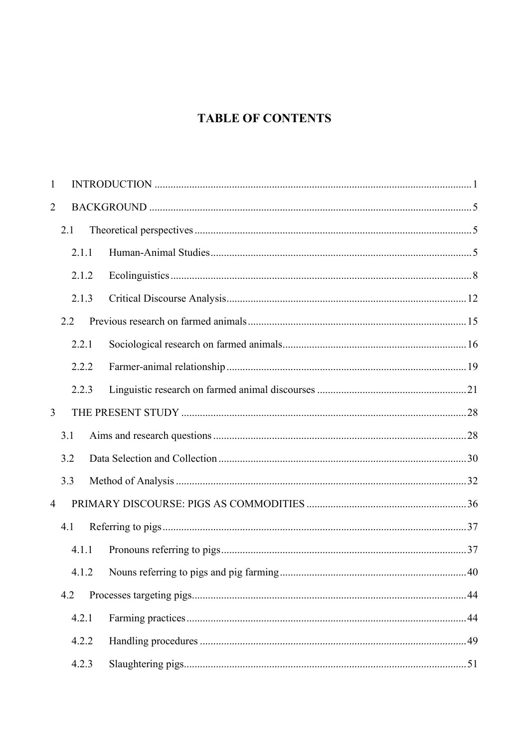# **TABLE OF CONTENTS**

| $\mathbf{1}$   |       |       |  |  |  |  |  |
|----------------|-------|-------|--|--|--|--|--|
| $\overline{2}$ |       |       |  |  |  |  |  |
|                | 2.1   |       |  |  |  |  |  |
|                |       | 2.1.1 |  |  |  |  |  |
|                |       | 2.1.2 |  |  |  |  |  |
|                |       | 2.1.3 |  |  |  |  |  |
|                | 2.2   |       |  |  |  |  |  |
|                |       | 2.2.1 |  |  |  |  |  |
|                |       | 2.2.2 |  |  |  |  |  |
|                | 2.2.3 |       |  |  |  |  |  |
| 3              |       |       |  |  |  |  |  |
|                | 3.1   |       |  |  |  |  |  |
|                | 3.2   |       |  |  |  |  |  |
|                | 3.3   |       |  |  |  |  |  |
| $\overline{4}$ |       |       |  |  |  |  |  |
| 4.1            |       |       |  |  |  |  |  |
| 4.1.1          |       |       |  |  |  |  |  |
|                |       |       |  |  |  |  |  |
|                | 4.2   |       |  |  |  |  |  |
|                |       | 4.2.1 |  |  |  |  |  |
|                |       | 4.2.2 |  |  |  |  |  |
|                |       | 4.2.3 |  |  |  |  |  |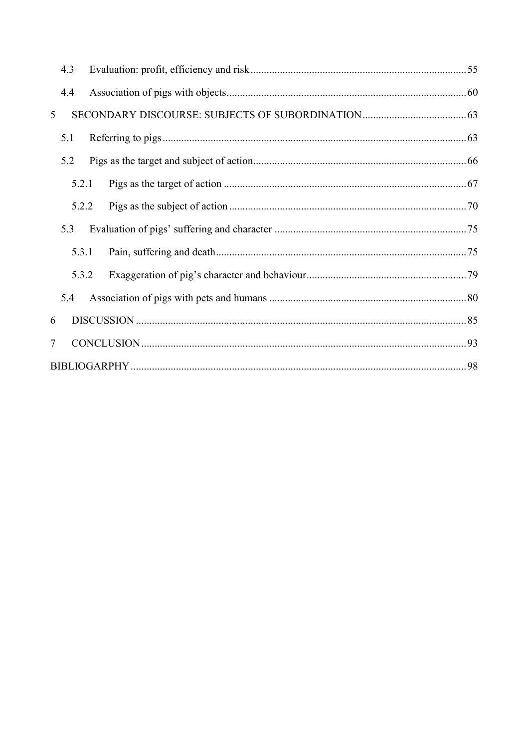|                | 4.3   |  |  |  |
|----------------|-------|--|--|--|
|                | 4.4   |  |  |  |
| 5              |       |  |  |  |
|                | 5.1   |  |  |  |
|                | 5.2   |  |  |  |
|                | 5.2.1 |  |  |  |
|                | 5.2.2 |  |  |  |
|                | 5.3   |  |  |  |
|                | 5.3.1 |  |  |  |
|                | 5.3.2 |  |  |  |
|                | 5.4   |  |  |  |
| 6              |       |  |  |  |
| $\overline{7}$ |       |  |  |  |
|                |       |  |  |  |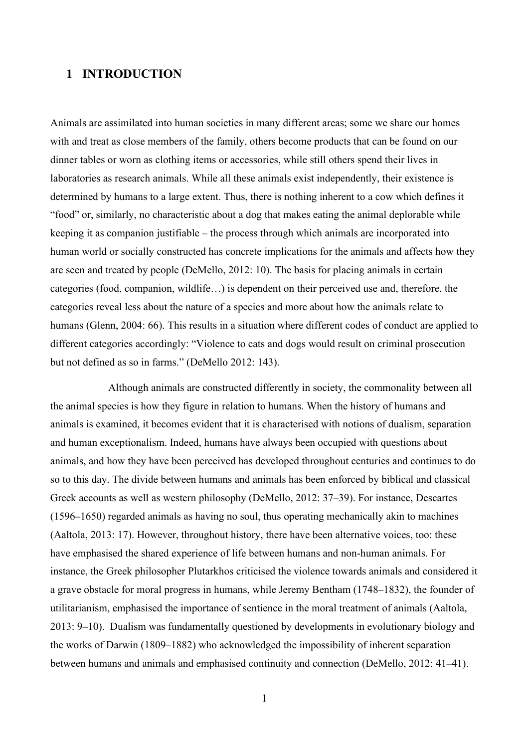## <span id="page-4-0"></span>**1 INTRODUCTION**

Animals are assimilated into human societies in many different areas; some we share our homes with and treat as close members of the family, others become products that can be found on our dinner tables or worn as clothing items or accessories, while still others spend their lives in laboratories as research animals. While all these animals exist independently, their existence is determined by humans to a large extent. Thus, there is nothing inherent to a cow which defines it "food" or, similarly, no characteristic about a dog that makes eating the animal deplorable while keeping it as companion justifiable – the process through which animals are incorporated into human world or socially constructed has concrete implications for the animals and affects how they are seen and treated by people (DeMello, 2012: 10). The basis for placing animals in certain categories (food, companion, wildlife…) is dependent on their perceived use and, therefore, the categories reveal less about the nature of a species and more about how the animals relate to humans (Glenn, 2004: 66). This results in a situation where different codes of conduct are applied to different categories accordingly: "Violence to cats and dogs would result on criminal prosecution but not defined as so in farms." (DeMello 2012: 143).

Although animals are constructed differently in society, the commonality between all the animal species is how they figure in relation to humans. When the history of humans and animals is examined, it becomes evident that it is characterised with notions of dualism, separation and human exceptionalism. Indeed, humans have always been occupied with questions about animals, and how they have been perceived has developed throughout centuries and continues to do so to this day. The divide between humans and animals has been enforced by biblical and classical Greek accounts as well as western philosophy (DeMello, 2012: 37–39). For instance, Descartes (1596–1650) regarded animals as having no soul, thus operating mechanically akin to machines (Aaltola, 2013: 17). However, throughout history, there have been alternative voices, too: these have emphasised the shared experience of life between humans and non-human animals. For instance, the Greek philosopher Plutarkhos criticised the violence towards animals and considered it a grave obstacle for moral progress in humans, while Jeremy Bentham (1748–1832), the founder of utilitarianism, emphasised the importance of sentience in the moral treatment of animals (Aaltola, 2013: 9–10). Dualism was fundamentally questioned by developments in evolutionary biology and the works of Darwin (1809–1882) who acknowledged the impossibility of inherent separation between humans and animals and emphasised continuity and connection (DeMello, 2012: 41–41).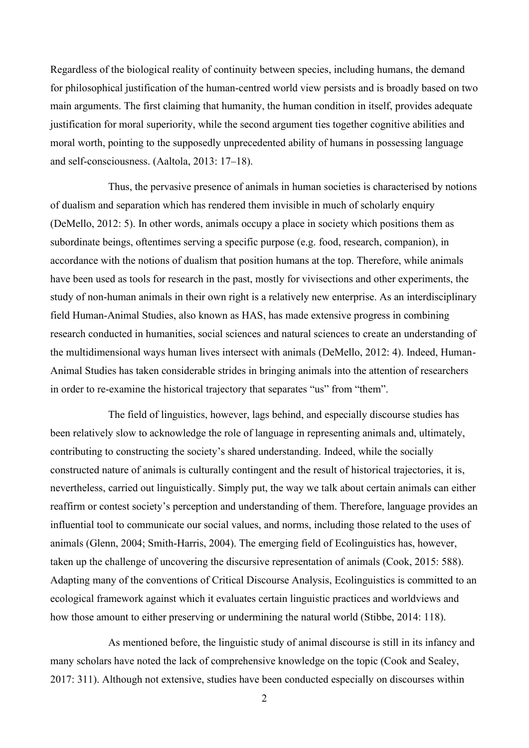Regardless of the biological reality of continuity between species, including humans, the demand for philosophical justification of the human-centred world view persists and is broadly based on two main arguments. The first claiming that humanity, the human condition in itself, provides adequate justification for moral superiority, while the second argument ties together cognitive abilities and moral worth, pointing to the supposedly unprecedented ability of humans in possessing language and self-consciousness. (Aaltola, 2013: 17–18).

Thus, the pervasive presence of animals in human societies is characterised by notions of dualism and separation which has rendered them invisible in much of scholarly enquiry (DeMello, 2012: 5). In other words, animals occupy a place in society which positions them as subordinate beings, oftentimes serving a specific purpose (e.g. food, research, companion), in accordance with the notions of dualism that position humans at the top. Therefore, while animals have been used as tools for research in the past, mostly for vivisections and other experiments, the study of non-human animals in their own right is a relatively new enterprise. As an interdisciplinary field Human-Animal Studies, also known as HAS, has made extensive progress in combining research conducted in humanities, social sciences and natural sciences to create an understanding of the multidimensional ways human lives intersect with animals (DeMello, 2012: 4). Indeed, Human-Animal Studies has taken considerable strides in bringing animals into the attention of researchers in order to re-examine the historical trajectory that separates "us" from "them".

The field of linguistics, however, lags behind, and especially discourse studies has been relatively slow to acknowledge the role of language in representing animals and, ultimately, contributing to constructing the society's shared understanding. Indeed, while the socially constructed nature of animals is culturally contingent and the result of historical trajectories, it is, nevertheless, carried out linguistically. Simply put, the way we talk about certain animals can either reaffirm or contest society's perception and understanding of them. Therefore, language provides an influential tool to communicate our social values, and norms, including those related to the uses of animals (Glenn, 2004; Smith-Harris, 2004). The emerging field of Ecolinguistics has, however, taken up the challenge of uncovering the discursive representation of animals (Cook, 2015: 588). Adapting many of the conventions of Critical Discourse Analysis, Ecolinguistics is committed to an ecological framework against which it evaluates certain linguistic practices and worldviews and how those amount to either preserving or undermining the natural world (Stibbe, 2014: 118).

As mentioned before, the linguistic study of animal discourse is still in its infancy and many scholars have noted the lack of comprehensive knowledge on the topic (Cook and Sealey, 2017: 311). Although not extensive, studies have been conducted especially on discourses within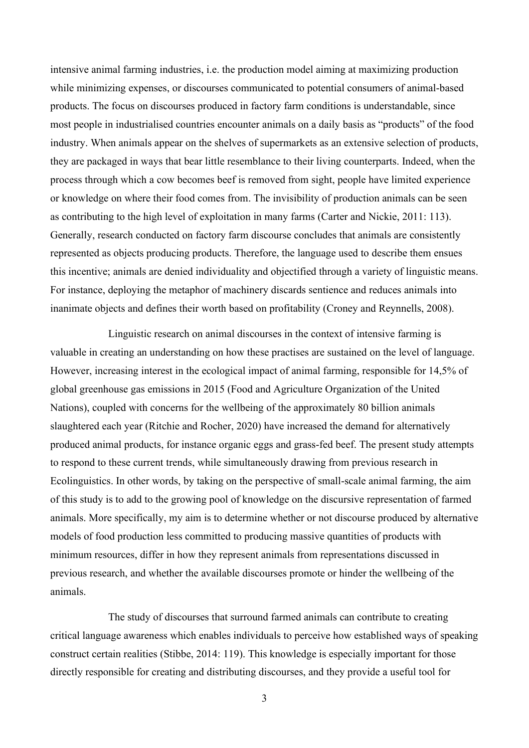intensive animal farming industries, i.e. the production model aiming at maximizing production while minimizing expenses, or discourses communicated to potential consumers of animal-based products. The focus on discourses produced in factory farm conditions is understandable, since most people in industrialised countries encounter animals on a daily basis as "products" of the food industry. When animals appear on the shelves of supermarkets as an extensive selection of products, they are packaged in ways that bear little resemblance to their living counterparts. Indeed, when the process through which a cow becomes beef is removed from sight, people have limited experience or knowledge on where their food comes from. The invisibility of production animals can be seen as contributing to the high level of exploitation in many farms (Carter and Nickie, 2011: 113). Generally, research conducted on factory farm discourse concludes that animals are consistently represented as objects producing products. Therefore, the language used to describe them ensues this incentive; animals are denied individuality and objectified through a variety of linguistic means. For instance, deploying the metaphor of machinery discards sentience and reduces animals into inanimate objects and defines their worth based on profitability (Croney and Reynnells, 2008).

Linguistic research on animal discourses in the context of intensive farming is valuable in creating an understanding on how these practises are sustained on the level of language. However, increasing interest in the ecological impact of animal farming, responsible for 14,5% of global greenhouse gas emissions in 2015 (Food and Agriculture Organization of the United Nations), coupled with concerns for the wellbeing of the approximately 80 billion animals slaughtered each year (Ritchie and Rocher, 2020) have increased the demand for alternatively produced animal products, for instance organic eggs and grass-fed beef. The present study attempts to respond to these current trends, while simultaneously drawing from previous research in Ecolinguistics. In other words, by taking on the perspective of small-scale animal farming, the aim of this study is to add to the growing pool of knowledge on the discursive representation of farmed animals. More specifically, my aim is to determine whether or not discourse produced by alternative models of food production less committed to producing massive quantities of products with minimum resources, differ in how they represent animals from representations discussed in previous research, and whether the available discourses promote or hinder the wellbeing of the animals.

The study of discourses that surround farmed animals can contribute to creating critical language awareness which enables individuals to perceive how established ways of speaking construct certain realities (Stibbe, 2014: 119). This knowledge is especially important for those directly responsible for creating and distributing discourses, and they provide a useful tool for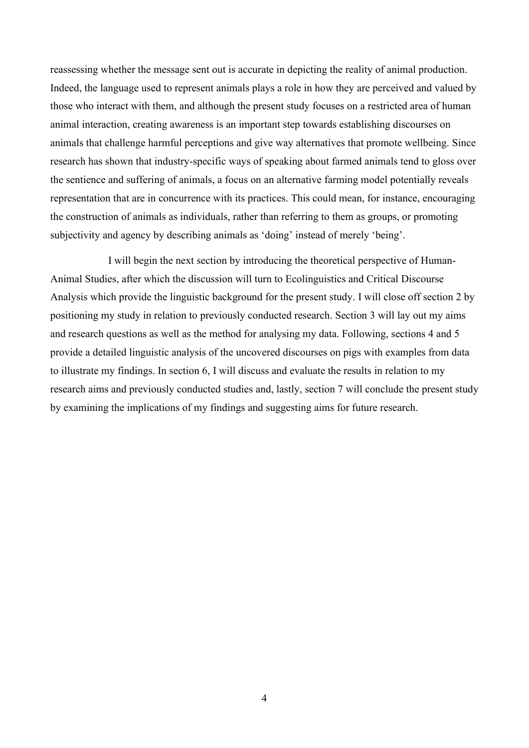reassessing whether the message sent out is accurate in depicting the reality of animal production. Indeed, the language used to represent animals plays a role in how they are perceived and valued by those who interact with them, and although the present study focuses on a restricted area of human animal interaction, creating awareness is an important step towards establishing discourses on animals that challenge harmful perceptions and give way alternatives that promote wellbeing. Since research has shown that industry-specific ways of speaking about farmed animals tend to gloss over the sentience and suffering of animals, a focus on an alternative farming model potentially reveals representation that are in concurrence with its practices. This could mean, for instance, encouraging the construction of animals as individuals, rather than referring to them as groups, or promoting subjectivity and agency by describing animals as 'doing' instead of merely 'being'.

I will begin the next section by introducing the theoretical perspective of Human-Animal Studies, after which the discussion will turn to Ecolinguistics and Critical Discourse Analysis which provide the linguistic background for the present study. I will close off section 2 by positioning my study in relation to previously conducted research. Section 3 will lay out my aims and research questions as well as the method for analysing my data. Following, sections 4 and 5 provide a detailed linguistic analysis of the uncovered discourses on pigs with examples from data to illustrate my findings. In section 6, I will discuss and evaluate the results in relation to my research aims and previously conducted studies and, lastly, section 7 will conclude the present study by examining the implications of my findings and suggesting aims for future research.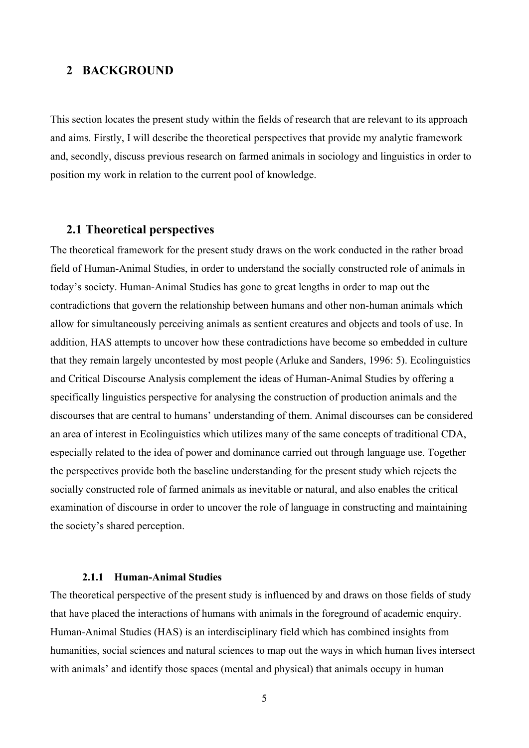## <span id="page-8-0"></span>**2 BACKGROUND**

This section locates the present study within the fields of research that are relevant to its approach and aims. Firstly, I will describe the theoretical perspectives that provide my analytic framework and, secondly, discuss previous research on farmed animals in sociology and linguistics in order to position my work in relation to the current pool of knowledge.

## <span id="page-8-1"></span>**2.1 Theoretical perspectives**

The theoretical framework for the present study draws on the work conducted in the rather broad field of Human-Animal Studies, in order to understand the socially constructed role of animals in today's society. Human-Animal Studies has gone to great lengths in order to map out the contradictions that govern the relationship between humans and other non-human animals which allow for simultaneously perceiving animals as sentient creatures and objects and tools of use. In addition, HAS attempts to uncover how these contradictions have become so embedded in culture that they remain largely uncontested by most people (Arluke and Sanders, 1996: 5). Ecolinguistics and Critical Discourse Analysis complement the ideas of Human-Animal Studies by offering a specifically linguistics perspective for analysing the construction of production animals and the discourses that are central to humans' understanding of them. Animal discourses can be considered an area of interest in Ecolinguistics which utilizes many of the same concepts of traditional CDA, especially related to the idea of power and dominance carried out through language use. Together the perspectives provide both the baseline understanding for the present study which rejects the socially constructed role of farmed animals as inevitable or natural, and also enables the critical examination of discourse in order to uncover the role of language in constructing and maintaining the society's shared perception.

#### **2.1.1 Human-Animal Studies**

<span id="page-8-2"></span>The theoretical perspective of the present study is influenced by and draws on those fields of study that have placed the interactions of humans with animals in the foreground of academic enquiry. Human-Animal Studies (HAS) is an interdisciplinary field which has combined insights from humanities, social sciences and natural sciences to map out the ways in which human lives intersect with animals' and identify those spaces (mental and physical) that animals occupy in human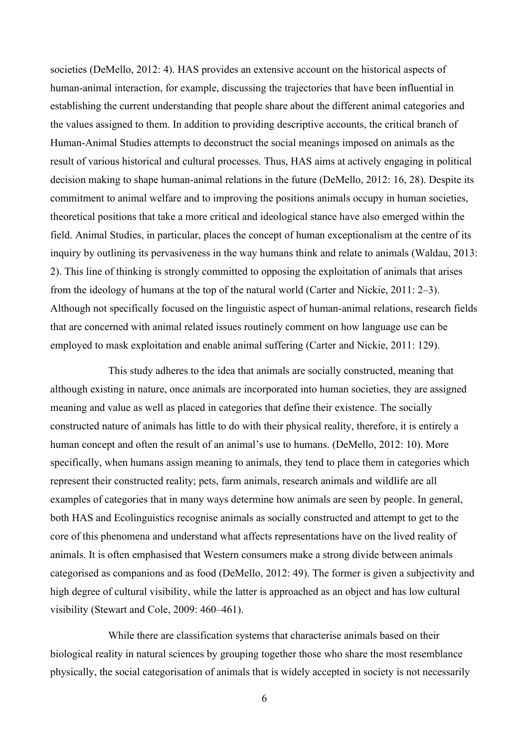societies (DeMello, 2012: 4). HAS provides an extensive account on the historical aspects of human-animal interaction, for example, discussing the trajectories that have been influential in establishing the current understanding that people share about the different animal categories and the values assigned to them. In addition to providing descriptive accounts, the critical branch of Human-Animal Studies attempts to deconstruct the social meanings imposed on animals as the result of various historical and cultural processes. Thus, HAS aims at actively engaging in political decision making to shape human-animal relations in the future (DeMello, 2012: 16, 28). Despite its commitment to animal welfare and to improving the positions animals occupy in human societies, theoretical positions that take a more critical and ideological stance have also emerged within the field. Animal Studies, in particular, places the concept of human exceptionalism at the centre of its inquiry by outlining its pervasiveness in the way humans think and relate to animals (Waldau, 2013: 2). This line of thinking is strongly committed to opposing the exploitation of animals that arises from the ideology of humans at the top of the natural world (Carter and Nickie, 2011: 2–3). Although not specifically focused on the linguistic aspect of human-animal relations, research fields that are concerned with animal related issues routinely comment on how language use can be employed to mask exploitation and enable animal suffering (Carter and Nickie, 2011: 129).

This study adheres to the idea that animals are socially constructed, meaning that although existing in nature, once animals are incorporated into human societies, they are assigned meaning and value as well as placed in categories that define their existence. The socially constructed nature of animals has little to do with their physical reality, therefore, it is entirely a human concept and often the result of an animal's use to humans. (DeMello, 2012: 10). More specifically, when humans assign meaning to animals, they tend to place them in categories which represent their constructed reality; pets, farm animals, research animals and wildlife are all examples of categories that in many ways determine how animals are seen by people. In general, both HAS and Ecolinguistics recognise animals as socially constructed and attempt to get to the core of this phenomena and understand what affects representations have on the lived reality of animals. It is often emphasised that Western consumers make a strong divide between animals categorised as companions and as food (DeMello, 2012: 49). The former is given a subjectivity and high degree of cultural visibility, while the latter is approached as an object and has low cultural visibility (Stewart and Cole, 2009: 460–461).

While there are classification systems that characterise animals based on their biological reality in natural sciences by grouping together those who share the most resemblance physically, the social categorisation of animals that is widely accepted in society is not necessarily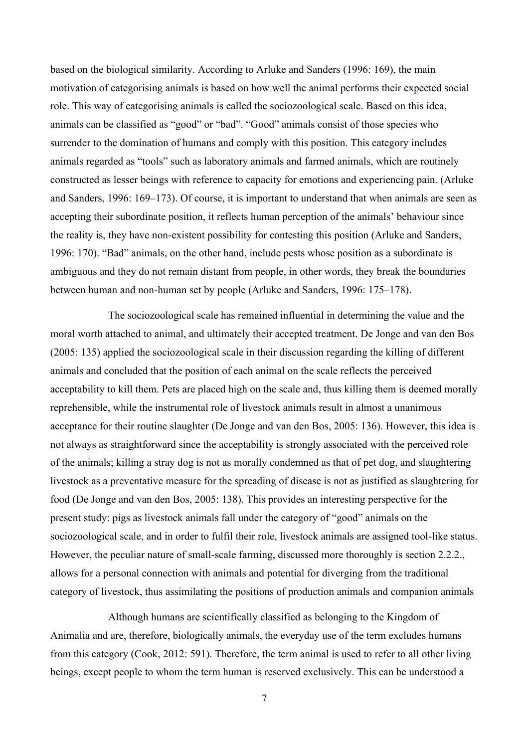based on the biological similarity. According to Arluke and Sanders (1996: 169), the main motivation of categorising animals is based on how well the animal performs their expected social role. This way of categorising animals is called the sociozoological scale. Based on this idea, animals can be classified as "good" or "bad". "Good" animals consist of those species who surrender to the domination of humans and comply with this position. This category includes animals regarded as "tools" such as laboratory animals and farmed animals, which are routinely constructed as lesser beings with reference to capacity for emotions and experiencing pain. (Arluke and Sanders, 1996: 169–173). Of course, it is important to understand that when animals are seen as accepting their subordinate position, it reflects human perception of the animals' behaviour since the reality is, they have non-existent possibility for contesting this position (Arluke and Sanders, 1996: 170). "Bad" animals, on the other hand, include pests whose position as a subordinate is ambiguous and they do not remain distant from people, in other words, they break the boundaries between human and non-human set by people (Arluke and Sanders, 1996: 175–178).

The sociozoological scale has remained influential in determining the value and the moral worth attached to animal, and ultimately their accepted treatment. De Jonge and van den Bos (2005: 135) applied the sociozoological scale in their discussion regarding the killing of different animals and concluded that the position of each animal on the scale reflects the perceived acceptability to kill them. Pets are placed high on the scale and, thus killing them is deemed morally reprehensible, while the instrumental role of livestock animals result in almost a unanimous acceptance for their routine slaughter (De Jonge and van den Bos, 2005: 136). However, this idea is not always as straightforward since the acceptability is strongly associated with the perceived role of the animals; killing a stray dog is not as morally condemned as that of pet dog, and slaughtering livestock as a preventative measure for the spreading of disease is not as justified as slaughtering for food (De Jonge and van den Bos, 2005: 138). This provides an interesting perspective for the present study: pigs as livestock animals fall under the category of "good" animals on the sociozoological scale, and in order to fulfil their role, livestock animals are assigned tool-like status. However, the peculiar nature of small-scale farming, discussed more thoroughly is section 2.2.2., allows for a personal connection with animals and potential for diverging from the traditional category of livestock, thus assimilating the positions of production animals and companion animals

Although humans are scientifically classified as belonging to the Kingdom of Animalia and are, therefore, biologically animals, the everyday use of the term excludes humans from this category (Cook, 2012: 591). Therefore, the term animal is used to refer to all other living beings, except people to whom the term human is reserved exclusively. This can be understood a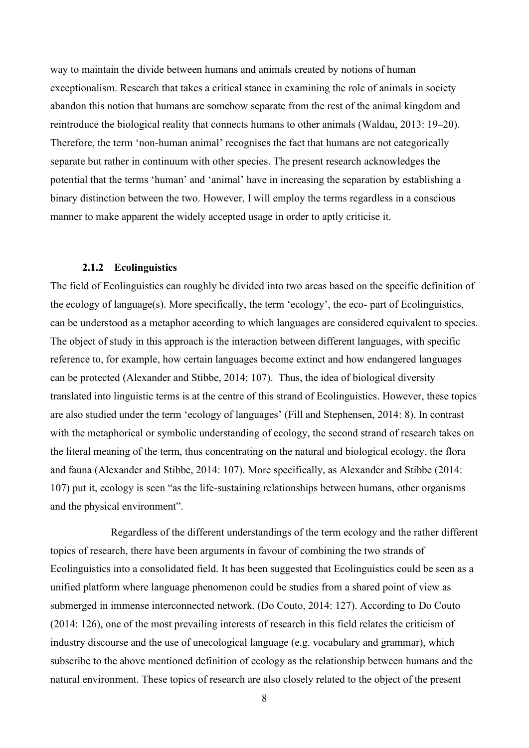way to maintain the divide between humans and animals created by notions of human exceptionalism. Research that takes a critical stance in examining the role of animals in society abandon this notion that humans are somehow separate from the rest of the animal kingdom and reintroduce the biological reality that connects humans to other animals (Waldau, 2013: 19–20). Therefore, the term 'non-human animal' recognises the fact that humans are not categorically separate but rather in continuum with other species. The present research acknowledges the potential that the terms 'human' and 'animal' have in increasing the separation by establishing a binary distinction between the two. However, I will employ the terms regardless in a conscious manner to make apparent the widely accepted usage in order to aptly criticise it.

### **2.1.2 Ecolinguistics**

<span id="page-11-0"></span>The field of Ecolinguistics can roughly be divided into two areas based on the specific definition of the ecology of language(s). More specifically, the term 'ecology', the eco- part of Ecolinguistics, can be understood as a metaphor according to which languages are considered equivalent to species. The object of study in this approach is the interaction between different languages, with specific reference to, for example, how certain languages become extinct and how endangered languages can be protected (Alexander and Stibbe, 2014: 107). Thus, the idea of biological diversity translated into linguistic terms is at the centre of this strand of Ecolinguistics. However, these topics are also studied under the term 'ecology of languages' (Fill and Stephensen, 2014: 8). In contrast with the metaphorical or symbolic understanding of ecology, the second strand of research takes on the literal meaning of the term, thus concentrating on the natural and biological ecology, the flora and fauna (Alexander and Stibbe, 2014: 107). More specifically, as Alexander and Stibbe (2014: 107) put it, ecology is seen "as the life-sustaining relationships between humans, other organisms and the physical environment".

Regardless of the different understandings of the term ecology and the rather different topics of research, there have been arguments in favour of combining the two strands of Ecolinguistics into a consolidated field. It has been suggested that Ecolinguistics could be seen as a unified platform where language phenomenon could be studies from a shared point of view as submerged in immense interconnected network. (Do Couto, 2014: 127). According to Do Couto (2014: 126), one of the most prevailing interests of research in this field relates the criticism of industry discourse and the use of unecological language (e.g. vocabulary and grammar), which subscribe to the above mentioned definition of ecology as the relationship between humans and the natural environment. These topics of research are also closely related to the object of the present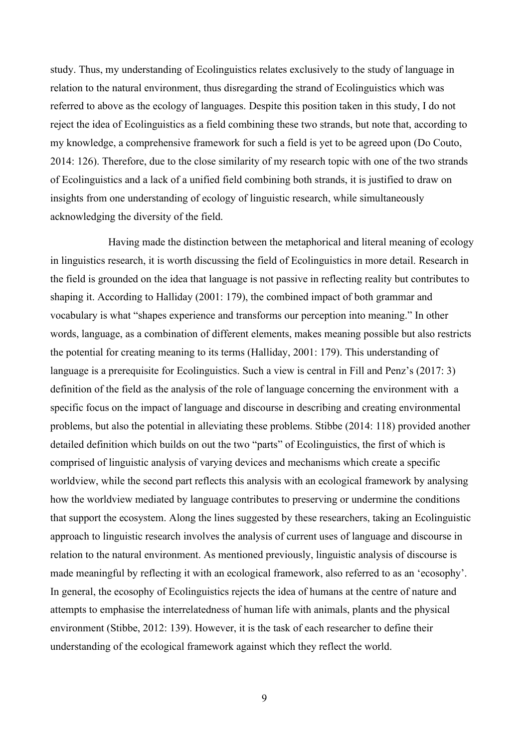study. Thus, my understanding of Ecolinguistics relates exclusively to the study of language in relation to the natural environment, thus disregarding the strand of Ecolinguistics which was referred to above as the ecology of languages. Despite this position taken in this study, I do not reject the idea of Ecolinguistics as a field combining these two strands, but note that, according to my knowledge, a comprehensive framework for such a field is yet to be agreed upon (Do Couto, 2014: 126). Therefore, due to the close similarity of my research topic with one of the two strands of Ecolinguistics and a lack of a unified field combining both strands, it is justified to draw on insights from one understanding of ecology of linguistic research, while simultaneously acknowledging the diversity of the field.

Having made the distinction between the metaphorical and literal meaning of ecology in linguistics research, it is worth discussing the field of Ecolinguistics in more detail. Research in the field is grounded on the idea that language is not passive in reflecting reality but contributes to shaping it. According to Halliday (2001: 179), the combined impact of both grammar and vocabulary is what "shapes experience and transforms our perception into meaning." In other words, language, as a combination of different elements, makes meaning possible but also restricts the potential for creating meaning to its terms (Halliday, 2001: 179). This understanding of language is a prerequisite for Ecolinguistics. Such a view is central in Fill and Penz's (2017: 3) definition of the field as the analysis of the role of language concerning the environment with a specific focus on the impact of language and discourse in describing and creating environmental problems, but also the potential in alleviating these problems. Stibbe (2014: 118) provided another detailed definition which builds on out the two "parts" of Ecolinguistics, the first of which is comprised of linguistic analysis of varying devices and mechanisms which create a specific worldview, while the second part reflects this analysis with an ecological framework by analysing how the worldview mediated by language contributes to preserving or undermine the conditions that support the ecosystem. Along the lines suggested by these researchers, taking an Ecolinguistic approach to linguistic research involves the analysis of current uses of language and discourse in relation to the natural environment. As mentioned previously, linguistic analysis of discourse is made meaningful by reflecting it with an ecological framework, also referred to as an 'ecosophy'. In general, the ecosophy of Ecolinguistics rejects the idea of humans at the centre of nature and attempts to emphasise the interrelatedness of human life with animals, plants and the physical environment (Stibbe, 2012: 139). However, it is the task of each researcher to define their understanding of the ecological framework against which they reflect the world.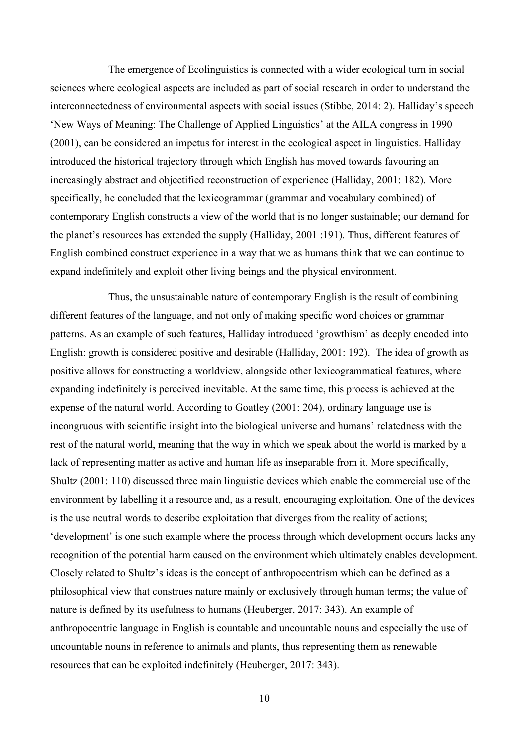The emergence of Ecolinguistics is connected with a wider ecological turn in social sciences where ecological aspects are included as part of social research in order to understand the interconnectedness of environmental aspects with social issues (Stibbe, 2014: 2). Halliday's speech 'New Ways of Meaning: The Challenge of Applied Linguistics' at the AILA congress in 1990 (2001), can be considered an impetus for interest in the ecological aspect in linguistics. Halliday introduced the historical trajectory through which English has moved towards favouring an increasingly abstract and objectified reconstruction of experience (Halliday, 2001: 182). More specifically, he concluded that the lexicogrammar (grammar and vocabulary combined) of contemporary English constructs a view of the world that is no longer sustainable; our demand for the planet's resources has extended the supply (Halliday, 2001 :191). Thus, different features of English combined construct experience in a way that we as humans think that we can continue to expand indefinitely and exploit other living beings and the physical environment.

Thus, the unsustainable nature of contemporary English is the result of combining different features of the language, and not only of making specific word choices or grammar patterns. As an example of such features, Halliday introduced 'growthism' as deeply encoded into English: growth is considered positive and desirable (Halliday, 2001: 192). The idea of growth as positive allows for constructing a worldview, alongside other lexicogrammatical features, where expanding indefinitely is perceived inevitable. At the same time, this process is achieved at the expense of the natural world. According to Goatley (2001: 204), ordinary language use is incongruous with scientific insight into the biological universe and humans' relatedness with the rest of the natural world, meaning that the way in which we speak about the world is marked by a lack of representing matter as active and human life as inseparable from it. More specifically, Shultz (2001: 110) discussed three main linguistic devices which enable the commercial use of the environment by labelling it a resource and, as a result, encouraging exploitation. One of the devices is the use neutral words to describe exploitation that diverges from the reality of actions; 'development' is one such example where the process through which development occurs lacks any recognition of the potential harm caused on the environment which ultimately enables development. Closely related to Shultz's ideas is the concept of anthropocentrism which can be defined as a philosophical view that construes nature mainly or exclusively through human terms; the value of nature is defined by its usefulness to humans (Heuberger, 2017: 343). An example of anthropocentric language in English is countable and uncountable nouns and especially the use of uncountable nouns in reference to animals and plants, thus representing them as renewable resources that can be exploited indefinitely (Heuberger, 2017: 343).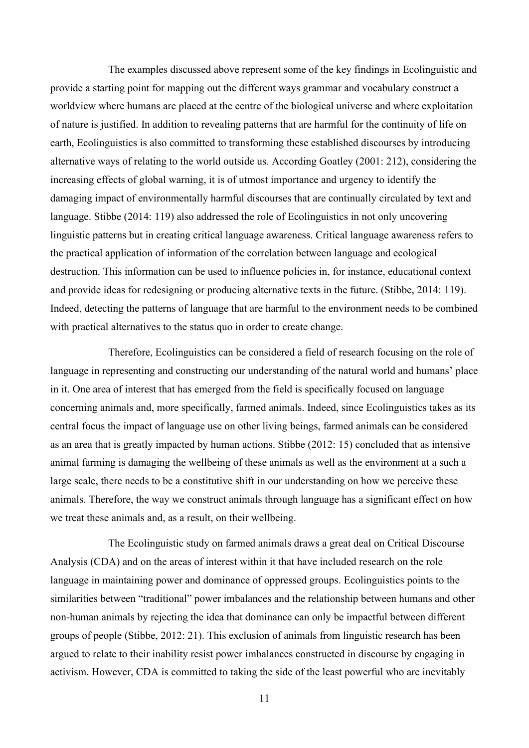The examples discussed above represent some of the key findings in Ecolinguistic and provide a starting point for mapping out the different ways grammar and vocabulary construct a worldview where humans are placed at the centre of the biological universe and where exploitation of nature is justified. In addition to revealing patterns that are harmful for the continuity of life on earth, Ecolinguistics is also committed to transforming these established discourses by introducing alternative ways of relating to the world outside us. According Goatley (2001: 212), considering the increasing effects of global warning, it is of utmost importance and urgency to identify the damaging impact of environmentally harmful discourses that are continually circulated by text and language. Stibbe (2014: 119) also addressed the role of Ecolinguistics in not only uncovering linguistic patterns but in creating critical language awareness. Critical language awareness refers to the practical application of information of the correlation between language and ecological destruction. This information can be used to influence policies in, for instance, educational context and provide ideas for redesigning or producing alternative texts in the future. (Stibbe, 2014: 119). Indeed, detecting the patterns of language that are harmful to the environment needs to be combined with practical alternatives to the status quo in order to create change.

Therefore, Ecolinguistics can be considered a field of research focusing on the role of language in representing and constructing our understanding of the natural world and humans' place in it. One area of interest that has emerged from the field is specifically focused on language concerning animals and, more specifically, farmed animals. Indeed, since Ecolinguistics takes as its central focus the impact of language use on other living beings, farmed animals can be considered as an area that is greatly impacted by human actions. Stibbe (2012: 15) concluded that as intensive animal farming is damaging the wellbeing of these animals as well as the environment at a such a large scale, there needs to be a constitutive shift in our understanding on how we perceive these animals. Therefore, the way we construct animals through language has a significant effect on how we treat these animals and, as a result, on their wellbeing.

The Ecolinguistic study on farmed animals draws a great deal on Critical Discourse Analysis (CDA) and on the areas of interest within it that have included research on the role language in maintaining power and dominance of oppressed groups. Ecolinguistics points to the similarities between "traditional" power imbalances and the relationship between humans and other non-human animals by rejecting the idea that dominance can only be impactful between different groups of people (Stibbe, 2012: 21). This exclusion of animals from linguistic research has been argued to relate to their inability resist power imbalances constructed in discourse by engaging in activism. However, CDA is committed to taking the side of the least powerful who are inevitably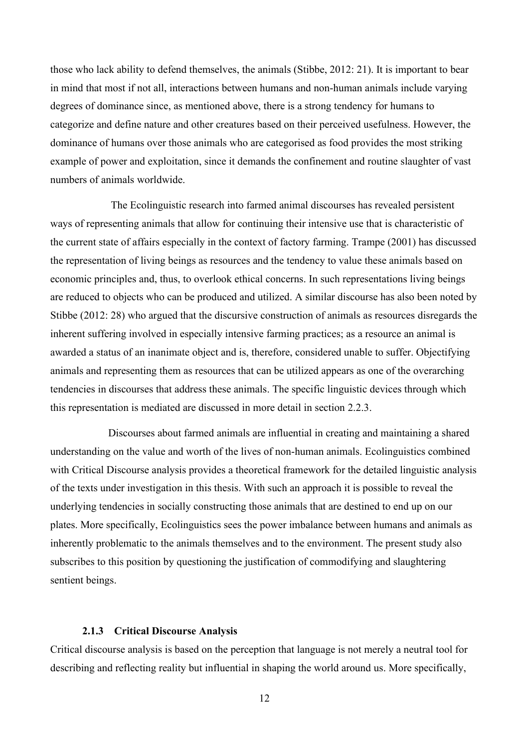those who lack ability to defend themselves, the animals (Stibbe, 2012: 21). It is important to bear in mind that most if not all, interactions between humans and non-human animals include varying degrees of dominance since, as mentioned above, there is a strong tendency for humans to categorize and define nature and other creatures based on their perceived usefulness. However, the dominance of humans over those animals who are categorised as food provides the most striking example of power and exploitation, since it demands the confinement and routine slaughter of vast numbers of animals worldwide.

The Ecolinguistic research into farmed animal discourses has revealed persistent ways of representing animals that allow for continuing their intensive use that is characteristic of the current state of affairs especially in the context of factory farming. Trampe (2001) has discussed the representation of living beings as resources and the tendency to value these animals based on economic principles and, thus, to overlook ethical concerns. In such representations living beings are reduced to objects who can be produced and utilized. A similar discourse has also been noted by Stibbe (2012: 28) who argued that the discursive construction of animals as resources disregards the inherent suffering involved in especially intensive farming practices; as a resource an animal is awarded a status of an inanimate object and is, therefore, considered unable to suffer. Objectifying animals and representing them as resources that can be utilized appears as one of the overarching tendencies in discourses that address these animals. The specific linguistic devices through which this representation is mediated are discussed in more detail in section 2.2.3.

Discourses about farmed animals are influential in creating and maintaining a shared understanding on the value and worth of the lives of non-human animals. Ecolinguistics combined with Critical Discourse analysis provides a theoretical framework for the detailed linguistic analysis of the texts under investigation in this thesis. With such an approach it is possible to reveal the underlying tendencies in socially constructing those animals that are destined to end up on our plates. More specifically, Ecolinguistics sees the power imbalance between humans and animals as inherently problematic to the animals themselves and to the environment. The present study also subscribes to this position by questioning the justification of commodifying and slaughtering sentient beings.

#### **2.1.3 Critical Discourse Analysis**

<span id="page-15-0"></span>Critical discourse analysis is based on the perception that language is not merely a neutral tool for describing and reflecting reality but influential in shaping the world around us. More specifically,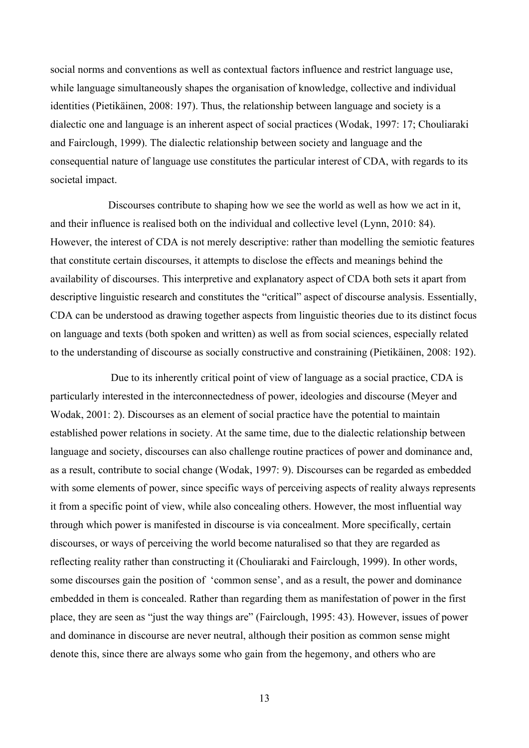social norms and conventions as well as contextual factors influence and restrict language use, while language simultaneously shapes the organisation of knowledge, collective and individual identities (Pietikäinen, 2008: 197). Thus, the relationship between language and society is a dialectic one and language is an inherent aspect of social practices (Wodak, 1997: 17; Chouliaraki and Fairclough, 1999). The dialectic relationship between society and language and the consequential nature of language use constitutes the particular interest of CDA, with regards to its societal impact.

Discourses contribute to shaping how we see the world as well as how we act in it, and their influence is realised both on the individual and collective level (Lynn, 2010: 84). However, the interest of CDA is not merely descriptive: rather than modelling the semiotic features that constitute certain discourses, it attempts to disclose the effects and meanings behind the availability of discourses. This interpretive and explanatory aspect of CDA both sets it apart from descriptive linguistic research and constitutes the "critical" aspect of discourse analysis. Essentially, CDA can be understood as drawing together aspects from linguistic theories due to its distinct focus on language and texts (both spoken and written) as well as from social sciences, especially related to the understanding of discourse as socially constructive and constraining (Pietikäinen, 2008: 192).

Due to its inherently critical point of view of language as a social practice, CDA is particularly interested in the interconnectedness of power, ideologies and discourse (Meyer and Wodak, 2001: 2). Discourses as an element of social practice have the potential to maintain established power relations in society. At the same time, due to the dialectic relationship between language and society, discourses can also challenge routine practices of power and dominance and, as a result, contribute to social change (Wodak, 1997: 9). Discourses can be regarded as embedded with some elements of power, since specific ways of perceiving aspects of reality always represents it from a specific point of view, while also concealing others. However, the most influential way through which power is manifested in discourse is via concealment. More specifically, certain discourses, or ways of perceiving the world become naturalised so that they are regarded as reflecting reality rather than constructing it (Chouliaraki and Fairclough, 1999). In other words, some discourses gain the position of 'common sense', and as a result, the power and dominance embedded in them is concealed. Rather than regarding them as manifestation of power in the first place, they are seen as "just the way things are" (Fairclough, 1995: 43). However, issues of power and dominance in discourse are never neutral, although their position as common sense might denote this, since there are always some who gain from the hegemony, and others who are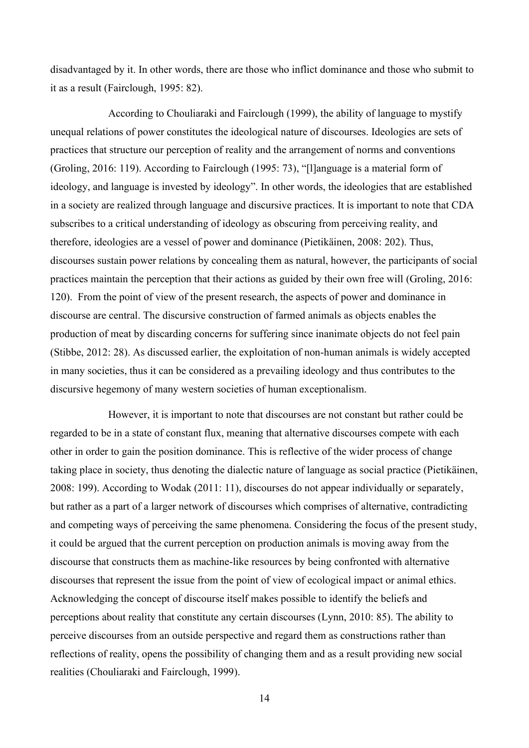disadvantaged by it. In other words, there are those who inflict dominance and those who submit to it as a result (Fairclough, 1995: 82).

According to Chouliaraki and Fairclough (1999), the ability of language to mystify unequal relations of power constitutes the ideological nature of discourses. Ideologies are sets of practices that structure our perception of reality and the arrangement of norms and conventions (Groling, 2016: 119). According to Fairclough (1995: 73), "[l]anguage is a material form of ideology, and language is invested by ideology". In other words, the ideologies that are established in a society are realized through language and discursive practices. It is important to note that CDA subscribes to a critical understanding of ideology as obscuring from perceiving reality, and therefore, ideologies are a vessel of power and dominance (Pietikäinen, 2008: 202). Thus, discourses sustain power relations by concealing them as natural, however, the participants of social practices maintain the perception that their actions as guided by their own free will (Groling, 2016: 120). From the point of view of the present research, the aspects of power and dominance in discourse are central. The discursive construction of farmed animals as objects enables the production of meat by discarding concerns for suffering since inanimate objects do not feel pain (Stibbe, 2012: 28). As discussed earlier, the exploitation of non-human animals is widely accepted in many societies, thus it can be considered as a prevailing ideology and thus contributes to the discursive hegemony of many western societies of human exceptionalism.

However, it is important to note that discourses are not constant but rather could be regarded to be in a state of constant flux, meaning that alternative discourses compete with each other in order to gain the position dominance. This is reflective of the wider process of change taking place in society, thus denoting the dialectic nature of language as social practice (Pietikäinen, 2008: 199). According to Wodak (2011: 11), discourses do not appear individually or separately, but rather as a part of a larger network of discourses which comprises of alternative, contradicting and competing ways of perceiving the same phenomena. Considering the focus of the present study, it could be argued that the current perception on production animals is moving away from the discourse that constructs them as machine-like resources by being confronted with alternative discourses that represent the issue from the point of view of ecological impact or animal ethics. Acknowledging the concept of discourse itself makes possible to identify the beliefs and perceptions about reality that constitute any certain discourses (Lynn, 2010: 85). The ability to perceive discourses from an outside perspective and regard them as constructions rather than reflections of reality, opens the possibility of changing them and as a result providing new social realities (Chouliaraki and Fairclough, 1999).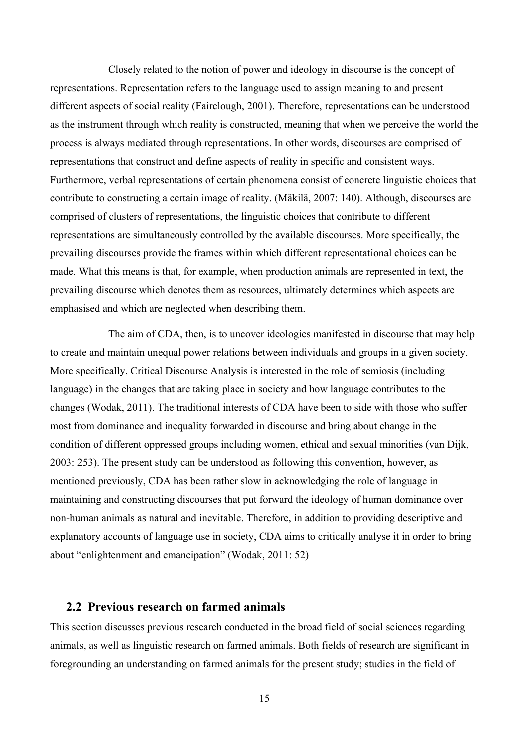Closely related to the notion of power and ideology in discourse is the concept of representations. Representation refers to the language used to assign meaning to and present different aspects of social reality (Fairclough, 2001). Therefore, representations can be understood as the instrument through which reality is constructed, meaning that when we perceive the world the process is always mediated through representations. In other words, discourses are comprised of representations that construct and define aspects of reality in specific and consistent ways. Furthermore, verbal representations of certain phenomena consist of concrete linguistic choices that contribute to constructing a certain image of reality. (Mäkilä, 2007: 140). Although, discourses are comprised of clusters of representations, the linguistic choices that contribute to different representations are simultaneously controlled by the available discourses. More specifically, the prevailing discourses provide the frames within which different representational choices can be made. What this means is that, for example, when production animals are represented in text, the prevailing discourse which denotes them as resources, ultimately determines which aspects are emphasised and which are neglected when describing them.

The aim of CDA, then, is to uncover ideologies manifested in discourse that may help to create and maintain unequal power relations between individuals and groups in a given society. More specifically, Critical Discourse Analysis is interested in the role of semiosis (including language) in the changes that are taking place in society and how language contributes to the changes (Wodak, 2011). The traditional interests of CDA have been to side with those who suffer most from dominance and inequality forwarded in discourse and bring about change in the condition of different oppressed groups including women, ethical and sexual minorities (van Dijk, 2003: 253). The present study can be understood as following this convention, however, as mentioned previously, CDA has been rather slow in acknowledging the role of language in maintaining and constructing discourses that put forward the ideology of human dominance over non-human animals as natural and inevitable. Therefore, in addition to providing descriptive and explanatory accounts of language use in society, CDA aims to critically analyse it in order to bring about "enlightenment and emancipation" (Wodak, 2011: 52)

### <span id="page-18-0"></span>**2.2 Previous research on farmed animals**

This section discusses previous research conducted in the broad field of social sciences regarding animals, as well as linguistic research on farmed animals. Both fields of research are significant in foregrounding an understanding on farmed animals for the present study; studies in the field of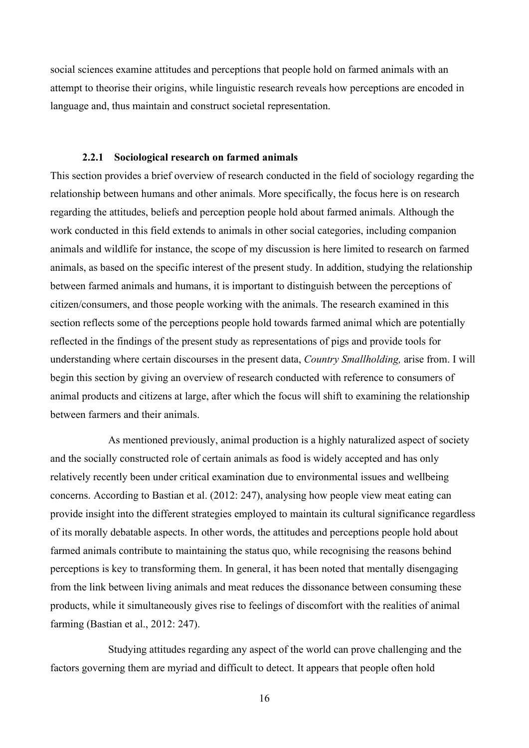social sciences examine attitudes and perceptions that people hold on farmed animals with an attempt to theorise their origins, while linguistic research reveals how perceptions are encoded in language and, thus maintain and construct societal representation.

#### **2.2.1 Sociological research on farmed animals**

<span id="page-19-0"></span>This section provides a brief overview of research conducted in the field of sociology regarding the relationship between humans and other animals. More specifically, the focus here is on research regarding the attitudes, beliefs and perception people hold about farmed animals. Although the work conducted in this field extends to animals in other social categories, including companion animals and wildlife for instance, the scope of my discussion is here limited to research on farmed animals, as based on the specific interest of the present study. In addition, studying the relationship between farmed animals and humans, it is important to distinguish between the perceptions of citizen/consumers, and those people working with the animals. The research examined in this section reflects some of the perceptions people hold towards farmed animal which are potentially reflected in the findings of the present study as representations of pigs and provide tools for understanding where certain discourses in the present data, *Country Smallholding,* arise from. I will begin this section by giving an overview of research conducted with reference to consumers of animal products and citizens at large, after which the focus will shift to examining the relationship between farmers and their animals.

As mentioned previously, animal production is a highly naturalized aspect of society and the socially constructed role of certain animals as food is widely accepted and has only relatively recently been under critical examination due to environmental issues and wellbeing concerns. According to Bastian et al. (2012: 247), analysing how people view meat eating can provide insight into the different strategies employed to maintain its cultural significance regardless of its morally debatable aspects. In other words, the attitudes and perceptions people hold about farmed animals contribute to maintaining the status quo, while recognising the reasons behind perceptions is key to transforming them. In general, it has been noted that mentally disengaging from the link between living animals and meat reduces the dissonance between consuming these products, while it simultaneously gives rise to feelings of discomfort with the realities of animal farming (Bastian et al., 2012: 247).

Studying attitudes regarding any aspect of the world can prove challenging and the factors governing them are myriad and difficult to detect. It appears that people often hold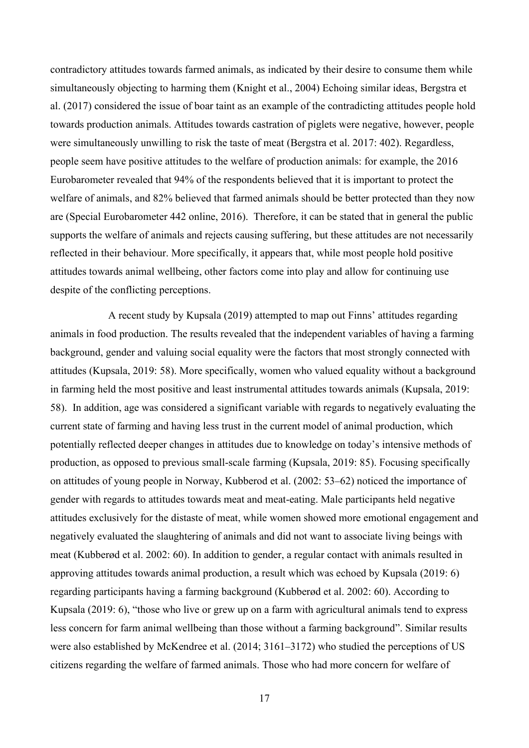contradictory attitudes towards farmed animals, as indicated by their desire to consume them while simultaneously objecting to harming them (Knight et al., 2004) Echoing similar ideas, Bergstra et al. (2017) considered the issue of boar taint as an example of the contradicting attitudes people hold towards production animals. Attitudes towards castration of piglets were negative, however, people were simultaneously unwilling to risk the taste of meat (Bergstra et al. 2017: 402). Regardless, people seem have positive attitudes to the welfare of production animals: for example, the 2016 Eurobarometer revealed that 94% of the respondents believed that it is important to protect the welfare of animals, and 82% believed that farmed animals should be better protected than they now are (Special Eurobarometer 442 online, 2016). Therefore, it can be stated that in general the public supports the welfare of animals and rejects causing suffering, but these attitudes are not necessarily reflected in their behaviour. More specifically, it appears that, while most people hold positive attitudes towards animal wellbeing, other factors come into play and allow for continuing use despite of the conflicting perceptions.

A recent study by Kupsala (2019) attempted to map out Finns' attitudes regarding animals in food production. The results revealed that the independent variables of having a farming background, gender and valuing social equality were the factors that most strongly connected with attitudes (Kupsala, 2019: 58). More specifically, women who valued equality without a background in farming held the most positive and least instrumental attitudes towards animals (Kupsala, 2019: 58). In addition, age was considered a significant variable with regards to negatively evaluating the current state of farming and having less trust in the current model of animal production, which potentially reflected deeper changes in attitudes due to knowledge on today's intensive methods of production, as opposed to previous small-scale farming (Kupsala, 2019: 85). Focusing specifically on attitudes of young people in Norway, Kubberod et al. (2002: 53–62) noticed the importance of gender with regards to attitudes towards meat and meat-eating. Male participants held negative attitudes exclusively for the distaste of meat, while women showed more emotional engagement and negatively evaluated the slaughtering of animals and did not want to associate living beings with meat (Kubberød et al. 2002: 60). In addition to gender, a regular contact with animals resulted in approving attitudes towards animal production, a result which was echoed by Kupsala (2019: 6) regarding participants having a farming background (Kubberød et al. 2002: 60). According to Kupsala (2019: 6), "those who live or grew up on a farm with agricultural animals tend to express less concern for farm animal wellbeing than those without a farming background". Similar results were also established by McKendree et al. (2014; 3161–3172) who studied the perceptions of US citizens regarding the welfare of farmed animals. Those who had more concern for welfare of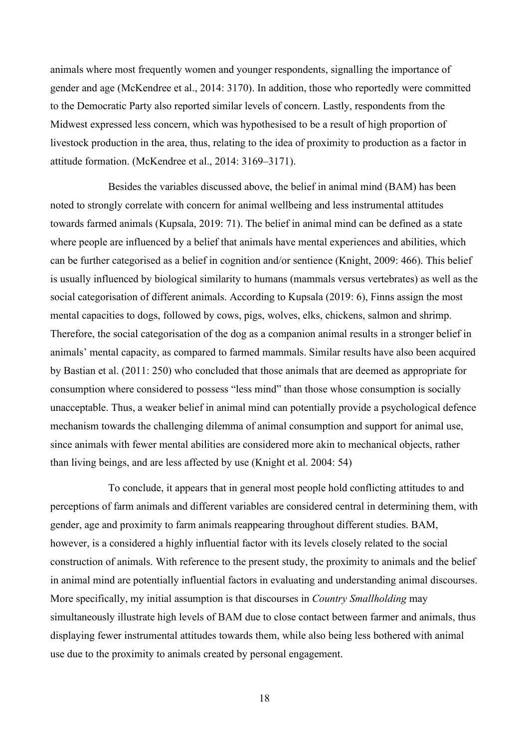animals where most frequently women and younger respondents, signalling the importance of gender and age (McKendree et al., 2014: 3170). In addition, those who reportedly were committed to the Democratic Party also reported similar levels of concern. Lastly, respondents from the Midwest expressed less concern, which was hypothesised to be a result of high proportion of livestock production in the area, thus, relating to the idea of proximity to production as a factor in attitude formation. (McKendree et al., 2014: 3169–3171).

Besides the variables discussed above, the belief in animal mind (BAM) has been noted to strongly correlate with concern for animal wellbeing and less instrumental attitudes towards farmed animals (Kupsala, 2019: 71). The belief in animal mind can be defined as a state where people are influenced by a belief that animals have mental experiences and abilities, which can be further categorised as a belief in cognition and/or sentience (Knight, 2009: 466). This belief is usually influenced by biological similarity to humans (mammals versus vertebrates) as well as the social categorisation of different animals. According to Kupsala (2019: 6), Finns assign the most mental capacities to dogs, followed by cows, pigs, wolves, elks, chickens, salmon and shrimp. Therefore, the social categorisation of the dog as a companion animal results in a stronger belief in animals' mental capacity, as compared to farmed mammals. Similar results have also been acquired by Bastian et al. (2011: 250) who concluded that those animals that are deemed as appropriate for consumption where considered to possess "less mind" than those whose consumption is socially unacceptable. Thus, a weaker belief in animal mind can potentially provide a psychological defence mechanism towards the challenging dilemma of animal consumption and support for animal use, since animals with fewer mental abilities are considered more akin to mechanical objects, rather than living beings, and are less affected by use (Knight et al. 2004: 54)

To conclude, it appears that in general most people hold conflicting attitudes to and perceptions of farm animals and different variables are considered central in determining them, with gender, age and proximity to farm animals reappearing throughout different studies. BAM, however, is a considered a highly influential factor with its levels closely related to the social construction of animals. With reference to the present study, the proximity to animals and the belief in animal mind are potentially influential factors in evaluating and understanding animal discourses. More specifically, my initial assumption is that discourses in *Country Smallholding* may simultaneously illustrate high levels of BAM due to close contact between farmer and animals, thus displaying fewer instrumental attitudes towards them, while also being less bothered with animal use due to the proximity to animals created by personal engagement.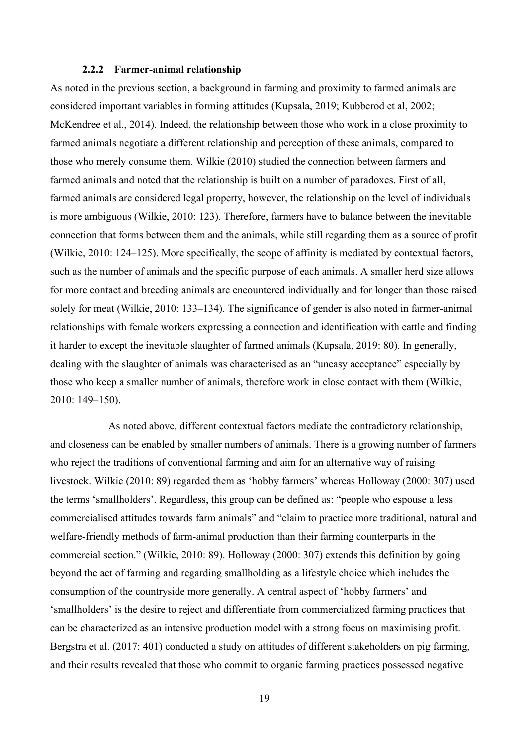#### **2.2.2 Farmer-animal relationship**

<span id="page-22-0"></span>As noted in the previous section, a background in farming and proximity to farmed animals are considered important variables in forming attitudes (Kupsala, 2019; Kubberod et al, 2002; McKendree et al., 2014). Indeed, the relationship between those who work in a close proximity to farmed animals negotiate a different relationship and perception of these animals, compared to those who merely consume them. Wilkie (2010) studied the connection between farmers and farmed animals and noted that the relationship is built on a number of paradoxes. First of all, farmed animals are considered legal property, however, the relationship on the level of individuals is more ambiguous (Wilkie, 2010: 123). Therefore, farmers have to balance between the inevitable connection that forms between them and the animals, while still regarding them as a source of profit (Wilkie, 2010: 124–125). More specifically, the scope of affinity is mediated by contextual factors, such as the number of animals and the specific purpose of each animals. A smaller herd size allows for more contact and breeding animals are encountered individually and for longer than those raised solely for meat (Wilkie, 2010: 133–134). The significance of gender is also noted in farmer-animal relationships with female workers expressing a connection and identification with cattle and finding it harder to except the inevitable slaughter of farmed animals (Kupsala, 2019: 80). In generally, dealing with the slaughter of animals was characterised as an "uneasy acceptance" especially by those who keep a smaller number of animals, therefore work in close contact with them (Wilkie, 2010: 149–150).

As noted above, different contextual factors mediate the contradictory relationship, and closeness can be enabled by smaller numbers of animals. There is a growing number of farmers who reject the traditions of conventional farming and aim for an alternative way of raising livestock. Wilkie (2010: 89) regarded them as 'hobby farmers' whereas Holloway (2000: 307) used the terms 'smallholders'. Regardless, this group can be defined as: "people who espouse a less commercialised attitudes towards farm animals" and "claim to practice more traditional, natural and welfare-friendly methods of farm-animal production than their farming counterparts in the commercial section." (Wilkie, 2010: 89). Holloway (2000: 307) extends this definition by going beyond the act of farming and regarding smallholding as a lifestyle choice which includes the consumption of the countryside more generally. A central aspect of 'hobby farmers' and 'smallholders' is the desire to reject and differentiate from commercialized farming practices that can be characterized as an intensive production model with a strong focus on maximising profit. Bergstra et al. (2017: 401) conducted a study on attitudes of different stakeholders on pig farming, and their results revealed that those who commit to organic farming practices possessed negative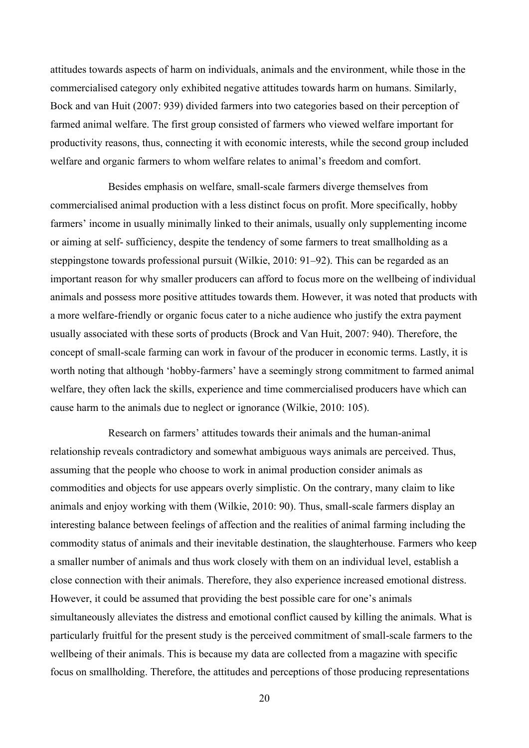attitudes towards aspects of harm on individuals, animals and the environment, while those in the commercialised category only exhibited negative attitudes towards harm on humans. Similarly, Bock and van Huit (2007: 939) divided farmers into two categories based on their perception of farmed animal welfare. The first group consisted of farmers who viewed welfare important for productivity reasons, thus, connecting it with economic interests, while the second group included welfare and organic farmers to whom welfare relates to animal's freedom and comfort.

Besides emphasis on welfare, small-scale farmers diverge themselves from commercialised animal production with a less distinct focus on profit. More specifically, hobby farmers' income in usually minimally linked to their animals, usually only supplementing income or aiming at self- sufficiency, despite the tendency of some farmers to treat smallholding as a steppingstone towards professional pursuit (Wilkie, 2010: 91–92). This can be regarded as an important reason for why smaller producers can afford to focus more on the wellbeing of individual animals and possess more positive attitudes towards them. However, it was noted that products with a more welfare-friendly or organic focus cater to a niche audience who justify the extra payment usually associated with these sorts of products (Brock and Van Huit, 2007: 940). Therefore, the concept of small-scale farming can work in favour of the producer in economic terms. Lastly, it is worth noting that although 'hobby-farmers' have a seemingly strong commitment to farmed animal welfare, they often lack the skills, experience and time commercialised producers have which can cause harm to the animals due to neglect or ignorance (Wilkie, 2010: 105).

Research on farmers' attitudes towards their animals and the human-animal relationship reveals contradictory and somewhat ambiguous ways animals are perceived. Thus, assuming that the people who choose to work in animal production consider animals as commodities and objects for use appears overly simplistic. On the contrary, many claim to like animals and enjoy working with them (Wilkie, 2010: 90). Thus, small-scale farmers display an interesting balance between feelings of affection and the realities of animal farming including the commodity status of animals and their inevitable destination, the slaughterhouse. Farmers who keep a smaller number of animals and thus work closely with them on an individual level, establish a close connection with their animals. Therefore, they also experience increased emotional distress. However, it could be assumed that providing the best possible care for one's animals simultaneously alleviates the distress and emotional conflict caused by killing the animals. What is particularly fruitful for the present study is the perceived commitment of small-scale farmers to the wellbeing of their animals. This is because my data are collected from a magazine with specific focus on smallholding. Therefore, the attitudes and perceptions of those producing representations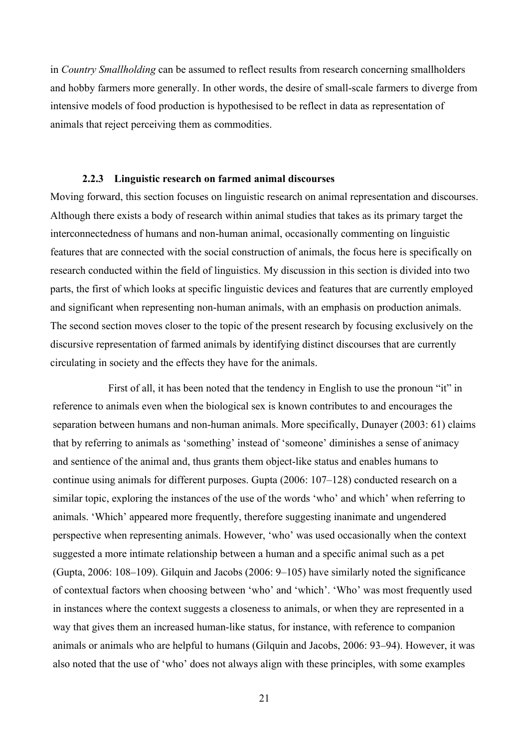in *Country Smallholding* can be assumed to reflect results from research concerning smallholders and hobby farmers more generally. In other words, the desire of small-scale farmers to diverge from intensive models of food production is hypothesised to be reflect in data as representation of animals that reject perceiving them as commodities.

#### **2.2.3 Linguistic research on farmed animal discourses**

<span id="page-24-0"></span>Moving forward, this section focuses on linguistic research on animal representation and discourses. Although there exists a body of research within animal studies that takes as its primary target the interconnectedness of humans and non-human animal, occasionally commenting on linguistic features that are connected with the social construction of animals, the focus here is specifically on research conducted within the field of linguistics. My discussion in this section is divided into two parts, the first of which looks at specific linguistic devices and features that are currently employed and significant when representing non-human animals, with an emphasis on production animals. The second section moves closer to the topic of the present research by focusing exclusively on the discursive representation of farmed animals by identifying distinct discourses that are currently circulating in society and the effects they have for the animals.

First of all, it has been noted that the tendency in English to use the pronoun "it" in reference to animals even when the biological sex is known contributes to and encourages the separation between humans and non-human animals. More specifically, Dunayer (2003: 61) claims that by referring to animals as 'something' instead of 'someone' diminishes a sense of animacy and sentience of the animal and, thus grants them object-like status and enables humans to continue using animals for different purposes. Gupta (2006: 107–128) conducted research on a similar topic, exploring the instances of the use of the words 'who' and which' when referring to animals. 'Which' appeared more frequently, therefore suggesting inanimate and ungendered perspective when representing animals. However, 'who' was used occasionally when the context suggested a more intimate relationship between a human and a specific animal such as a pet (Gupta, 2006: 108–109). Gilquin and Jacobs (2006: 9–105) have similarly noted the significance of contextual factors when choosing between 'who' and 'which'. 'Who' was most frequently used in instances where the context suggests a closeness to animals, or when they are represented in a way that gives them an increased human-like status, for instance, with reference to companion animals or animals who are helpful to humans (Gilquin and Jacobs, 2006: 93–94). However, it was also noted that the use of 'who' does not always align with these principles, with some examples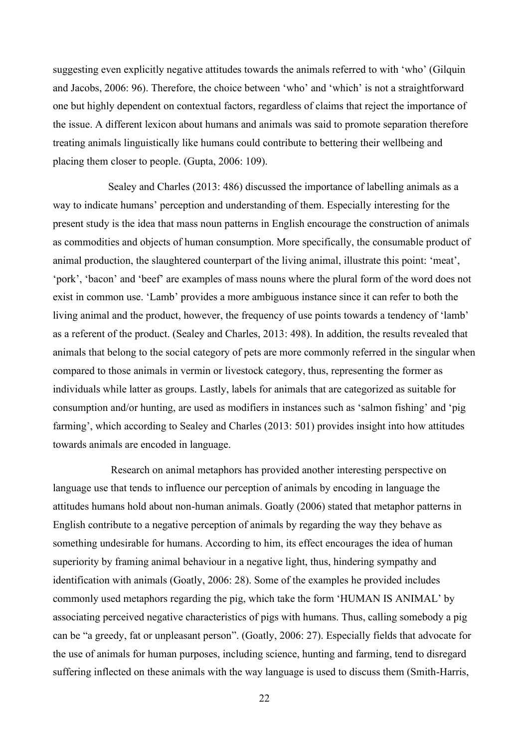suggesting even explicitly negative attitudes towards the animals referred to with 'who' (Gilquin and Jacobs, 2006: 96). Therefore, the choice between 'who' and 'which' is not a straightforward one but highly dependent on contextual factors, regardless of claims that reject the importance of the issue. A different lexicon about humans and animals was said to promote separation therefore treating animals linguistically like humans could contribute to bettering their wellbeing and placing them closer to people. (Gupta, 2006: 109).

Sealey and Charles (2013: 486) discussed the importance of labelling animals as a way to indicate humans' perception and understanding of them. Especially interesting for the present study is the idea that mass noun patterns in English encourage the construction of animals as commodities and objects of human consumption. More specifically, the consumable product of animal production, the slaughtered counterpart of the living animal, illustrate this point: 'meat', 'pork', 'bacon' and 'beef' are examples of mass nouns where the plural form of the word does not exist in common use. 'Lamb' provides a more ambiguous instance since it can refer to both the living animal and the product, however, the frequency of use points towards a tendency of 'lamb' as a referent of the product. (Sealey and Charles, 2013: 498). In addition, the results revealed that animals that belong to the social category of pets are more commonly referred in the singular when compared to those animals in vermin or livestock category, thus, representing the former as individuals while latter as groups. Lastly, labels for animals that are categorized as suitable for consumption and/or hunting, are used as modifiers in instances such as 'salmon fishing' and 'pig farming', which according to Sealey and Charles (2013: 501) provides insight into how attitudes towards animals are encoded in language.

Research on animal metaphors has provided another interesting perspective on language use that tends to influence our perception of animals by encoding in language the attitudes humans hold about non-human animals. Goatly (2006) stated that metaphor patterns in English contribute to a negative perception of animals by regarding the way they behave as something undesirable for humans. According to him, its effect encourages the idea of human superiority by framing animal behaviour in a negative light, thus, hindering sympathy and identification with animals (Goatly, 2006: 28). Some of the examples he provided includes commonly used metaphors regarding the pig, which take the form 'HUMAN IS ANIMAL' by associating perceived negative characteristics of pigs with humans. Thus, calling somebody a pig can be "a greedy, fat or unpleasant person". (Goatly, 2006: 27). Especially fields that advocate for the use of animals for human purposes, including science, hunting and farming, tend to disregard suffering inflected on these animals with the way language is used to discuss them (Smith-Harris,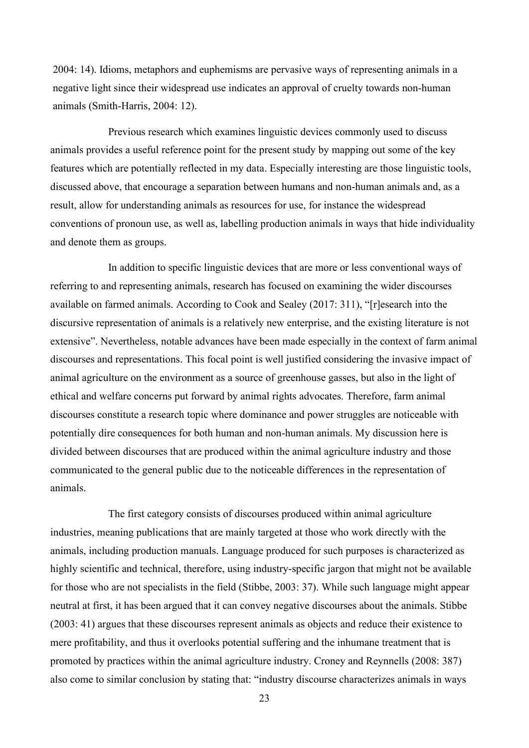2004: 14). Idioms, metaphors and euphemisms are pervasive ways of representing animals in a negative light since their widespread use indicates an approval of cruelty towards non-human animals (Smith-Harris, 2004: 12).

Previous research which examines linguistic devices commonly used to discuss animals provides a useful reference point for the present study by mapping out some of the key features which are potentially reflected in my data. Especially interesting are those linguistic tools, discussed above, that encourage a separation between humans and non-human animals and, as a result, allow for understanding animals as resources for use, for instance the widespread conventions of pronoun use, as well as, labelling production animals in ways that hide individuality and denote them as groups.

In addition to specific linguistic devices that are more or less conventional ways of referring to and representing animals, research has focused on examining the wider discourses available on farmed animals. According to Cook and Sealey (2017: 311), "[r]esearch into the discursive representation of animals is a relatively new enterprise, and the existing literature is not extensive". Nevertheless, notable advances have been made especially in the context of farm animal discourses and representations. This focal point is well justified considering the invasive impact of animal agriculture on the environment as a source of greenhouse gasses, but also in the light of ethical and welfare concerns put forward by animal rights advocates. Therefore, farm animal discourses constitute a research topic where dominance and power struggles are noticeable with potentially dire consequences for both human and non-human animals. My discussion here is divided between discourses that are produced within the animal agriculture industry and those communicated to the general public due to the noticeable differences in the representation of animals.

The first category consists of discourses produced within animal agriculture industries, meaning publications that are mainly targeted at those who work directly with the animals, including production manuals. Language produced for such purposes is characterized as highly scientific and technical, therefore, using industry-specific jargon that might not be available for those who are not specialists in the field (Stibbe, 2003: 37). While such language might appear neutral at first, it has been argued that it can convey negative discourses about the animals. Stibbe (2003: 41) argues that these discourses represent animals as objects and reduce their existence to mere profitability, and thus it overlooks potential suffering and the inhumane treatment that is promoted by practices within the animal agriculture industry. Croney and Reynnells (2008: 387) also come to similar conclusion by stating that: "industry discourse characterizes animals in ways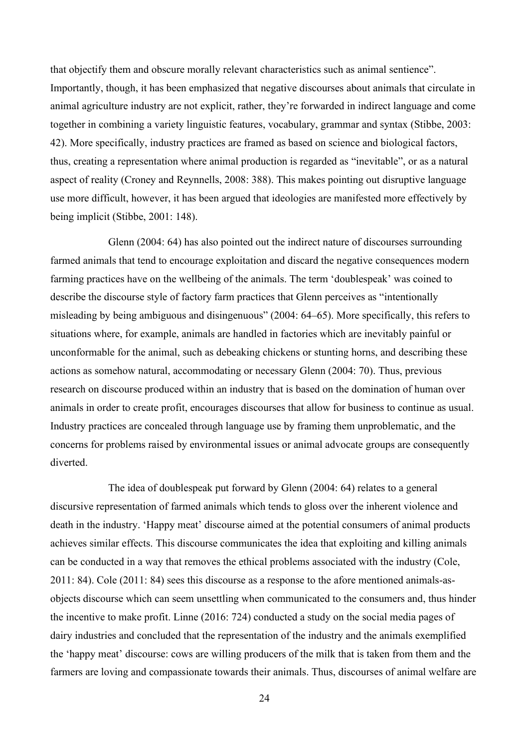that objectify them and obscure morally relevant characteristics such as animal sentience". Importantly, though, it has been emphasized that negative discourses about animals that circulate in animal agriculture industry are not explicit, rather, they're forwarded in indirect language and come together in combining a variety linguistic features, vocabulary, grammar and syntax (Stibbe, 2003: 42). More specifically, industry practices are framed as based on science and biological factors, thus, creating a representation where animal production is regarded as "inevitable", or as a natural aspect of reality (Croney and Reynnells, 2008: 388). This makes pointing out disruptive language use more difficult, however, it has been argued that ideologies are manifested more effectively by being implicit (Stibbe, 2001: 148).

Glenn (2004: 64) has also pointed out the indirect nature of discourses surrounding farmed animals that tend to encourage exploitation and discard the negative consequences modern farming practices have on the wellbeing of the animals. The term 'doublespeak' was coined to describe the discourse style of factory farm practices that Glenn perceives as "intentionally misleading by being ambiguous and disingenuous" (2004: 64–65). More specifically, this refers to situations where, for example, animals are handled in factories which are inevitably painful or unconformable for the animal, such as debeaking chickens or stunting horns, and describing these actions as somehow natural, accommodating or necessary Glenn (2004: 70). Thus, previous research on discourse produced within an industry that is based on the domination of human over animals in order to create profit, encourages discourses that allow for business to continue as usual. Industry practices are concealed through language use by framing them unproblematic, and the concerns for problems raised by environmental issues or animal advocate groups are consequently diverted.

The idea of doublespeak put forward by Glenn (2004: 64) relates to a general discursive representation of farmed animals which tends to gloss over the inherent violence and death in the industry. 'Happy meat' discourse aimed at the potential consumers of animal products achieves similar effects. This discourse communicates the idea that exploiting and killing animals can be conducted in a way that removes the ethical problems associated with the industry (Cole, 2011: 84). Cole (2011: 84) sees this discourse as a response to the afore mentioned animals-asobjects discourse which can seem unsettling when communicated to the consumers and, thus hinder the incentive to make profit. Linne (2016: 724) conducted a study on the social media pages of dairy industries and concluded that the representation of the industry and the animals exemplified the 'happy meat' discourse: cows are willing producers of the milk that is taken from them and the farmers are loving and compassionate towards their animals. Thus, discourses of animal welfare are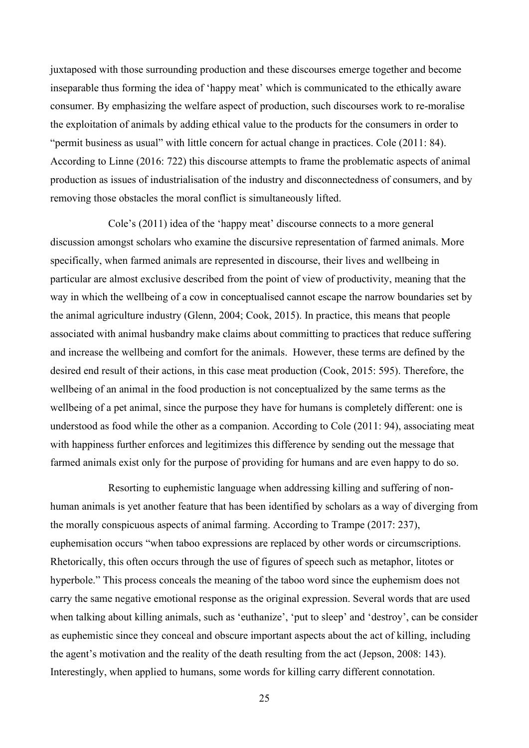juxtaposed with those surrounding production and these discourses emerge together and become inseparable thus forming the idea of 'happy meat' which is communicated to the ethically aware consumer. By emphasizing the welfare aspect of production, such discourses work to re-moralise the exploitation of animals by adding ethical value to the products for the consumers in order to "permit business as usual" with little concern for actual change in practices. Cole (2011: 84). According to Linne (2016: 722) this discourse attempts to frame the problematic aspects of animal production as issues of industrialisation of the industry and disconnectedness of consumers, and by removing those obstacles the moral conflict is simultaneously lifted.

Cole's (2011) idea of the 'happy meat' discourse connects to a more general discussion amongst scholars who examine the discursive representation of farmed animals. More specifically, when farmed animals are represented in discourse, their lives and wellbeing in particular are almost exclusive described from the point of view of productivity, meaning that the way in which the wellbeing of a cow in conceptualised cannot escape the narrow boundaries set by the animal agriculture industry (Glenn, 2004; Cook, 2015). In practice, this means that people associated with animal husbandry make claims about committing to practices that reduce suffering and increase the wellbeing and comfort for the animals. However, these terms are defined by the desired end result of their actions, in this case meat production (Cook, 2015: 595). Therefore, the wellbeing of an animal in the food production is not conceptualized by the same terms as the wellbeing of a pet animal, since the purpose they have for humans is completely different: one is understood as food while the other as a companion. According to Cole (2011: 94), associating meat with happiness further enforces and legitimizes this difference by sending out the message that farmed animals exist only for the purpose of providing for humans and are even happy to do so.

Resorting to euphemistic language when addressing killing and suffering of nonhuman animals is yet another feature that has been identified by scholars as a way of diverging from the morally conspicuous aspects of animal farming. According to Trampe (2017: 237), euphemisation occurs "when taboo expressions are replaced by other words or circumscriptions. Rhetorically, this often occurs through the use of figures of speech such as metaphor, litotes or hyperbole." This process conceals the meaning of the taboo word since the euphemism does not carry the same negative emotional response as the original expression. Several words that are used when talking about killing animals, such as 'euthanize', 'put to sleep' and 'destroy', can be consider as euphemistic since they conceal and obscure important aspects about the act of killing, including the agent's motivation and the reality of the death resulting from the act (Jepson, 2008: 143). Interestingly, when applied to humans, some words for killing carry different connotation.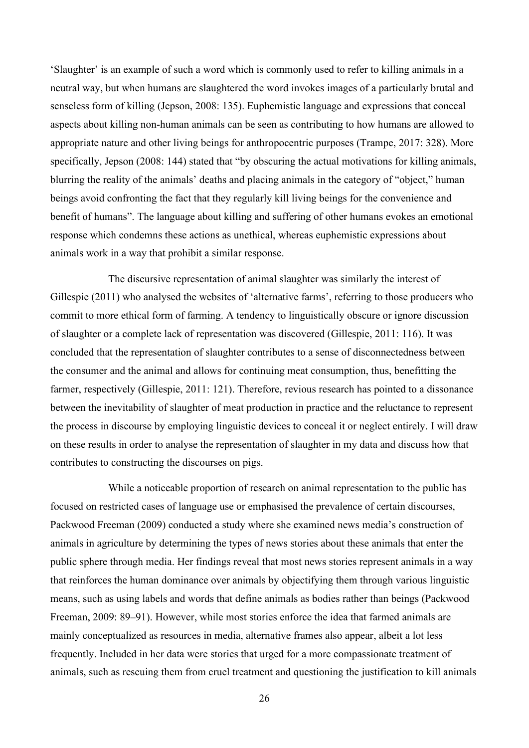'Slaughter' is an example of such a word which is commonly used to refer to killing animals in a neutral way, but when humans are slaughtered the word invokes images of a particularly brutal and senseless form of killing (Jepson, 2008: 135). Euphemistic language and expressions that conceal aspects about killing non-human animals can be seen as contributing to how humans are allowed to appropriate nature and other living beings for anthropocentric purposes (Trampe, 2017: 328). More specifically, Jepson (2008: 144) stated that "by obscuring the actual motivations for killing animals, blurring the reality of the animals' deaths and placing animals in the category of "object," human beings avoid confronting the fact that they regularly kill living beings for the convenience and benefit of humans". The language about killing and suffering of other humans evokes an emotional response which condemns these actions as unethical, whereas euphemistic expressions about animals work in a way that prohibit a similar response.

The discursive representation of animal slaughter was similarly the interest of Gillespie (2011) who analysed the websites of 'alternative farms', referring to those producers who commit to more ethical form of farming. A tendency to linguistically obscure or ignore discussion of slaughter or a complete lack of representation was discovered (Gillespie, 2011: 116). It was concluded that the representation of slaughter contributes to a sense of disconnectedness between the consumer and the animal and allows for continuing meat consumption, thus, benefitting the farmer, respectively (Gillespie, 2011: 121). Therefore, revious research has pointed to a dissonance between the inevitability of slaughter of meat production in practice and the reluctance to represent the process in discourse by employing linguistic devices to conceal it or neglect entirely. I will draw on these results in order to analyse the representation of slaughter in my data and discuss how that contributes to constructing the discourses on pigs.

While a noticeable proportion of research on animal representation to the public has focused on restricted cases of language use or emphasised the prevalence of certain discourses, Packwood Freeman (2009) conducted a study where she examined news media's construction of animals in agriculture by determining the types of news stories about these animals that enter the public sphere through media. Her findings reveal that most news stories represent animals in a way that reinforces the human dominance over animals by objectifying them through various linguistic means, such as using labels and words that define animals as bodies rather than beings (Packwood Freeman, 2009: 89–91). However, while most stories enforce the idea that farmed animals are mainly conceptualized as resources in media, alternative frames also appear, albeit a lot less frequently. Included in her data were stories that urged for a more compassionate treatment of animals, such as rescuing them from cruel treatment and questioning the justification to kill animals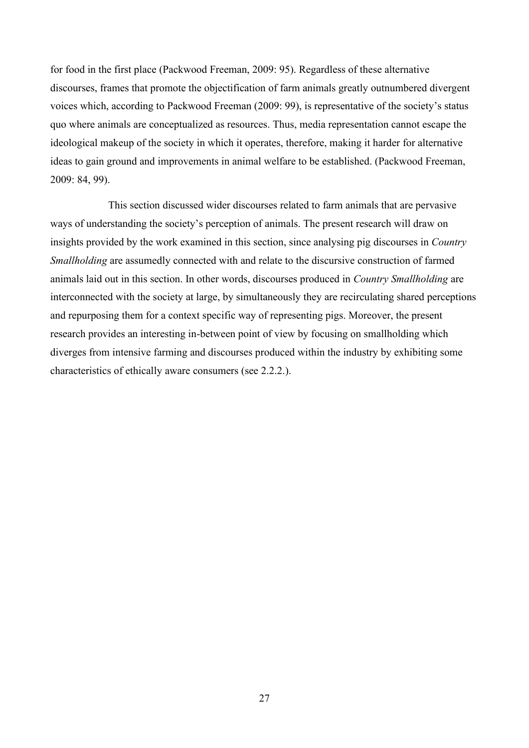for food in the first place (Packwood Freeman, 2009: 95). Regardless of these alternative discourses, frames that promote the objectification of farm animals greatly outnumbered divergent voices which, according to Packwood Freeman (2009: 99), is representative of the society's status quo where animals are conceptualized as resources. Thus, media representation cannot escape the ideological makeup of the society in which it operates, therefore, making it harder for alternative ideas to gain ground and improvements in animal welfare to be established. (Packwood Freeman, 2009: 84, 99).

This section discussed wider discourses related to farm animals that are pervasive ways of understanding the society's perception of animals. The present research will draw on insights provided by the work examined in this section, since analysing pig discourses in *Country Smallholding* are assumedly connected with and relate to the discursive construction of farmed animals laid out in this section. In other words, discourses produced in *Country Smallholding* are interconnected with the society at large, by simultaneously they are recirculating shared perceptions and repurposing them for a context specific way of representing pigs. Moreover, the present research provides an interesting in-between point of view by focusing on smallholding which diverges from intensive farming and discourses produced within the industry by exhibiting some characteristics of ethically aware consumers (see 2.2.2.).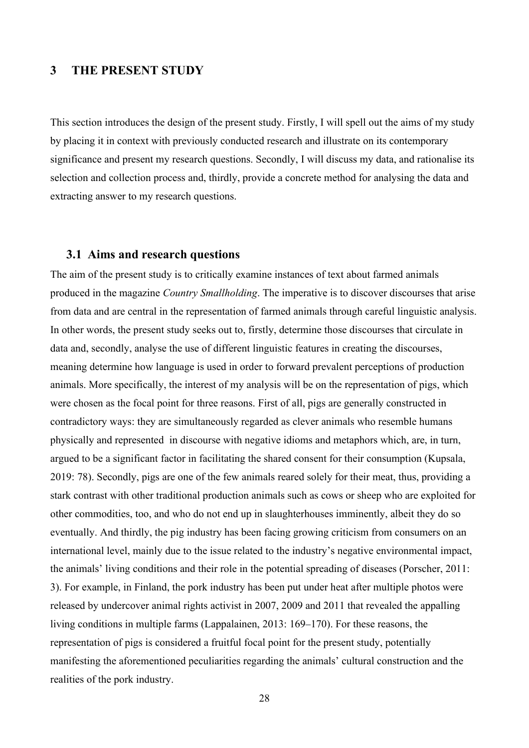## <span id="page-31-0"></span>**3 THE PRESENT STUDY**

This section introduces the design of the present study. Firstly, I will spell out the aims of my study by placing it in context with previously conducted research and illustrate on its contemporary significance and present my research questions. Secondly, I will discuss my data, and rationalise its selection and collection process and, thirdly, provide a concrete method for analysing the data and extracting answer to my research questions.

## <span id="page-31-1"></span>**3.1 Aims and research questions**

The aim of the present study is to critically examine instances of text about farmed animals produced in the magazine *Country Smallholding*. The imperative is to discover discourses that arise from data and are central in the representation of farmed animals through careful linguistic analysis. In other words, the present study seeks out to, firstly, determine those discourses that circulate in data and, secondly, analyse the use of different linguistic features in creating the discourses, meaning determine how language is used in order to forward prevalent perceptions of production animals. More specifically, the interest of my analysis will be on the representation of pigs, which were chosen as the focal point for three reasons. First of all, pigs are generally constructed in contradictory ways: they are simultaneously regarded as clever animals who resemble humans physically and represented in discourse with negative idioms and metaphors which, are, in turn, argued to be a significant factor in facilitating the shared consent for their consumption (Kupsala, 2019: 78). Secondly, pigs are one of the few animals reared solely for their meat, thus, providing a stark contrast with other traditional production animals such as cows or sheep who are exploited for other commodities, too, and who do not end up in slaughterhouses imminently, albeit they do so eventually. And thirdly, the pig industry has been facing growing criticism from consumers on an international level, mainly due to the issue related to the industry's negative environmental impact, the animals' living conditions and their role in the potential spreading of diseases (Porscher, 2011: 3). For example, in Finland, the pork industry has been put under heat after multiple photos were released by undercover animal rights activist in 2007, 2009 and 2011 that revealed the appalling living conditions in multiple farms (Lappalainen, 2013: 169–170). For these reasons, the representation of pigs is considered a fruitful focal point for the present study, potentially manifesting the aforementioned peculiarities regarding the animals' cultural construction and the realities of the pork industry.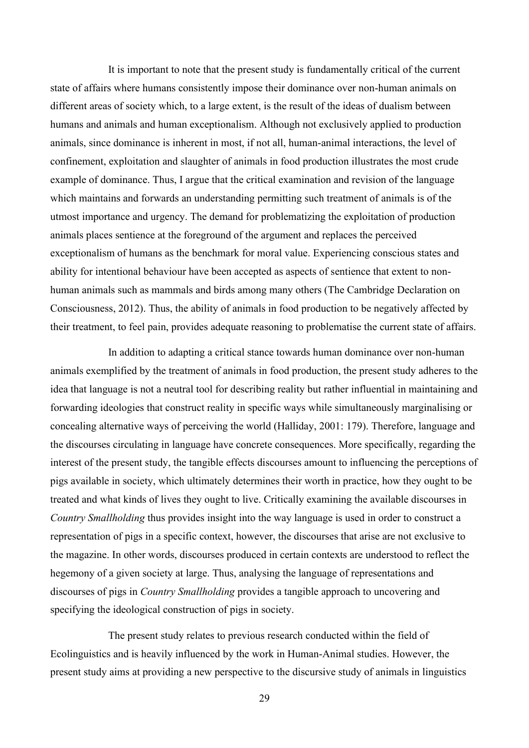It is important to note that the present study is fundamentally critical of the current state of affairs where humans consistently impose their dominance over non-human animals on different areas of society which, to a large extent, is the result of the ideas of dualism between humans and animals and human exceptionalism. Although not exclusively applied to production animals, since dominance is inherent in most, if not all, human-animal interactions, the level of confinement, exploitation and slaughter of animals in food production illustrates the most crude example of dominance. Thus, I argue that the critical examination and revision of the language which maintains and forwards an understanding permitting such treatment of animals is of the utmost importance and urgency. The demand for problematizing the exploitation of production animals places sentience at the foreground of the argument and replaces the perceived exceptionalism of humans as the benchmark for moral value. Experiencing conscious states and ability for intentional behaviour have been accepted as aspects of sentience that extent to nonhuman animals such as mammals and birds among many others (The Cambridge Declaration on Consciousness, 2012). Thus, the ability of animals in food production to be negatively affected by their treatment, to feel pain, provides adequate reasoning to problematise the current state of affairs.

In addition to adapting a critical stance towards human dominance over non-human animals exemplified by the treatment of animals in food production, the present study adheres to the idea that language is not a neutral tool for describing reality but rather influential in maintaining and forwarding ideologies that construct reality in specific ways while simultaneously marginalising or concealing alternative ways of perceiving the world (Halliday, 2001: 179). Therefore, language and the discourses circulating in language have concrete consequences. More specifically, regarding the interest of the present study, the tangible effects discourses amount to influencing the perceptions of pigs available in society, which ultimately determines their worth in practice, how they ought to be treated and what kinds of lives they ought to live. Critically examining the available discourses in *Country Smallholding* thus provides insight into the way language is used in order to construct a representation of pigs in a specific context, however, the discourses that arise are not exclusive to the magazine. In other words, discourses produced in certain contexts are understood to reflect the hegemony of a given society at large. Thus, analysing the language of representations and discourses of pigs in *Country Smallholding* provides a tangible approach to uncovering and specifying the ideological construction of pigs in society.

The present study relates to previous research conducted within the field of Ecolinguistics and is heavily influenced by the work in Human-Animal studies. However, the present study aims at providing a new perspective to the discursive study of animals in linguistics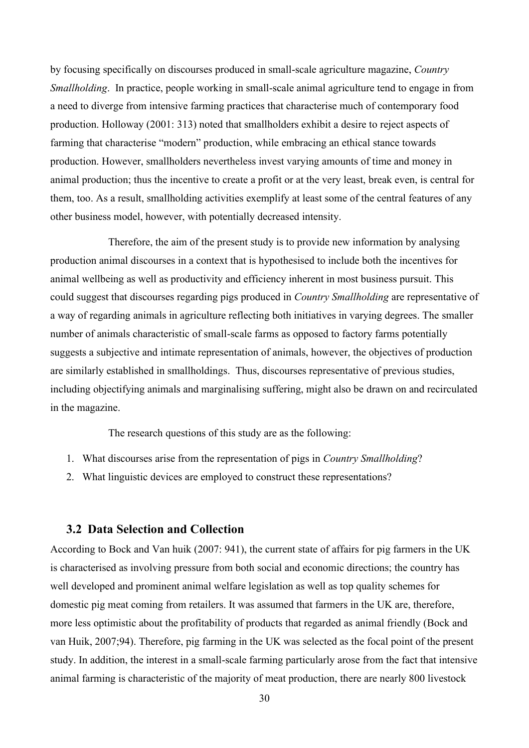by focusing specifically on discourses produced in small-scale agriculture magazine, *Country Smallholding*. In practice, people working in small-scale animal agriculture tend to engage in from a need to diverge from intensive farming practices that characterise much of contemporary food production. Holloway (2001: 313) noted that smallholders exhibit a desire to reject aspects of farming that characterise "modern" production, while embracing an ethical stance towards production. However, smallholders nevertheless invest varying amounts of time and money in animal production; thus the incentive to create a profit or at the very least, break even, is central for them, too. As a result, smallholding activities exemplify at least some of the central features of any other business model, however, with potentially decreased intensity.

Therefore, the aim of the present study is to provide new information by analysing production animal discourses in a context that is hypothesised to include both the incentives for animal wellbeing as well as productivity and efficiency inherent in most business pursuit. This could suggest that discourses regarding pigs produced in *Country Smallholding* are representative of a way of regarding animals in agriculture reflecting both initiatives in varying degrees. The smaller number of animals characteristic of small-scale farms as opposed to factory farms potentially suggests a subjective and intimate representation of animals, however, the objectives of production are similarly established in smallholdings. Thus, discourses representative of previous studies, including objectifying animals and marginalising suffering, might also be drawn on and recirculated in the magazine.

The research questions of this study are as the following:

- 1. What discourses arise from the representation of pigs in *Country Smallholding*?
- 2. What linguistic devices are employed to construct these representations?

### <span id="page-33-0"></span>**3.2 Data Selection and Collection**

According to Bock and Van huik (2007: 941), the current state of affairs for pig farmers in the UK is characterised as involving pressure from both social and economic directions; the country has well developed and prominent animal welfare legislation as well as top quality schemes for domestic pig meat coming from retailers. It was assumed that farmers in the UK are, therefore, more less optimistic about the profitability of products that regarded as animal friendly (Bock and van Huik, 2007;94). Therefore, pig farming in the UK was selected as the focal point of the present study. In addition, the interest in a small-scale farming particularly arose from the fact that intensive animal farming is characteristic of the majority of meat production, there are nearly 800 livestock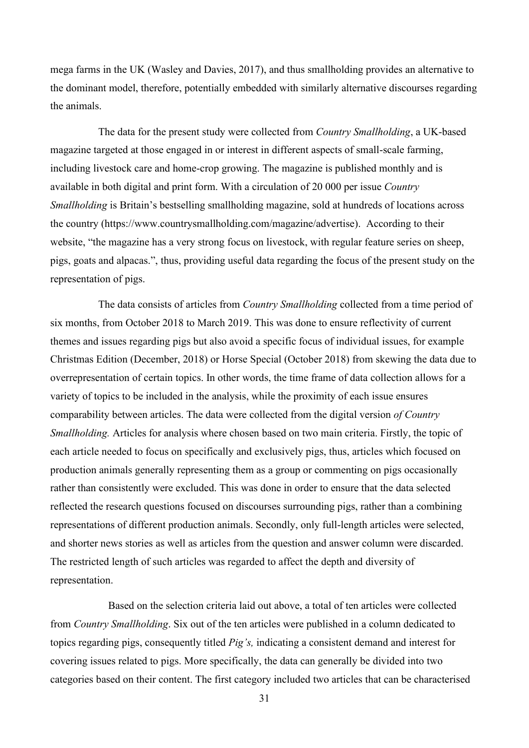mega farms in the UK (Wasley and Davies, 2017), and thus smallholding provides an alternative to the dominant model, therefore, potentially embedded with similarly alternative discourses regarding the animals.

The data for the present study were collected from *Country Smallholding*, a UK-based magazine targeted at those engaged in or interest in different aspects of small-scale farming, including livestock care and home-crop growing. The magazine is published monthly and is available in both digital and print form. With a circulation of 20 000 per issue *Country Smallholding* is Britain's bestselling smallholding magazine, sold at hundreds of locations across the country (https://www.countrysmallholding.com/magazine/advertise). According to their website, "the magazine has a very strong focus on livestock, with regular feature series on sheep, pigs, goats and alpacas.", thus, providing useful data regarding the focus of the present study on the representation of pigs.

The data consists of articles from *Country Smallholding* collected from a time period of six months, from October 2018 to March 2019. This was done to ensure reflectivity of current themes and issues regarding pigs but also avoid a specific focus of individual issues, for example Christmas Edition (December, 2018) or Horse Special (October 2018) from skewing the data due to overrepresentation of certain topics. In other words, the time frame of data collection allows for a variety of topics to be included in the analysis, while the proximity of each issue ensures comparability between articles. The data were collected from the digital version *of Country Smallholding.* Articles for analysis where chosen based on two main criteria. Firstly, the topic of each article needed to focus on specifically and exclusively pigs, thus, articles which focused on production animals generally representing them as a group or commenting on pigs occasionally rather than consistently were excluded. This was done in order to ensure that the data selected reflected the research questions focused on discourses surrounding pigs, rather than a combining representations of different production animals. Secondly, only full-length articles were selected, and shorter news stories as well as articles from the question and answer column were discarded. The restricted length of such articles was regarded to affect the depth and diversity of representation.

Based on the selection criteria laid out above, a total of ten articles were collected from *Country Smallholding*. Six out of the ten articles were published in a column dedicated to topics regarding pigs, consequently titled *Pig's,* indicating a consistent demand and interest for covering issues related to pigs. More specifically, the data can generally be divided into two categories based on their content. The first category included two articles that can be characterised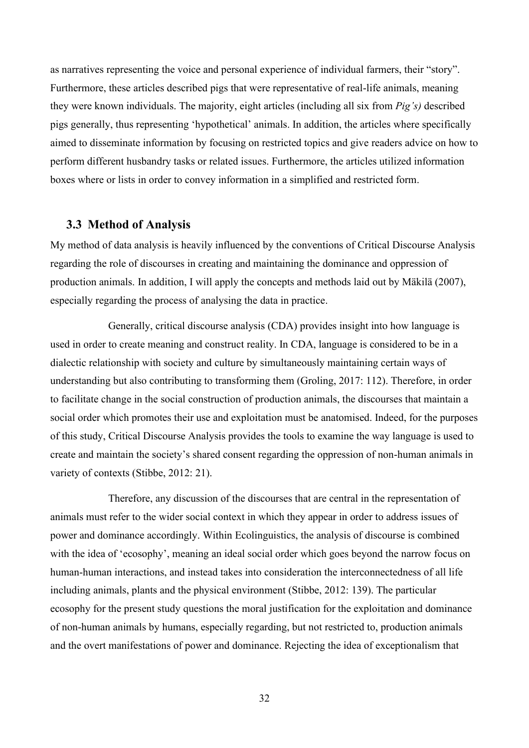as narratives representing the voice and personal experience of individual farmers, their "story". Furthermore, these articles described pigs that were representative of real-life animals, meaning they were known individuals. The majority, eight articles (including all six from *Pig's)* described pigs generally, thus representing 'hypothetical' animals. In addition, the articles where specifically aimed to disseminate information by focusing on restricted topics and give readers advice on how to perform different husbandry tasks or related issues. Furthermore, the articles utilized information boxes where or lists in order to convey information in a simplified and restricted form.

#### <span id="page-35-0"></span>**3.3 Method of Analysis**

My method of data analysis is heavily influenced by the conventions of Critical Discourse Analysis regarding the role of discourses in creating and maintaining the dominance and oppression of production animals. In addition, I will apply the concepts and methods laid out by Mäkilä (2007), especially regarding the process of analysing the data in practice.

Generally, critical discourse analysis (CDA) provides insight into how language is used in order to create meaning and construct reality. In CDA, language is considered to be in a dialectic relationship with society and culture by simultaneously maintaining certain ways of understanding but also contributing to transforming them (Groling, 2017: 112). Therefore, in order to facilitate change in the social construction of production animals, the discourses that maintain a social order which promotes their use and exploitation must be anatomised. Indeed, for the purposes of this study, Critical Discourse Analysis provides the tools to examine the way language is used to create and maintain the society's shared consent regarding the oppression of non-human animals in variety of contexts (Stibbe, 2012: 21).

Therefore, any discussion of the discourses that are central in the representation of animals must refer to the wider social context in which they appear in order to address issues of power and dominance accordingly. Within Ecolinguistics, the analysis of discourse is combined with the idea of 'ecosophy', meaning an ideal social order which goes beyond the narrow focus on human-human interactions, and instead takes into consideration the interconnectedness of all life including animals, plants and the physical environment (Stibbe, 2012: 139). The particular ecosophy for the present study questions the moral justification for the exploitation and dominance of non-human animals by humans, especially regarding, but not restricted to, production animals and the overt manifestations of power and dominance. Rejecting the idea of exceptionalism that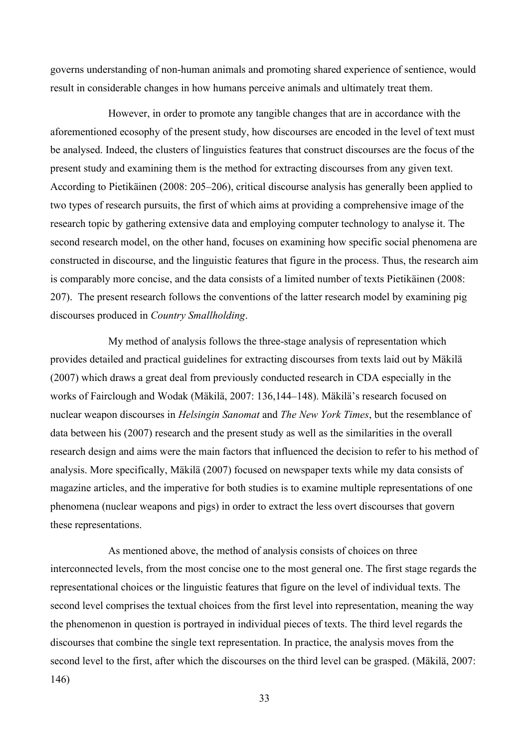governs understanding of non-human animals and promoting shared experience of sentience, would result in considerable changes in how humans perceive animals and ultimately treat them.

However, in order to promote any tangible changes that are in accordance with the aforementioned ecosophy of the present study, how discourses are encoded in the level of text must be analysed. Indeed, the clusters of linguistics features that construct discourses are the focus of the present study and examining them is the method for extracting discourses from any given text. According to Pietikäinen (2008: 205–206), critical discourse analysis has generally been applied to two types of research pursuits, the first of which aims at providing a comprehensive image of the research topic by gathering extensive data and employing computer technology to analyse it. The second research model, on the other hand, focuses on examining how specific social phenomena are constructed in discourse, and the linguistic features that figure in the process. Thus, the research aim is comparably more concise, and the data consists of a limited number of texts Pietikäinen (2008: 207). The present research follows the conventions of the latter research model by examining pig discourses produced in *Country Smallholding*.

My method of analysis follows the three-stage analysis of representation which provides detailed and practical guidelines for extracting discourses from texts laid out by Mäkilä (2007) which draws a great deal from previously conducted research in CDA especially in the works of Fairclough and Wodak (Mäkilä, 2007: 136,144–148). Mäkilä's research focused on nuclear weapon discourses in *Helsingin Sanomat* and *The New York Times*, but the resemblance of data between his (2007) research and the present study as well as the similarities in the overall research design and aims were the main factors that influenced the decision to refer to his method of analysis. More specifically, Mäkilä (2007) focused on newspaper texts while my data consists of magazine articles, and the imperative for both studies is to examine multiple representations of one phenomena (nuclear weapons and pigs) in order to extract the less overt discourses that govern these representations.

As mentioned above, the method of analysis consists of choices on three interconnected levels, from the most concise one to the most general one. The first stage regards the representational choices or the linguistic features that figure on the level of individual texts. The second level comprises the textual choices from the first level into representation, meaning the way the phenomenon in question is portrayed in individual pieces of texts. The third level regards the discourses that combine the single text representation. In practice, the analysis moves from the second level to the first, after which the discourses on the third level can be grasped. (Mäkilä, 2007: 146)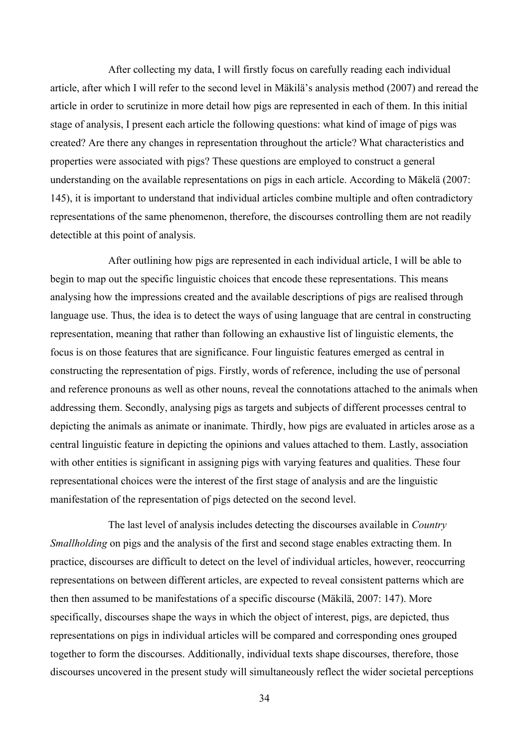After collecting my data, I will firstly focus on carefully reading each individual article, after which I will refer to the second level in Mäkilä's analysis method (2007) and reread the article in order to scrutinize in more detail how pigs are represented in each of them. In this initial stage of analysis, I present each article the following questions: what kind of image of pigs was created? Are there any changes in representation throughout the article? What characteristics and properties were associated with pigs? These questions are employed to construct a general understanding on the available representations on pigs in each article. According to Mäkelä (2007: 145), it is important to understand that individual articles combine multiple and often contradictory representations of the same phenomenon, therefore, the discourses controlling them are not readily detectible at this point of analysis.

After outlining how pigs are represented in each individual article, I will be able to begin to map out the specific linguistic choices that encode these representations. This means analysing how the impressions created and the available descriptions of pigs are realised through language use. Thus, the idea is to detect the ways of using language that are central in constructing representation, meaning that rather than following an exhaustive list of linguistic elements, the focus is on those features that are significance. Four linguistic features emerged as central in constructing the representation of pigs. Firstly, words of reference, including the use of personal and reference pronouns as well as other nouns, reveal the connotations attached to the animals when addressing them. Secondly, analysing pigs as targets and subjects of different processes central to depicting the animals as animate or inanimate. Thirdly, how pigs are evaluated in articles arose as a central linguistic feature in depicting the opinions and values attached to them. Lastly, association with other entities is significant in assigning pigs with varying features and qualities. These four representational choices were the interest of the first stage of analysis and are the linguistic manifestation of the representation of pigs detected on the second level.

The last level of analysis includes detecting the discourses available in *Country Smallholding* on pigs and the analysis of the first and second stage enables extracting them. In practice, discourses are difficult to detect on the level of individual articles, however, reoccurring representations on between different articles, are expected to reveal consistent patterns which are then then assumed to be manifestations of a specific discourse (Mäkilä, 2007: 147). More specifically, discourses shape the ways in which the object of interest, pigs, are depicted, thus representations on pigs in individual articles will be compared and corresponding ones grouped together to form the discourses. Additionally, individual texts shape discourses, therefore, those discourses uncovered in the present study will simultaneously reflect the wider societal perceptions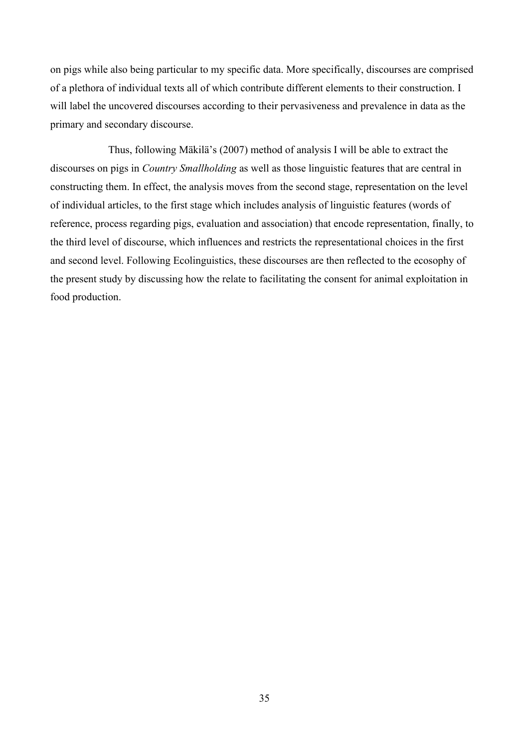on pigs while also being particular to my specific data. More specifically, discourses are comprised of a plethora of individual texts all of which contribute different elements to their construction. I will label the uncovered discourses according to their pervasiveness and prevalence in data as the primary and secondary discourse.

Thus, following Mäkilä's (2007) method of analysis I will be able to extract the discourses on pigs in *Country Smallholding* as well as those linguistic features that are central in constructing them. In effect, the analysis moves from the second stage, representation on the level of individual articles, to the first stage which includes analysis of linguistic features (words of reference, process regarding pigs, evaluation and association) that encode representation, finally, to the third level of discourse, which influences and restricts the representational choices in the first and second level. Following Ecolinguistics, these discourses are then reflected to the ecosophy of the present study by discussing how the relate to facilitating the consent for animal exploitation in food production.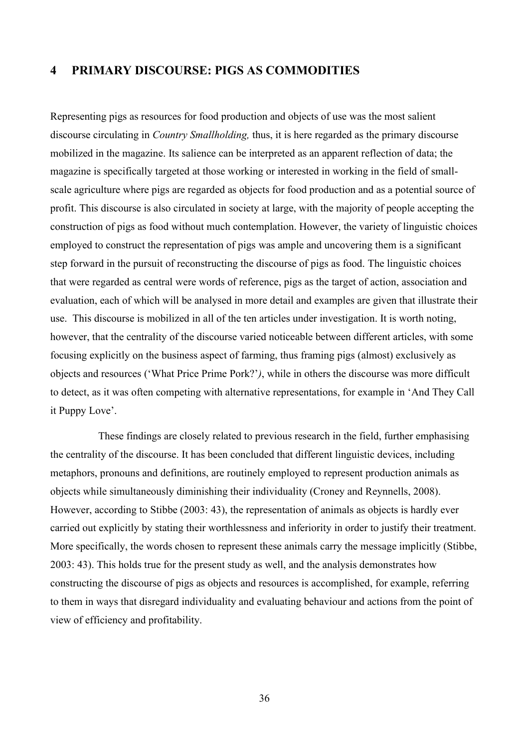# **4 PRIMARY DISCOURSE: PIGS AS COMMODITIES**

Representing pigs as resources for food production and objects of use was the most salient discourse circulating in *Country Smallholding,* thus, it is here regarded as the primary discourse mobilized in the magazine. Its salience can be interpreted as an apparent reflection of data; the magazine is specifically targeted at those working or interested in working in the field of smallscale agriculture where pigs are regarded as objects for food production and as a potential source of profit. This discourse is also circulated in society at large, with the majority of people accepting the construction of pigs as food without much contemplation. However, the variety of linguistic choices employed to construct the representation of pigs was ample and uncovering them is a significant step forward in the pursuit of reconstructing the discourse of pigs as food. The linguistic choices that were regarded as central were words of reference, pigs as the target of action, association and evaluation, each of which will be analysed in more detail and examples are given that illustrate their use. This discourse is mobilized in all of the ten articles under investigation. It is worth noting, however, that the centrality of the discourse varied noticeable between different articles, with some focusing explicitly on the business aspect of farming, thus framing pigs (almost) exclusively as objects and resources ('What Price Prime Pork?'*)*, while in others the discourse was more difficult to detect, as it was often competing with alternative representations, for example in 'And They Call it Puppy Love'.

These findings are closely related to previous research in the field, further emphasising the centrality of the discourse. It has been concluded that different linguistic devices, including metaphors, pronouns and definitions, are routinely employed to represent production animals as objects while simultaneously diminishing their individuality (Croney and Reynnells, 2008). However, according to Stibbe (2003: 43), the representation of animals as objects is hardly ever carried out explicitly by stating their worthlessness and inferiority in order to justify their treatment. More specifically, the words chosen to represent these animals carry the message implicitly (Stibbe, 2003: 43). This holds true for the present study as well, and the analysis demonstrates how constructing the discourse of pigs as objects and resources is accomplished, for example, referring to them in ways that disregard individuality and evaluating behaviour and actions from the point of view of efficiency and profitability.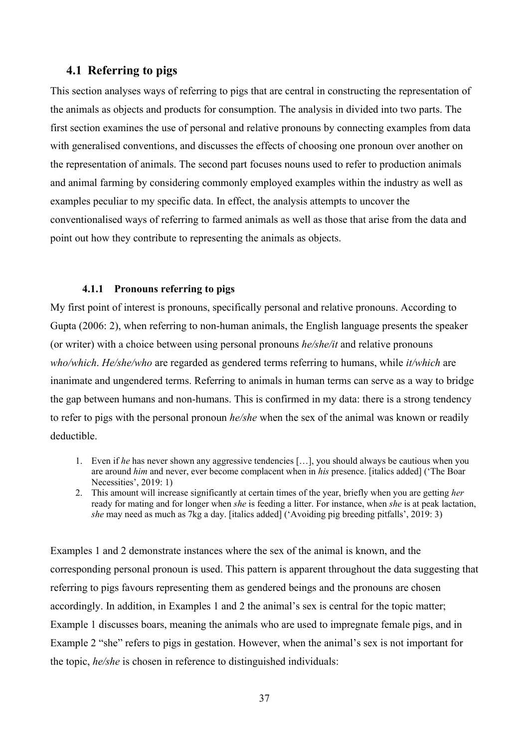## **4.1 Referring to pigs**

This section analyses ways of referring to pigs that are central in constructing the representation of the animals as objects and products for consumption. The analysis in divided into two parts. The first section examines the use of personal and relative pronouns by connecting examples from data with generalised conventions, and discusses the effects of choosing one pronoun over another on the representation of animals. The second part focuses nouns used to refer to production animals and animal farming by considering commonly employed examples within the industry as well as examples peculiar to my specific data. In effect, the analysis attempts to uncover the conventionalised ways of referring to farmed animals as well as those that arise from the data and point out how they contribute to representing the animals as objects.

### **4.1.1 Pronouns referring to pigs**

My first point of interest is pronouns, specifically personal and relative pronouns. According to Gupta (2006: 2), when referring to non-human animals, the English language presents the speaker (or writer) with a choice between using personal pronouns *he/she/it* and relative pronouns *who/which*. *He/she/who* are regarded as gendered terms referring to humans, while *it/which* are inanimate and ungendered terms. Referring to animals in human terms can serve as a way to bridge the gap between humans and non-humans. This is confirmed in my data: there is a strong tendency to refer to pigs with the personal pronoun *he/she* when the sex of the animal was known or readily deductible.

- 1. Even if *he* has never shown any aggressive tendencies […], you should always be cautious when you are around *him* and never, ever become complacent when in *his* presence. [italics added] ('The Boar Necessities', 2019: 1)
- 2. This amount will increase significantly at certain times of the year, briefly when you are getting *her* ready for mating and for longer when *she* is feeding a litter. For instance, when *she* is at peak lactation, *she* may need as much as 7kg a day. [italics added] ('Avoiding pig breeding pitfalls', 2019: 3)

Examples 1 and 2 demonstrate instances where the sex of the animal is known, and the corresponding personal pronoun is used. This pattern is apparent throughout the data suggesting that referring to pigs favours representing them as gendered beings and the pronouns are chosen accordingly. In addition, in Examples 1 and 2 the animal's sex is central for the topic matter; Example 1 discusses boars, meaning the animals who are used to impregnate female pigs, and in Example 2 "she" refers to pigs in gestation. However, when the animal's sex is not important for the topic, *he/she* is chosen in reference to distinguished individuals: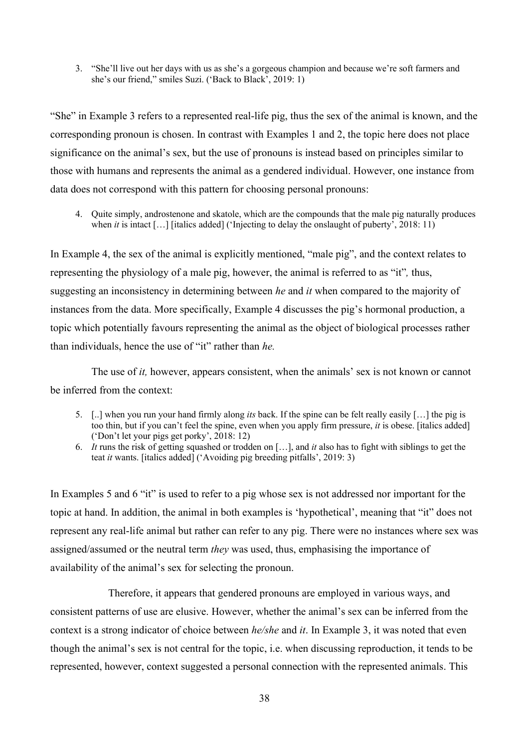3. "She'll live out her days with us as she's a gorgeous champion and because we're soft farmers and she's our friend," smiles Suzi. ('Back to Black', 2019: 1)

"She" in Example 3 refers to a represented real-life pig, thus the sex of the animal is known, and the corresponding pronoun is chosen. In contrast with Examples 1 and 2, the topic here does not place significance on the animal's sex, but the use of pronouns is instead based on principles similar to those with humans and represents the animal as a gendered individual. However, one instance from data does not correspond with this pattern for choosing personal pronouns:

4. Quite simply, androstenone and skatole, which are the compounds that the male pig naturally produces when *it* is intact [...] [italics added] ('Injecting to delay the onslaught of puberty', 2018: 11)

In Example 4, the sex of the animal is explicitly mentioned, "male pig", and the context relates to representing the physiology of a male pig, however, the animal is referred to as "it"*,* thus, suggesting an inconsistency in determining between *he* and *it* when compared to the majority of instances from the data. More specifically, Example 4 discusses the pig's hormonal production, a topic which potentially favours representing the animal as the object of biological processes rather than individuals, hence the use of "it" rather than *he.* 

The use of *it*, however, appears consistent, when the animals' sex is not known or cannot be inferred from the context:

- 5. [..] when you run your hand firmly along *its* back. If the spine can be felt really easily […] the pig is too thin, but if you can't feel the spine, even when you apply firm pressure, *it* is obese. [italics added] ('Don't let your pigs get porky', 2018: 12)
- 6. *It* runs the risk of getting squashed or trodden on […], and *it* also has to fight with siblings to get the teat *it* wants. [italics added] ('Avoiding pig breeding pitfalls', 2019: 3)

In Examples 5 and 6 "it" is used to refer to a pig whose sex is not addressed nor important for the topic at hand. In addition, the animal in both examples is 'hypothetical', meaning that "it" does not represent any real-life animal but rather can refer to any pig. There were no instances where sex was assigned/assumed or the neutral term *they* was used, thus, emphasising the importance of availability of the animal's sex for selecting the pronoun.

Therefore, it appears that gendered pronouns are employed in various ways, and consistent patterns of use are elusive. However, whether the animal's sex can be inferred from the context is a strong indicator of choice between *he/she* and *it*. In Example 3, it was noted that even though the animal's sex is not central for the topic, i.e. when discussing reproduction, it tends to be represented, however, context suggested a personal connection with the represented animals. This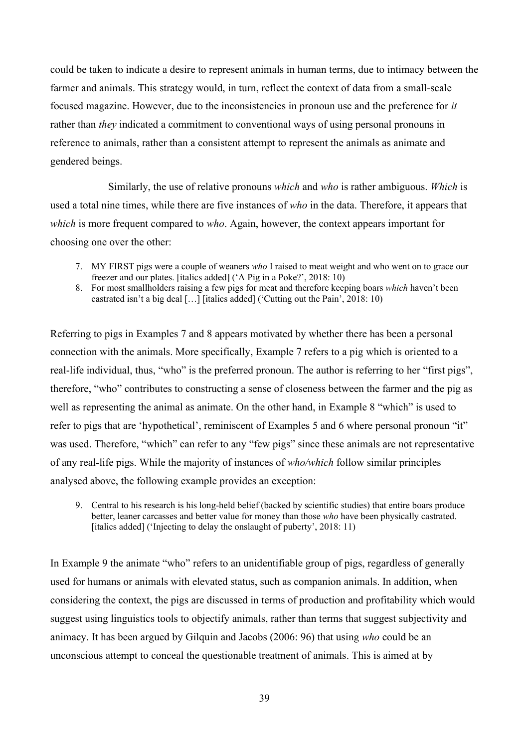could be taken to indicate a desire to represent animals in human terms, due to intimacy between the farmer and animals. This strategy would, in turn, reflect the context of data from a small-scale focused magazine. However, due to the inconsistencies in pronoun use and the preference for *it*  rather than *they* indicated a commitment to conventional ways of using personal pronouns in reference to animals, rather than a consistent attempt to represent the animals as animate and gendered beings.

Similarly, the use of relative pronouns *which* and *who* is rather ambiguous. *Which* is used a total nine times, while there are five instances of *who* in the data. Therefore, it appears that *which* is more frequent compared to *who*. Again, however, the context appears important for choosing one over the other:

- 7. MY FIRST pigs were a couple of weaners *who* I raised to meat weight and who went on to grace our freezer and our plates. [italics added] ('A Pig in a Poke?', 2018: 10)
- 8. For most smallholders raising a few pigs for meat and therefore keeping boars *which* haven't been castrated isn't a big deal  $\left[ \ldots \right]$  [italics added] ('Cutting out the Pain', 2018: 10)

Referring to pigs in Examples 7 and 8 appears motivated by whether there has been a personal connection with the animals. More specifically, Example 7 refers to a pig which is oriented to a real-life individual, thus, "who" is the preferred pronoun. The author is referring to her "first pigs", therefore, "who" contributes to constructing a sense of closeness between the farmer and the pig as well as representing the animal as animate. On the other hand, in Example 8 "which" is used to refer to pigs that are 'hypothetical', reminiscent of Examples 5 and 6 where personal pronoun "it" was used. Therefore, "which" can refer to any "few pigs" since these animals are not representative of any real-life pigs. While the majority of instances of *who/which* follow similar principles analysed above, the following example provides an exception:

9. Central to his research is his long-held belief (backed by scientific studies) that entire boars produce better, leaner carcasses and better value for money than those *who* have been physically castrated. [italics added] ('Injecting to delay the onslaught of puberty', 2018: 11)

In Example 9 the animate "who" refers to an unidentifiable group of pigs, regardless of generally used for humans or animals with elevated status, such as companion animals. In addition, when considering the context, the pigs are discussed in terms of production and profitability which would suggest using linguistics tools to objectify animals, rather than terms that suggest subjectivity and animacy. It has been argued by Gilquin and Jacobs (2006: 96) that using *who* could be an unconscious attempt to conceal the questionable treatment of animals. This is aimed at by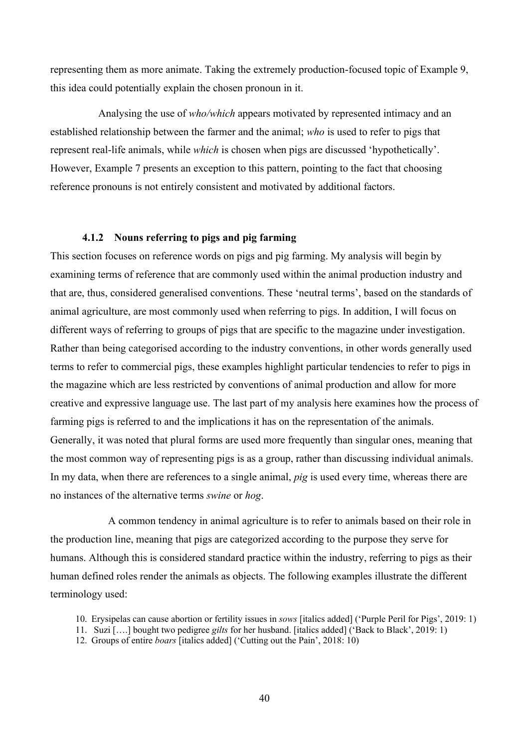representing them as more animate. Taking the extremely production-focused topic of Example 9, this idea could potentially explain the chosen pronoun in it.

Analysing the use of *who/which* appears motivated by represented intimacy and an established relationship between the farmer and the animal; *who* is used to refer to pigs that represent real-life animals, while *which* is chosen when pigs are discussed 'hypothetically'. However, Example 7 presents an exception to this pattern, pointing to the fact that choosing reference pronouns is not entirely consistent and motivated by additional factors.

### **4.1.2 Nouns referring to pigs and pig farming**

This section focuses on reference words on pigs and pig farming. My analysis will begin by examining terms of reference that are commonly used within the animal production industry and that are, thus, considered generalised conventions. These 'neutral terms', based on the standards of animal agriculture, are most commonly used when referring to pigs. In addition, I will focus on different ways of referring to groups of pigs that are specific to the magazine under investigation. Rather than being categorised according to the industry conventions, in other words generally used terms to refer to commercial pigs, these examples highlight particular tendencies to refer to pigs in the magazine which are less restricted by conventions of animal production and allow for more creative and expressive language use. The last part of my analysis here examines how the process of farming pigs is referred to and the implications it has on the representation of the animals. Generally, it was noted that plural forms are used more frequently than singular ones, meaning that the most common way of representing pigs is as a group, rather than discussing individual animals. In my data, when there are references to a single animal, *pig* is used every time, whereas there are no instances of the alternative terms *swine* or *hog*.

A common tendency in animal agriculture is to refer to animals based on their role in the production line, meaning that pigs are categorized according to the purpose they serve for humans. Although this is considered standard practice within the industry, referring to pigs as their human defined roles render the animals as objects. The following examples illustrate the different terminology used:

- 10. Erysipelas can cause abortion or fertility issues in *sows* [italics added] ('Purple Peril for Pigs', 2019: 1)
- 11. Suzi [….] bought two pedigree *gilts* for her husband. [italics added] ('Back to Black', 2019: 1)
- 12. Groups of entire *boars* [italics added] ('Cutting out the Pain', 2018: 10)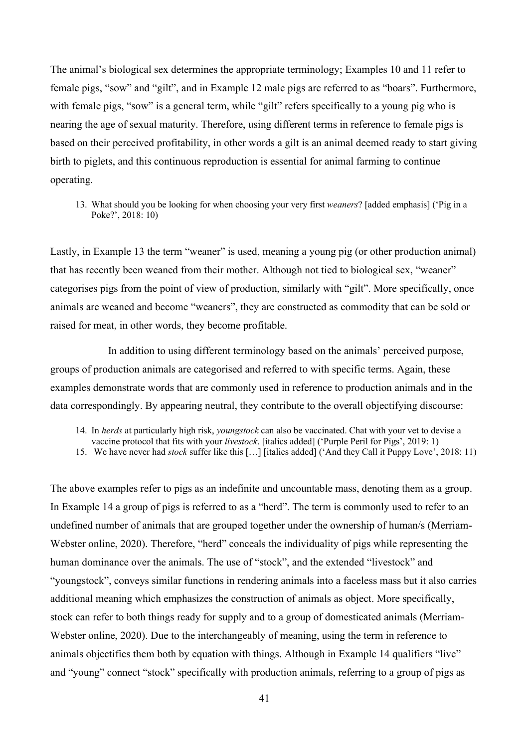The animal's biological sex determines the appropriate terminology; Examples 10 and 11 refer to female pigs, "sow" and "gilt", and in Example 12 male pigs are referred to as "boars". Furthermore, with female pigs, "sow" is a general term, while "gilt" refers specifically to a young pig who is nearing the age of sexual maturity. Therefore, using different terms in reference to female pigs is based on their perceived profitability, in other words a gilt is an animal deemed ready to start giving birth to piglets, and this continuous reproduction is essential for animal farming to continue operating.

13. What should you be looking for when choosing your very first *weaners*? [added emphasis] ('Pig in a Poke?', 2018: 10)

Lastly, in Example 13 the term "weaner" is used, meaning a young pig (or other production animal) that has recently been weaned from their mother. Although not tied to biological sex, "weaner" categorises pigs from the point of view of production, similarly with "gilt". More specifically, once animals are weaned and become "weaners", they are constructed as commodity that can be sold or raised for meat, in other words, they become profitable.

In addition to using different terminology based on the animals' perceived purpose, groups of production animals are categorised and referred to with specific terms. Again, these examples demonstrate words that are commonly used in reference to production animals and in the data correspondingly. By appearing neutral, they contribute to the overall objectifying discourse:

- 14. In *herds* at particularly high risk, *youngstock* can also be vaccinated. Chat with your vet to devise a vaccine protocol that fits with your *livestock*. [italics added] ('Purple Peril for Pigs', 2019: 1)
- 15. We have never had *stock* suffer like this […] [italics added] ('And they Call it Puppy Love', 2018: 11)

The above examples refer to pigs as an indefinite and uncountable mass, denoting them as a group. In Example 14 a group of pigs is referred to as a "herd". The term is commonly used to refer to an undefined number of animals that are grouped together under the ownership of human/s (Merriam-Webster online, 2020). Therefore, "herd" conceals the individuality of pigs while representing the human dominance over the animals. The use of "stock", and the extended "livestock" and "youngstock", conveys similar functions in rendering animals into a faceless mass but it also carries additional meaning which emphasizes the construction of animals as object. More specifically, stock can refer to both things ready for supply and to a group of domesticated animals (Merriam-Webster online, 2020). Due to the interchangeably of meaning, using the term in reference to animals objectifies them both by equation with things. Although in Example 14 qualifiers "live" and "young" connect "stock" specifically with production animals, referring to a group of pigs as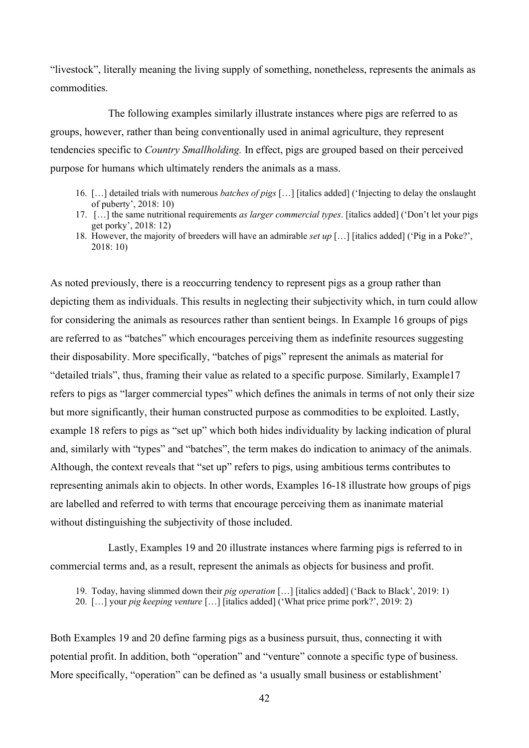"livestock", literally meaning the living supply of something, nonetheless, represents the animals as commodities.

The following examples similarly illustrate instances where pigs are referred to as groups, however, rather than being conventionally used in animal agriculture, they represent tendencies specific to *Country Smallholding.* In effect, pigs are grouped based on their perceived purpose for humans which ultimately renders the animals as a mass.

- 16. […] detailed trials with numerous *batches of pigs* […] [italics added] ('Injecting to delay the onslaught of puberty', 2018: 10)
- 17. […] the same nutritional requirements *as larger commercial types*. [italics added] ('Don't let your pigs get porky', 2018: 12)
- 18. However, the majority of breeders will have an admirable *set up* […] [italics added] ('Pig in a Poke?', 2018: 10)

As noted previously, there is a reoccurring tendency to represent pigs as a group rather than depicting them as individuals. This results in neglecting their subjectivity which, in turn could allow for considering the animals as resources rather than sentient beings. In Example 16 groups of pigs are referred to as "batches" which encourages perceiving them as indefinite resources suggesting their disposability. More specifically, "batches of pigs" represent the animals as material for "detailed trials", thus, framing their value as related to a specific purpose. Similarly, Example17 refers to pigs as "larger commercial types" which defines the animals in terms of not only their size but more significantly, their human constructed purpose as commodities to be exploited. Lastly, example 18 refers to pigs as "set up" which both hides individuality by lacking indication of plural and, similarly with "types" and "batches", the term makes do indication to animacy of the animals. Although, the context reveals that "set up" refers to pigs, using ambitious terms contributes to representing animals akin to objects. In other words, Examples 16-18 illustrate how groups of pigs are labelled and referred to with terms that encourage perceiving them as inanimate material without distinguishing the subjectivity of those included.

Lastly, Examples 19 and 20 illustrate instances where farming pigs is referred to in commercial terms and, as a result, represent the animals as objects for business and profit.

Both Examples 19 and 20 define farming pigs as a business pursuit, thus, connecting it with potential profit. In addition, both "operation" and "venture" connote a specific type of business. More specifically, "operation" can be defined as 'a usually small business or establishment'

<sup>19.</sup> Today, having slimmed down their *pig operation* […] [italics added] ('Back to Black', 2019: 1)

<sup>20.</sup> […] your *pig keeping venture* […] [italics added] ('What price prime pork?', 2019: 2)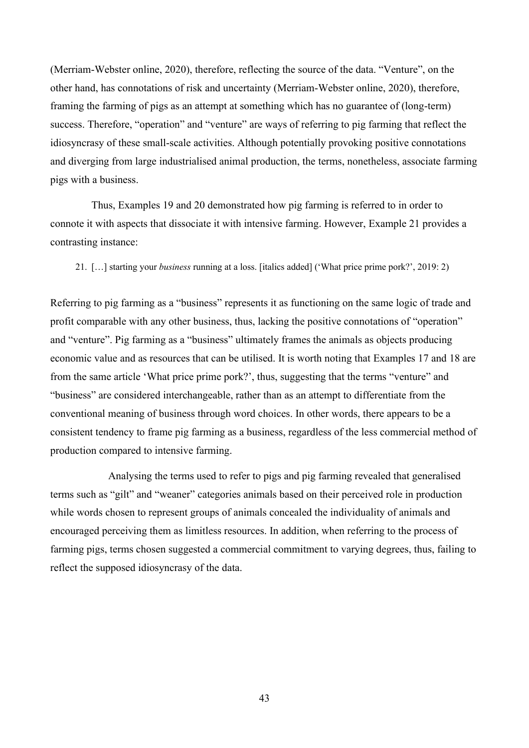(Merriam-Webster online, 2020), therefore, reflecting the source of the data. "Venture", on the other hand, has connotations of risk and uncertainty (Merriam-Webster online, 2020), therefore, framing the farming of pigs as an attempt at something which has no guarantee of (long-term) success. Therefore, "operation" and "venture" are ways of referring to pig farming that reflect the idiosyncrasy of these small-scale activities. Although potentially provoking positive connotations and diverging from large industrialised animal production, the terms, nonetheless, associate farming pigs with a business.

Thus, Examples 19 and 20 demonstrated how pig farming is referred to in order to connote it with aspects that dissociate it with intensive farming. However, Example 21 provides a contrasting instance:

21. […] starting your *business* running at a loss. [italics added] ('What price prime pork?', 2019: 2)

Referring to pig farming as a "business" represents it as functioning on the same logic of trade and profit comparable with any other business, thus, lacking the positive connotations of "operation" and "venture". Pig farming as a "business" ultimately frames the animals as objects producing economic value and as resources that can be utilised. It is worth noting that Examples 17 and 18 are from the same article 'What price prime pork?', thus, suggesting that the terms "venture" and "business" are considered interchangeable, rather than as an attempt to differentiate from the conventional meaning of business through word choices. In other words, there appears to be a consistent tendency to frame pig farming as a business, regardless of the less commercial method of production compared to intensive farming.

Analysing the terms used to refer to pigs and pig farming revealed that generalised terms such as "gilt" and "weaner" categories animals based on their perceived role in production while words chosen to represent groups of animals concealed the individuality of animals and encouraged perceiving them as limitless resources. In addition, when referring to the process of farming pigs, terms chosen suggested a commercial commitment to varying degrees, thus, failing to reflect the supposed idiosyncrasy of the data.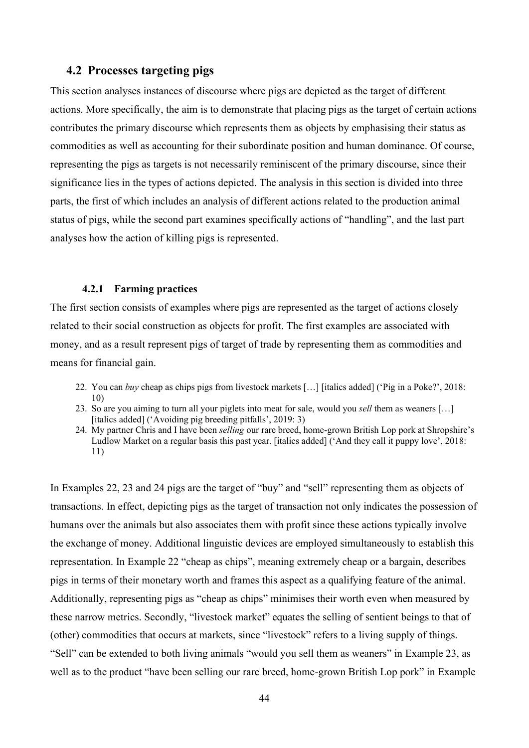## **4.2 Processes targeting pigs**

This section analyses instances of discourse where pigs are depicted as the target of different actions. More specifically, the aim is to demonstrate that placing pigs as the target of certain actions contributes the primary discourse which represents them as objects by emphasising their status as commodities as well as accounting for their subordinate position and human dominance. Of course, representing the pigs as targets is not necessarily reminiscent of the primary discourse, since their significance lies in the types of actions depicted. The analysis in this section is divided into three parts, the first of which includes an analysis of different actions related to the production animal status of pigs, while the second part examines specifically actions of "handling", and the last part analyses how the action of killing pigs is represented.

#### **4.2.1 Farming practices**

The first section consists of examples where pigs are represented as the target of actions closely related to their social construction as objects for profit. The first examples are associated with money, and as a result represent pigs of target of trade by representing them as commodities and means for financial gain.

- 22. You can *buy* cheap as chips pigs from livestock markets […] [italics added] ('Pig in a Poke?', 2018: 10)
- 23. So are you aiming to turn all your piglets into meat for sale, would you *sell* them as weaners […] [italics added] ('Avoiding pig breeding pitfalls', 2019: 3)
- 24. My partner Chris and I have been *selling* our rare breed, home-grown British Lop pork at Shropshire's Ludlow Market on a regular basis this past year. [italics added] ('And they call it puppy love', 2018: 11)

In Examples 22, 23 and 24 pigs are the target of "buy" and "sell" representing them as objects of transactions. In effect, depicting pigs as the target of transaction not only indicates the possession of humans over the animals but also associates them with profit since these actions typically involve the exchange of money. Additional linguistic devices are employed simultaneously to establish this representation. In Example 22 "cheap as chips", meaning extremely cheap or a bargain, describes pigs in terms of their monetary worth and frames this aspect as a qualifying feature of the animal. Additionally, representing pigs as "cheap as chips" minimises their worth even when measured by these narrow metrics. Secondly, "livestock market" equates the selling of sentient beings to that of (other) commodities that occurs at markets, since "livestock" refers to a living supply of things. "Sell" can be extended to both living animals "would you sell them as weaners" in Example 23, as well as to the product "have been selling our rare breed, home-grown British Lop pork" in Example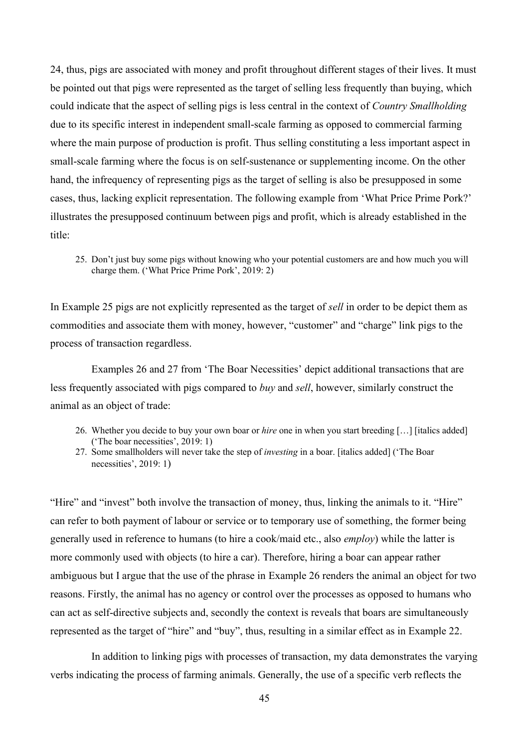24, thus, pigs are associated with money and profit throughout different stages of their lives. It must be pointed out that pigs were represented as the target of selling less frequently than buying, which could indicate that the aspect of selling pigs is less central in the context of *Country Smallholding* due to its specific interest in independent small-scale farming as opposed to commercial farming where the main purpose of production is profit. Thus selling constituting a less important aspect in small-scale farming where the focus is on self-sustenance or supplementing income. On the other hand, the infrequency of representing pigs as the target of selling is also be presupposed in some cases, thus, lacking explicit representation. The following example from 'What Price Prime Pork?' illustrates the presupposed continuum between pigs and profit, which is already established in the title:

25. Don't just buy some pigs without knowing who your potential customers are and how much you will charge them. ('What Price Prime Pork', 2019: 2)

In Example 25 pigs are not explicitly represented as the target of *sell* in order to be depict them as commodities and associate them with money, however, "customer" and "charge" link pigs to the process of transaction regardless.

Examples 26 and 27 from 'The Boar Necessities' depict additional transactions that are less frequently associated with pigs compared to *buy* and *sell*, however, similarly construct the animal as an object of trade:

- 26. Whether you decide to buy your own boar or *hire* one in when you start breeding […] [italics added] ('The boar necessities', 2019: 1)
- 27. Some smallholders will never take the step of *investing* in a boar. [italics added] ('The Boar necessities', 2019: 1)

"Hire" and "invest" both involve the transaction of money, thus, linking the animals to it. "Hire" can refer to both payment of labour or service or to temporary use of something, the former being generally used in reference to humans (to hire a cook/maid etc., also *employ*) while the latter is more commonly used with objects (to hire a car). Therefore, hiring a boar can appear rather ambiguous but I argue that the use of the phrase in Example 26 renders the animal an object for two reasons. Firstly, the animal has no agency or control over the processes as opposed to humans who can act as self-directive subjects and, secondly the context is reveals that boars are simultaneously represented as the target of "hire" and "buy", thus, resulting in a similar effect as in Example 22.

In addition to linking pigs with processes of transaction, my data demonstrates the varying verbs indicating the process of farming animals. Generally, the use of a specific verb reflects the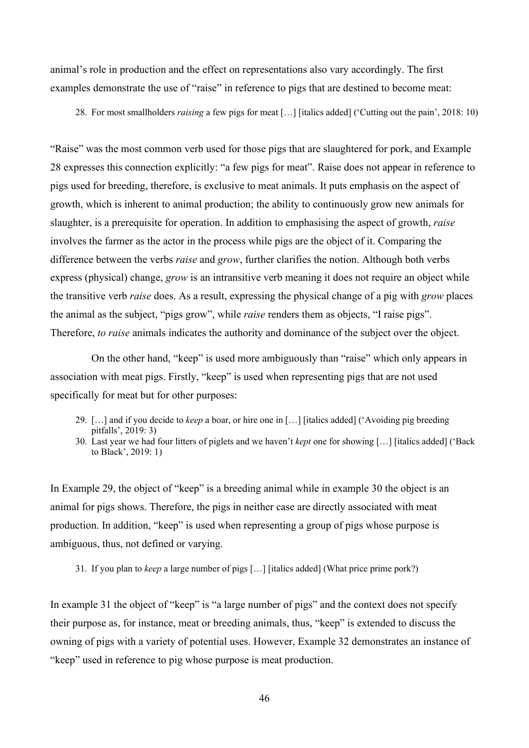animal's role in production and the effect on representations also vary accordingly. The first examples demonstrate the use of "raise" in reference to pigs that are destined to become meat:

28. For most smallholders *raising* a few pigs for meat […] [italics added] ('Cutting out the pain', 2018: 10)

"Raise" was the most common verb used for those pigs that are slaughtered for pork, and Example 28 expresses this connection explicitly: "a few pigs for meat". Raise does not appear in reference to pigs used for breeding, therefore, is exclusive to meat animals. It puts emphasis on the aspect of growth, which is inherent to animal production; the ability to continuously grow new animals for slaughter, is a prerequisite for operation. In addition to emphasising the aspect of growth, *raise* involves the farmer as the actor in the process while pigs are the object of it. Comparing the difference between the verbs *raise* and *grow*, further clarifies the notion. Although both verbs express (physical) change, *grow* is an intransitive verb meaning it does not require an object while the transitive verb *raise* does. As a result, expressing the physical change of a pig with *grow* places the animal as the subject, "pigs grow", while *raise* renders them as objects, "I raise pigs". Therefore, *to raise* animals indicates the authority and dominance of the subject over the object.

On the other hand, "keep" is used more ambiguously than "raise" which only appears in association with meat pigs. Firstly, "keep" is used when representing pigs that are not used specifically for meat but for other purposes:

- 29. […] and if you decide to *keep* a boar, or hire one in […] [italics added] ('Avoiding pig breeding pitfalls', 2019: 3)
- 30. Last year we had four litters of piglets and we haven't *kept* one for showing […] [italics added] ('Back to Black', 2019: 1)

In Example 29, the object of "keep" is a breeding animal while in example 30 the object is an animal for pigs shows. Therefore, the pigs in neither case are directly associated with meat production. In addition, "keep" is used when representing a group of pigs whose purpose is ambiguous, thus, not defined or varying.

31. If you plan to *keep* a large number of pigs […] [italics added] (What price prime pork?)

In example 31 the object of "keep" is "a large number of pigs" and the context does not specify their purpose as, for instance, meat or breeding animals, thus, "keep" is extended to discuss the owning of pigs with a variety of potential uses. However, Example 32 demonstrates an instance of "keep" used in reference to pig whose purpose is meat production.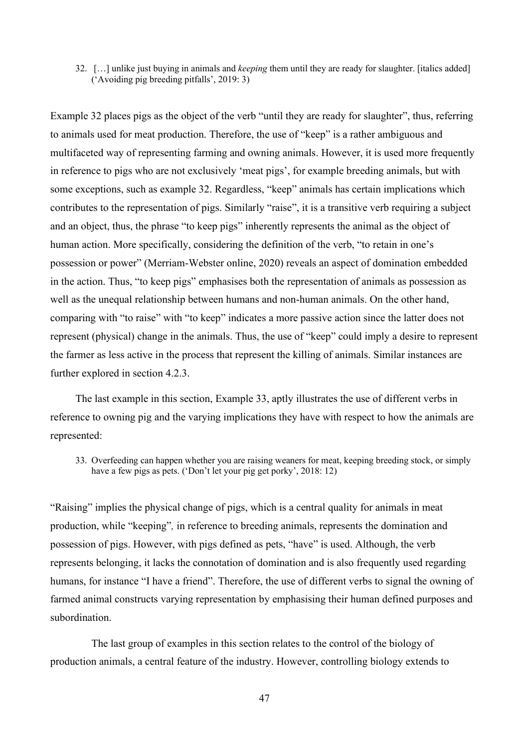32. […] unlike just buying in animals and *keeping* them until they are ready for slaughter. [italics added] ('Avoiding pig breeding pitfalls', 2019: 3)

Example 32 places pigs as the object of the verb "until they are ready for slaughter", thus, referring to animals used for meat production. Therefore, the use of "keep" is a rather ambiguous and multifaceted way of representing farming and owning animals. However, it is used more frequently in reference to pigs who are not exclusively 'meat pigs', for example breeding animals, but with some exceptions, such as example 32. Regardless, "keep" animals has certain implications which contributes to the representation of pigs. Similarly "raise", it is a transitive verb requiring a subject and an object, thus, the phrase "to keep pigs" inherently represents the animal as the object of human action. More specifically, considering the definition of the verb, "to retain in one's possession or power" (Merriam-Webster online, 2020) reveals an aspect of domination embedded in the action. Thus, "to keep pigs" emphasises both the representation of animals as possession as well as the unequal relationship between humans and non-human animals. On the other hand, comparing with "to raise" with "to keep" indicates a more passive action since the latter does not represent (physical) change in the animals. Thus, the use of "keep" could imply a desire to represent the farmer as less active in the process that represent the killing of animals. Similar instances are further explored in section 4.2.3.

The last example in this section, Example 33, aptly illustrates the use of different verbs in reference to owning pig and the varying implications they have with respect to how the animals are represented:

33. Overfeeding can happen whether you are raising weaners for meat, keeping breeding stock, or simply have a few pigs as pets. ('Don't let your pig get porky', 2018: 12)

"Raising" implies the physical change of pigs, which is a central quality for animals in meat production, while "keeping"*,* in reference to breeding animals, represents the domination and possession of pigs. However, with pigs defined as pets, "have" is used. Although, the verb represents belonging, it lacks the connotation of domination and is also frequently used regarding humans, for instance "I have a friend". Therefore, the use of different verbs to signal the owning of farmed animal constructs varying representation by emphasising their human defined purposes and subordination.

The last group of examples in this section relates to the control of the biology of production animals, a central feature of the industry. However, controlling biology extends to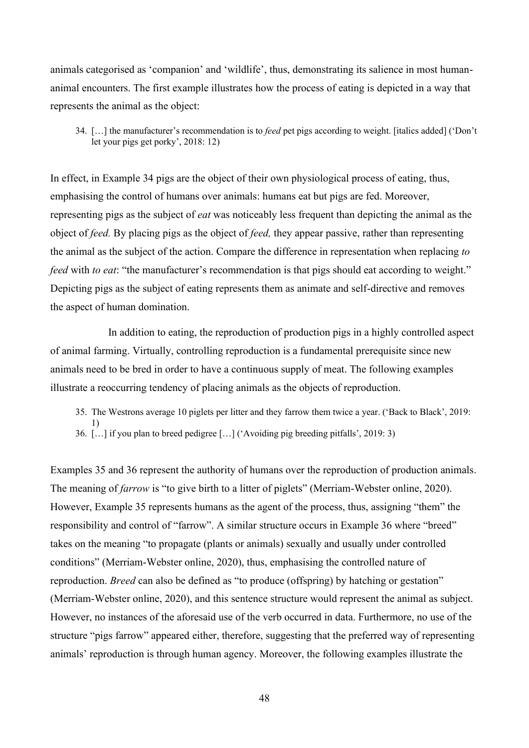animals categorised as 'companion' and 'wildlife', thus, demonstrating its salience in most humananimal encounters. The first example illustrates how the process of eating is depicted in a way that represents the animal as the object:

34. […] the manufacturer's recommendation is to *feed* pet pigs according to weight. [italics added] ('Don't let your pigs get porky', 2018: 12)

In effect, in Example 34 pigs are the object of their own physiological process of eating, thus, emphasising the control of humans over animals: humans eat but pigs are fed. Moreover, representing pigs as the subject of *eat* was noticeably less frequent than depicting the animal as the object of *feed.* By placing pigs as the object of *feed,* they appear passive, rather than representing the animal as the subject of the action. Compare the difference in representation when replacing *to feed* with *to eat*: "the manufacturer's recommendation is that pigs should eat according to weight." Depicting pigs as the subject of eating represents them as animate and self-directive and removes the aspect of human domination.

In addition to eating, the reproduction of production pigs in a highly controlled aspect of animal farming. Virtually, controlling reproduction is a fundamental prerequisite since new animals need to be bred in order to have a continuous supply of meat. The following examples illustrate a reoccurring tendency of placing animals as the objects of reproduction.

35. The Westrons average 10 piglets per litter and they farrow them twice a year. ('Back to Black', 2019: 1) 36. […] if you plan to breed pedigree […] ('Avoiding pig breeding pitfalls', 2019: 3)

Examples 35 and 36 represent the authority of humans over the reproduction of production animals. The meaning of *farrow* is "to give birth to a litter of piglets" (Merriam-Webster online, 2020). However, Example 35 represents humans as the agent of the process, thus, assigning "them" the responsibility and control of "farrow". A similar structure occurs in Example 36 where "breed" takes on the meaning "to propagate (plants or animals) sexually and usually under controlled conditions" (Merriam-Webster online, 2020), thus, emphasising the controlled nature of reproduction. *Breed* can also be defined as "to produce (offspring) by hatching or gestation" (Merriam-Webster online, 2020), and this sentence structure would represent the animal as subject. However, no instances of the aforesaid use of the verb occurred in data. Furthermore, no use of the structure "pigs farrow" appeared either, therefore, suggesting that the preferred way of representing animals' reproduction is through human agency. Moreover, the following examples illustrate the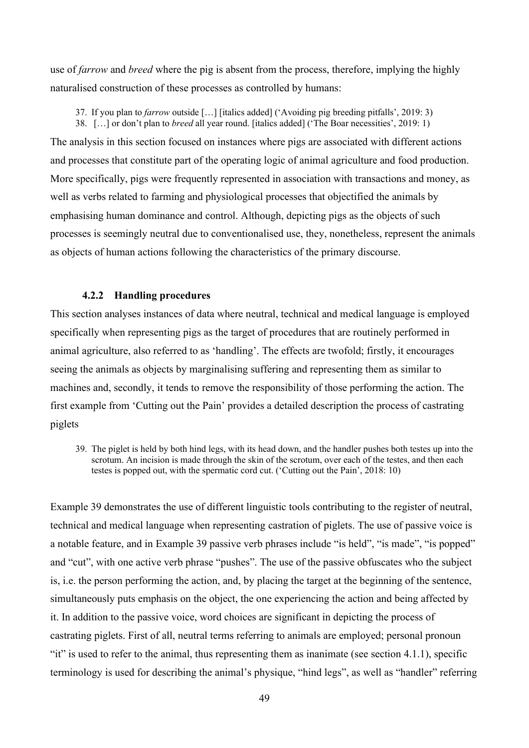use of *farrow* and *breed* where the pig is absent from the process, therefore, implying the highly naturalised construction of these processes as controlled by humans:

37. If you plan to *farrow* outside […] [italics added] ('Avoiding pig breeding pitfalls', 2019: 3) 38. […] or don't plan to *breed* all year round. [italics added] ('The Boar necessities', 2019: 1)

The analysis in this section focused on instances where pigs are associated with different actions and processes that constitute part of the operating logic of animal agriculture and food production. More specifically, pigs were frequently represented in association with transactions and money, as well as verbs related to farming and physiological processes that objectified the animals by emphasising human dominance and control. Although, depicting pigs as the objects of such processes is seemingly neutral due to conventionalised use, they, nonetheless, represent the animals as objects of human actions following the characteristics of the primary discourse.

### **4.2.2 Handling procedures**

This section analyses instances of data where neutral, technical and medical language is employed specifically when representing pigs as the target of procedures that are routinely performed in animal agriculture, also referred to as 'handling'. The effects are twofold; firstly, it encourages seeing the animals as objects by marginalising suffering and representing them as similar to machines and, secondly, it tends to remove the responsibility of those performing the action. The first example from 'Cutting out the Pain' provides a detailed description the process of castrating piglets

39. The piglet is held by both hind legs, with its head down, and the handler pushes both testes up into the scrotum. An incision is made through the skin of the scrotum, over each of the testes, and then each testes is popped out, with the spermatic cord cut. ('Cutting out the Pain', 2018: 10)

Example 39 demonstrates the use of different linguistic tools contributing to the register of neutral, technical and medical language when representing castration of piglets. The use of passive voice is a notable feature, and in Example 39 passive verb phrases include "is held", "is made", "is popped" and "cut", with one active verb phrase "pushes". The use of the passive obfuscates who the subject is, i.e. the person performing the action, and, by placing the target at the beginning of the sentence, simultaneously puts emphasis on the object, the one experiencing the action and being affected by it. In addition to the passive voice, word choices are significant in depicting the process of castrating piglets. First of all, neutral terms referring to animals are employed; personal pronoun "it" is used to refer to the animal, thus representing them as inanimate (see section 4.1.1), specific terminology is used for describing the animal's physique, "hind legs", as well as "handler" referring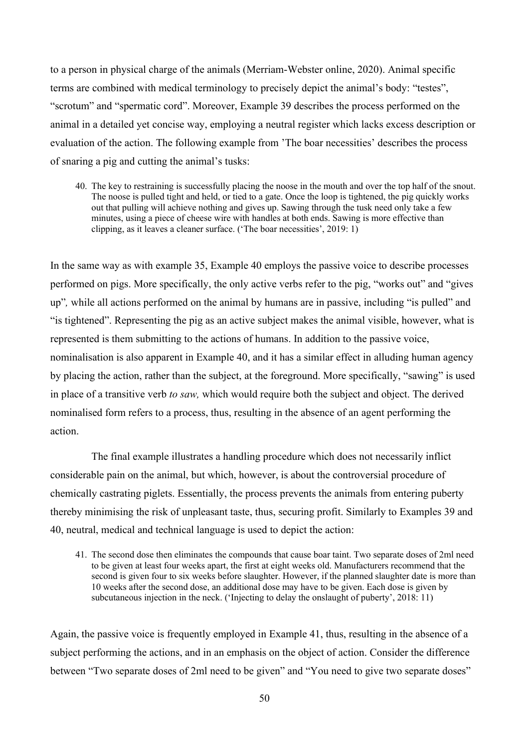to a person in physical charge of the animals (Merriam-Webster online, 2020). Animal specific terms are combined with medical terminology to precisely depict the animal's body: "testes", "scrotum" and "spermatic cord". Moreover, Example 39 describes the process performed on the animal in a detailed yet concise way, employing a neutral register which lacks excess description or evaluation of the action. The following example from 'The boar necessities' describes the process of snaring a pig and cutting the animal's tusks:

40. The key to restraining is successfully placing the noose in the mouth and over the top half of the snout. The noose is pulled tight and held, or tied to a gate. Once the loop is tightened, the pig quickly works out that pulling will achieve nothing and gives up. Sawing through the tusk need only take a few minutes, using a piece of cheese wire with handles at both ends. Sawing is more effective than clipping, as it leaves a cleaner surface. ('The boar necessities', 2019: 1)

In the same way as with example 35, Example 40 employs the passive voice to describe processes performed on pigs. More specifically, the only active verbs refer to the pig, "works out" and "gives up"*,* while all actions performed on the animal by humans are in passive, including "is pulled" and "is tightened". Representing the pig as an active subject makes the animal visible, however, what is represented is them submitting to the actions of humans. In addition to the passive voice, nominalisation is also apparent in Example 40, and it has a similar effect in alluding human agency by placing the action, rather than the subject, at the foreground. More specifically, "sawing" is used in place of a transitive verb *to saw,* which would require both the subject and object. The derived nominalised form refers to a process, thus, resulting in the absence of an agent performing the action.

The final example illustrates a handling procedure which does not necessarily inflict considerable pain on the animal, but which, however, is about the controversial procedure of chemically castrating piglets. Essentially, the process prevents the animals from entering puberty thereby minimising the risk of unpleasant taste, thus, securing profit. Similarly to Examples 39 and 40, neutral, medical and technical language is used to depict the action:

41. The second dose then eliminates the compounds that cause boar taint. Two separate doses of 2ml need to be given at least four weeks apart, the first at eight weeks old. Manufacturers recommend that the second is given four to six weeks before slaughter. However, if the planned slaughter date is more than 10 weeks after the second dose, an additional dose may have to be given. Each dose is given by subcutaneous injection in the neck. ('Injecting to delay the onslaught of puberty', 2018: 11)

Again, the passive voice is frequently employed in Example 41, thus, resulting in the absence of a subject performing the actions, and in an emphasis on the object of action. Consider the difference between "Two separate doses of 2ml need to be given" and "You need to give two separate doses"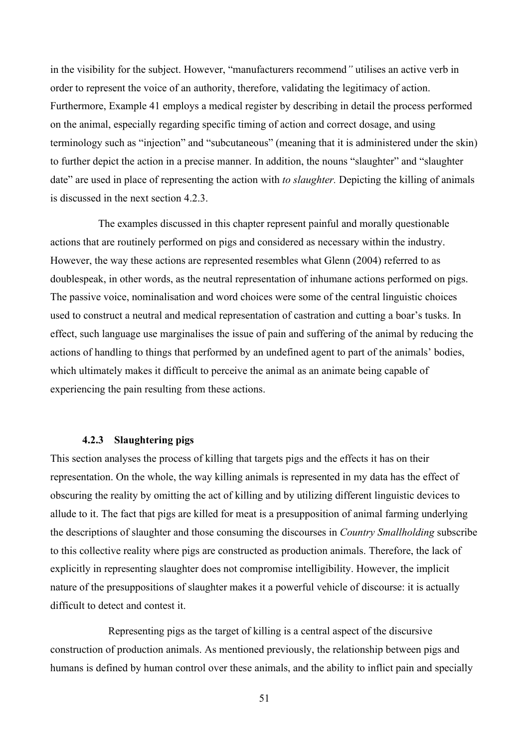in the visibility for the subject. However, "manufacturers recommend*"* utilises an active verb in order to represent the voice of an authority, therefore, validating the legitimacy of action. Furthermore, Example 41 employs a medical register by describing in detail the process performed on the animal, especially regarding specific timing of action and correct dosage, and using terminology such as "injection" and "subcutaneous" (meaning that it is administered under the skin) to further depict the action in a precise manner. In addition, the nouns "slaughter" and "slaughter date" are used in place of representing the action with *to slaughter.* Depicting the killing of animals is discussed in the next section 4.2.3.

The examples discussed in this chapter represent painful and morally questionable actions that are routinely performed on pigs and considered as necessary within the industry. However, the way these actions are represented resembles what Glenn (2004) referred to as doublespeak, in other words, as the neutral representation of inhumane actions performed on pigs. The passive voice, nominalisation and word choices were some of the central linguistic choices used to construct a neutral and medical representation of castration and cutting a boar's tusks. In effect, such language use marginalises the issue of pain and suffering of the animal by reducing the actions of handling to things that performed by an undefined agent to part of the animals' bodies, which ultimately makes it difficult to perceive the animal as an animate being capable of experiencing the pain resulting from these actions.

#### **4.2.3 Slaughtering pigs**

This section analyses the process of killing that targets pigs and the effects it has on their representation. On the whole, the way killing animals is represented in my data has the effect of obscuring the reality by omitting the act of killing and by utilizing different linguistic devices to allude to it. The fact that pigs are killed for meat is a presupposition of animal farming underlying the descriptions of slaughter and those consuming the discourses in *Country Smallholding* subscribe to this collective reality where pigs are constructed as production animals. Therefore, the lack of explicitly in representing slaughter does not compromise intelligibility. However, the implicit nature of the presuppositions of slaughter makes it a powerful vehicle of discourse: it is actually difficult to detect and contest it.

Representing pigs as the target of killing is a central aspect of the discursive construction of production animals. As mentioned previously, the relationship between pigs and humans is defined by human control over these animals, and the ability to inflict pain and specially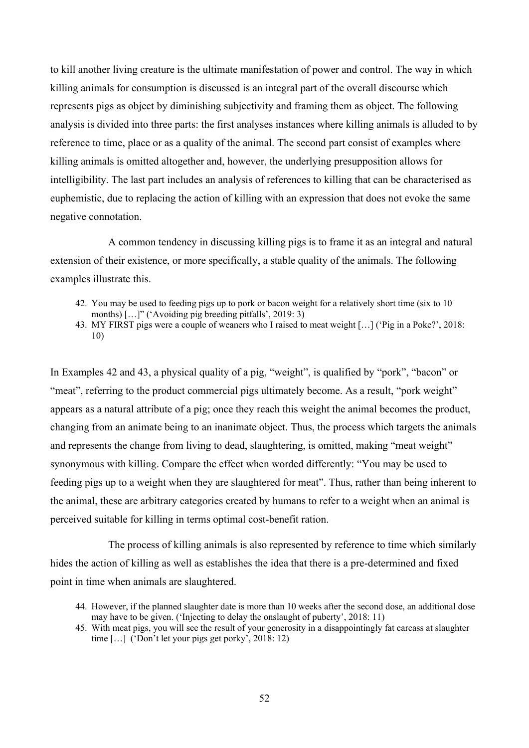to kill another living creature is the ultimate manifestation of power and control. The way in which killing animals for consumption is discussed is an integral part of the overall discourse which represents pigs as object by diminishing subjectivity and framing them as object. The following analysis is divided into three parts: the first analyses instances where killing animals is alluded to by reference to time, place or as a quality of the animal. The second part consist of examples where killing animals is omitted altogether and, however, the underlying presupposition allows for intelligibility. The last part includes an analysis of references to killing that can be characterised as euphemistic, due to replacing the action of killing with an expression that does not evoke the same negative connotation.

A common tendency in discussing killing pigs is to frame it as an integral and natural extension of their existence, or more specifically, a stable quality of the animals. The following examples illustrate this.

- 42. You may be used to feeding pigs up to pork or bacon weight for a relatively short time (six to 10 months) […]" ('Avoiding pig breeding pitfalls', 2019: 3)
- 43. MY FIRST pigs were a couple of weaners who I raised to meat weight […] ('Pig in a Poke?', 2018: 10)

In Examples 42 and 43, a physical quality of a pig, "weight", is qualified by "pork", "bacon" or "meat", referring to the product commercial pigs ultimately become. As a result, "pork weight" appears as a natural attribute of a pig; once they reach this weight the animal becomes the product, changing from an animate being to an inanimate object. Thus, the process which targets the animals and represents the change from living to dead, slaughtering, is omitted, making "meat weight" synonymous with killing. Compare the effect when worded differently: "You may be used to feeding pigs up to a weight when they are slaughtered for meat". Thus, rather than being inherent to the animal, these are arbitrary categories created by humans to refer to a weight when an animal is perceived suitable for killing in terms optimal cost-benefit ration.

The process of killing animals is also represented by reference to time which similarly hides the action of killing as well as establishes the idea that there is a pre-determined and fixed point in time when animals are slaughtered.

<sup>44.</sup> However, if the planned slaughter date is more than 10 weeks after the second dose, an additional dose may have to be given. ('Injecting to delay the onslaught of puberty', 2018: 11)

<sup>45.</sup> With meat pigs, you will see the result of your generosity in a disappointingly fat carcass at slaughter time  $[\dots]$  ('Don't let your pigs get porky', 2018: 12)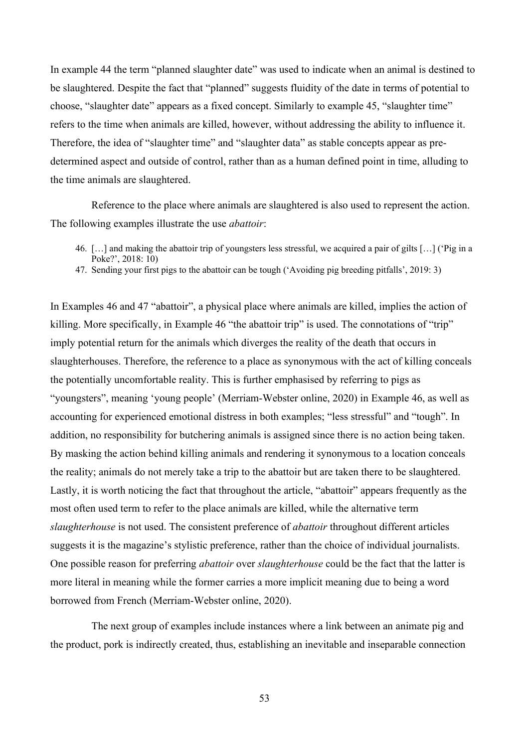In example 44 the term "planned slaughter date" was used to indicate when an animal is destined to be slaughtered. Despite the fact that "planned" suggests fluidity of the date in terms of potential to choose, "slaughter date" appears as a fixed concept. Similarly to example 45, "slaughter time" refers to the time when animals are killed, however, without addressing the ability to influence it. Therefore, the idea of "slaughter time" and "slaughter data" as stable concepts appear as predetermined aspect and outside of control, rather than as a human defined point in time, alluding to the time animals are slaughtered.

Reference to the place where animals are slaughtered is also used to represent the action. The following examples illustrate the use *abattoir*:

- 46. […] and making the abattoir trip of youngsters less stressful, we acquired a pair of gilts […] ('Pig in a Poke?', 2018: 10)
- 47. Sending your first pigs to the abattoir can be tough ('Avoiding pig breeding pitfalls', 2019: 3)

In Examples 46 and 47 "abattoir", a physical place where animals are killed, implies the action of killing. More specifically, in Example 46 "the abattoir trip" is used. The connotations of "trip" imply potential return for the animals which diverges the reality of the death that occurs in slaughterhouses. Therefore, the reference to a place as synonymous with the act of killing conceals the potentially uncomfortable reality. This is further emphasised by referring to pigs as "youngsters", meaning 'young people' (Merriam-Webster online, 2020) in Example 46, as well as accounting for experienced emotional distress in both examples; "less stressful" and "tough". In addition, no responsibility for butchering animals is assigned since there is no action being taken. By masking the action behind killing animals and rendering it synonymous to a location conceals the reality; animals do not merely take a trip to the abattoir but are taken there to be slaughtered. Lastly, it is worth noticing the fact that throughout the article, "abattoir" appears frequently as the most often used term to refer to the place animals are killed, while the alternative term *slaughterhouse* is not used. The consistent preference of *abattoir* throughout different articles suggests it is the magazine's stylistic preference, rather than the choice of individual journalists. One possible reason for preferring *abattoir* over *slaughterhouse* could be the fact that the latter is more literal in meaning while the former carries a more implicit meaning due to being a word borrowed from French (Merriam-Webster online, 2020).

The next group of examples include instances where a link between an animate pig and the product, pork is indirectly created, thus, establishing an inevitable and inseparable connection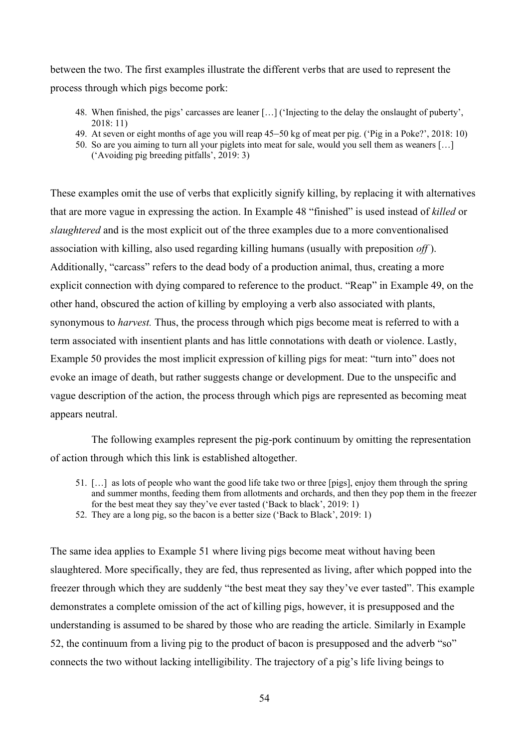between the two. The first examples illustrate the different verbs that are used to represent the process through which pigs become pork:

- 48. When finished, the pigs' carcasses are leaner […] ('Injecting to the delay the onslaught of puberty', 2018: 11)
- 49. At seven or eight months of age you will reap 45–50 kg of meat per pig. ('Pig in a Poke?', 2018: 10)
- 50. So are you aiming to turn all your piglets into meat for sale, would you sell them as weaners […] ('Avoiding pig breeding pitfalls', 2019: 3)

These examples omit the use of verbs that explicitly signify killing, by replacing it with alternatives that are more vague in expressing the action. In Example 48 "finished" is used instead of *killed* or *slaughtered* and is the most explicit out of the three examples due to a more conventionalised association with killing, also used regarding killing humans (usually with preposition *off* ). Additionally, "carcass" refers to the dead body of a production animal, thus, creating a more explicit connection with dying compared to reference to the product. "Reap" in Example 49, on the other hand, obscured the action of killing by employing a verb also associated with plants, synonymous to *harvest.* Thus, the process through which pigs become meat is referred to with a term associated with insentient plants and has little connotations with death or violence. Lastly, Example 50 provides the most implicit expression of killing pigs for meat: "turn into" does not evoke an image of death, but rather suggests change or development. Due to the unspecific and vague description of the action, the process through which pigs are represented as becoming meat appears neutral.

The following examples represent the pig-pork continuum by omitting the representation of action through which this link is established altogether.

- 51. […] as lots of people who want the good life take two or three [pigs], enjoy them through the spring and summer months, feeding them from allotments and orchards, and then they pop them in the freezer for the best meat they say they've ever tasted ('Back to black', 2019: 1)
- 52. They are a long pig, so the bacon is a better size ('Back to Black', 2019: 1)

The same idea applies to Example 51 where living pigs become meat without having been slaughtered. More specifically, they are fed, thus represented as living, after which popped into the freezer through which they are suddenly "the best meat they say they've ever tasted". This example demonstrates a complete omission of the act of killing pigs, however, it is presupposed and the understanding is assumed to be shared by those who are reading the article. Similarly in Example 52, the continuum from a living pig to the product of bacon is presupposed and the adverb "so" connects the two without lacking intelligibility. The trajectory of a pig's life living beings to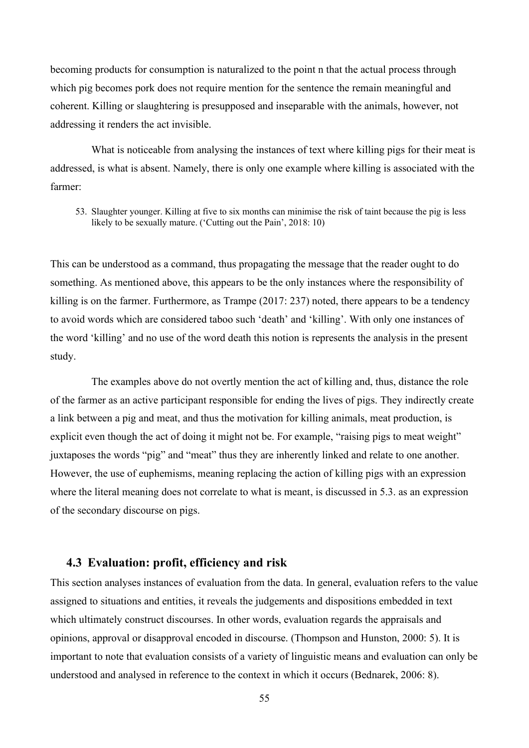becoming products for consumption is naturalized to the point n that the actual process through which pig becomes pork does not require mention for the sentence the remain meaningful and coherent. Killing or slaughtering is presupposed and inseparable with the animals, however, not addressing it renders the act invisible.

What is noticeable from analysing the instances of text where killing pigs for their meat is addressed, is what is absent. Namely, there is only one example where killing is associated with the farmer:

53. Slaughter younger. Killing at five to six months can minimise the risk of taint because the pig is less likely to be sexually mature. ('Cutting out the Pain', 2018: 10)

This can be understood as a command, thus propagating the message that the reader ought to do something. As mentioned above, this appears to be the only instances where the responsibility of killing is on the farmer. Furthermore, as Trampe (2017: 237) noted, there appears to be a tendency to avoid words which are considered taboo such 'death' and 'killing'. With only one instances of the word 'killing' and no use of the word death this notion is represents the analysis in the present study.

The examples above do not overtly mention the act of killing and, thus, distance the role of the farmer as an active participant responsible for ending the lives of pigs. They indirectly create a link between a pig and meat, and thus the motivation for killing animals, meat production, is explicit even though the act of doing it might not be. For example, "raising pigs to meat weight" juxtaposes the words "pig" and "meat" thus they are inherently linked and relate to one another. However, the use of euphemisms, meaning replacing the action of killing pigs with an expression where the literal meaning does not correlate to what is meant, is discussed in 5.3. as an expression of the secondary discourse on pigs.

## **4.3 Evaluation: profit, efficiency and risk**

This section analyses instances of evaluation from the data. In general, evaluation refers to the value assigned to situations and entities, it reveals the judgements and dispositions embedded in text which ultimately construct discourses. In other words, evaluation regards the appraisals and opinions, approval or disapproval encoded in discourse. (Thompson and Hunston, 2000: 5). It is important to note that evaluation consists of a variety of linguistic means and evaluation can only be understood and analysed in reference to the context in which it occurs (Bednarek, 2006: 8).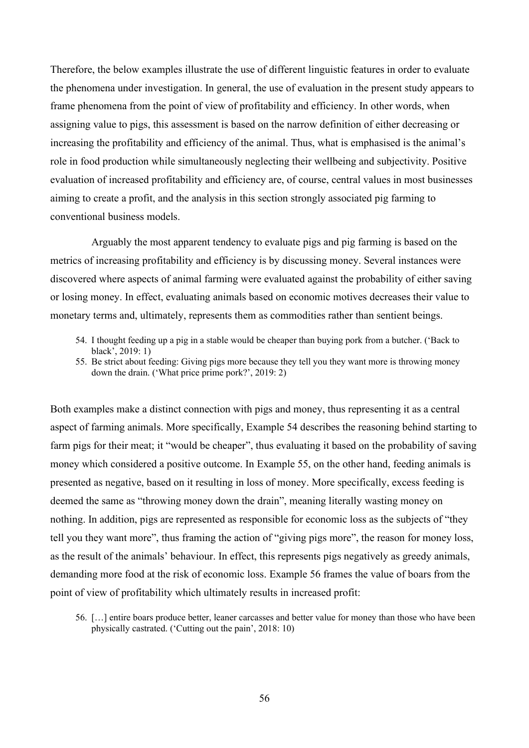Therefore, the below examples illustrate the use of different linguistic features in order to evaluate the phenomena under investigation. In general, the use of evaluation in the present study appears to frame phenomena from the point of view of profitability and efficiency. In other words, when assigning value to pigs, this assessment is based on the narrow definition of either decreasing or increasing the profitability and efficiency of the animal. Thus, what is emphasised is the animal's role in food production while simultaneously neglecting their wellbeing and subjectivity. Positive evaluation of increased profitability and efficiency are, of course, central values in most businesses aiming to create a profit, and the analysis in this section strongly associated pig farming to conventional business models.

Arguably the most apparent tendency to evaluate pigs and pig farming is based on the metrics of increasing profitability and efficiency is by discussing money. Several instances were discovered where aspects of animal farming were evaluated against the probability of either saving or losing money. In effect, evaluating animals based on economic motives decreases their value to monetary terms and, ultimately, represents them as commodities rather than sentient beings.

- 54. I thought feeding up a pig in a stable would be cheaper than buying pork from a butcher. ('Back to black', 2019: 1)
- 55. Be strict about feeding: Giving pigs more because they tell you they want more is throwing money down the drain. ('What price prime pork?', 2019: 2)

Both examples make a distinct connection with pigs and money, thus representing it as a central aspect of farming animals. More specifically, Example 54 describes the reasoning behind starting to farm pigs for their meat; it "would be cheaper", thus evaluating it based on the probability of saving money which considered a positive outcome. In Example 55, on the other hand, feeding animals is presented as negative, based on it resulting in loss of money. More specifically, excess feeding is deemed the same as "throwing money down the drain", meaning literally wasting money on nothing. In addition, pigs are represented as responsible for economic loss as the subjects of "they tell you they want more", thus framing the action of "giving pigs more", the reason for money loss, as the result of the animals' behaviour. In effect, this represents pigs negatively as greedy animals, demanding more food at the risk of economic loss. Example 56 frames the value of boars from the point of view of profitability which ultimately results in increased profit:

<sup>56.</sup> […] entire boars produce better, leaner carcasses and better value for money than those who have been physically castrated. ('Cutting out the pain', 2018: 10)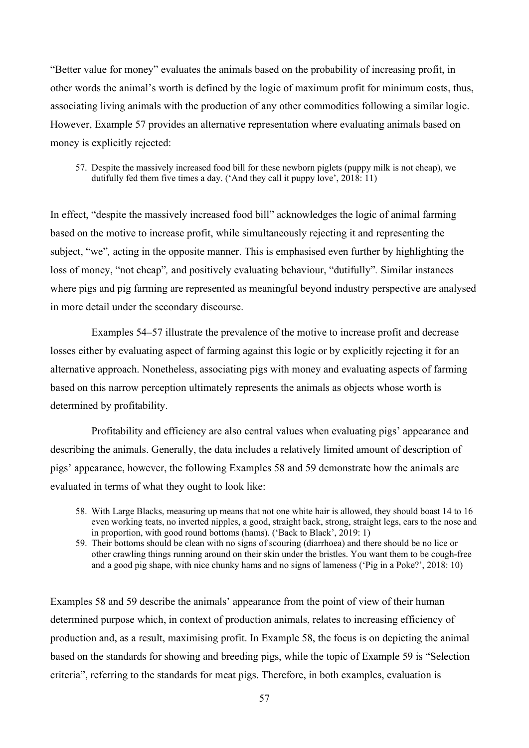"Better value for money" evaluates the animals based on the probability of increasing profit, in other words the animal's worth is defined by the logic of maximum profit for minimum costs, thus, associating living animals with the production of any other commodities following a similar logic. However, Example 57 provides an alternative representation where evaluating animals based on money is explicitly rejected:

57. Despite the massively increased food bill for these newborn piglets (puppy milk is not cheap), we dutifully fed them five times a day. ('And they call it puppy love', 2018: 11)

In effect, "despite the massively increased food bill" acknowledges the logic of animal farming based on the motive to increase profit, while simultaneously rejecting it and representing the subject, "we"*,* acting in the opposite manner. This is emphasised even further by highlighting the loss of money, "not cheap"*,* and positively evaluating behaviour, "dutifully"*.* Similar instances where pigs and pig farming are represented as meaningful beyond industry perspective are analysed in more detail under the secondary discourse.

Examples 54–57 illustrate the prevalence of the motive to increase profit and decrease losses either by evaluating aspect of farming against this logic or by explicitly rejecting it for an alternative approach. Nonetheless, associating pigs with money and evaluating aspects of farming based on this narrow perception ultimately represents the animals as objects whose worth is determined by profitability.

Profitability and efficiency are also central values when evaluating pigs' appearance and describing the animals. Generally, the data includes a relatively limited amount of description of pigs' appearance, however, the following Examples 58 and 59 demonstrate how the animals are evaluated in terms of what they ought to look like:

- 58. With Large Blacks, measuring up means that not one white hair is allowed, they should boast 14 to 16 even working teats, no inverted nipples, a good, straight back, strong, straight legs, ears to the nose and in proportion, with good round bottoms (hams). ('Back to Black', 2019: 1)
- 59. Their bottoms should be clean with no signs of scouring (diarrhoea) and there should be no lice or other crawling things running around on their skin under the bristles. You want them to be cough-free and a good pig shape, with nice chunky hams and no signs of lameness ('Pig in a Poke?', 2018: 10)

Examples 58 and 59 describe the animals' appearance from the point of view of their human determined purpose which, in context of production animals, relates to increasing efficiency of production and, as a result, maximising profit. In Example 58, the focus is on depicting the animal based on the standards for showing and breeding pigs, while the topic of Example 59 is "Selection criteria", referring to the standards for meat pigs. Therefore, in both examples, evaluation is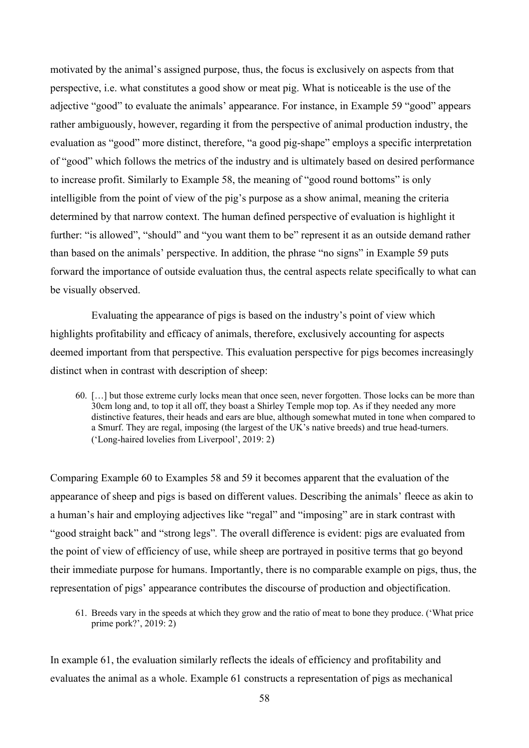motivated by the animal's assigned purpose, thus, the focus is exclusively on aspects from that perspective, i.e. what constitutes a good show or meat pig. What is noticeable is the use of the adjective "good" to evaluate the animals' appearance. For instance, in Example 59 "good" appears rather ambiguously, however, regarding it from the perspective of animal production industry, the evaluation as "good" more distinct, therefore, "a good pig-shape" employs a specific interpretation of "good" which follows the metrics of the industry and is ultimately based on desired performance to increase profit. Similarly to Example 58, the meaning of "good round bottoms" is only intelligible from the point of view of the pig's purpose as a show animal, meaning the criteria determined by that narrow context. The human defined perspective of evaluation is highlight it further: "is allowed", "should" and "you want them to be" represent it as an outside demand rather than based on the animals' perspective. In addition, the phrase "no signs" in Example 59 puts forward the importance of outside evaluation thus, the central aspects relate specifically to what can be visually observed.

Evaluating the appearance of pigs is based on the industry's point of view which highlights profitability and efficacy of animals, therefore, exclusively accounting for aspects deemed important from that perspective. This evaluation perspective for pigs becomes increasingly distinct when in contrast with description of sheep:

60. […] but those extreme curly locks mean that once seen, never forgotten. Those locks can be more than 30cm long and, to top it all off, they boast a Shirley Temple mop top. As if they needed any more distinctive features, their heads and ears are blue, although somewhat muted in tone when compared to a Smurf. They are regal, imposing (the largest of the UK's native breeds) and true head-turners. ('Long-haired lovelies from Liverpool', 2019: 2)

Comparing Example 60 to Examples 58 and 59 it becomes apparent that the evaluation of the appearance of sheep and pigs is based on different values. Describing the animals' fleece as akin to a human's hair and employing adjectives like "regal" and "imposing" are in stark contrast with "good straight back" and "strong legs"*.* The overall difference is evident: pigs are evaluated from the point of view of efficiency of use, while sheep are portrayed in positive terms that go beyond their immediate purpose for humans. Importantly, there is no comparable example on pigs, thus, the representation of pigs' appearance contributes the discourse of production and objectification.

61. Breeds vary in the speeds at which they grow and the ratio of meat to bone they produce. ('What price prime pork?', 2019: 2)

In example 61, the evaluation similarly reflects the ideals of efficiency and profitability and evaluates the animal as a whole. Example 61 constructs a representation of pigs as mechanical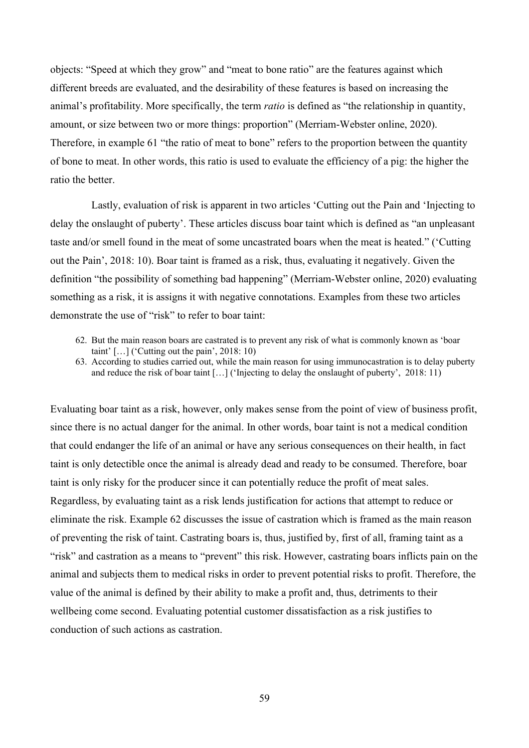objects: "Speed at which they grow" and "meat to bone ratio" are the features against which different breeds are evaluated, and the desirability of these features is based on increasing the animal's profitability. More specifically, the term *ratio* is defined as "the relationship in quantity, amount, or size between two or more things: proportion" (Merriam-Webster online, 2020). Therefore, in example 61 "the ratio of meat to bone" refers to the proportion between the quantity of bone to meat. In other words, this ratio is used to evaluate the efficiency of a pig: the higher the ratio the better.

Lastly, evaluation of risk is apparent in two articles 'Cutting out the Pain and 'Injecting to delay the onslaught of puberty'. These articles discuss boar taint which is defined as "an unpleasant taste and/or smell found in the meat of some uncastrated boars when the meat is heated." ('Cutting out the Pain', 2018: 10). Boar taint is framed as a risk, thus, evaluating it negatively. Given the definition "the possibility of something bad happening" (Merriam-Webster online, 2020) evaluating something as a risk, it is assigns it with negative connotations. Examples from these two articles demonstrate the use of "risk" to refer to boar taint:

- 62. But the main reason boars are castrated is to prevent any risk of what is commonly known as 'boar taint'  $[\dots]$  ('Cutting out the pain', 2018: 10)
- 63. According to studies carried out, while the main reason for using immunocastration is to delay puberty and reduce the risk of boar taint […] ('Injecting to delay the onslaught of puberty', 2018: 11)

Evaluating boar taint as a risk, however, only makes sense from the point of view of business profit, since there is no actual danger for the animal. In other words, boar taint is not a medical condition that could endanger the life of an animal or have any serious consequences on their health, in fact taint is only detectible once the animal is already dead and ready to be consumed. Therefore, boar taint is only risky for the producer since it can potentially reduce the profit of meat sales. Regardless, by evaluating taint as a risk lends justification for actions that attempt to reduce or eliminate the risk. Example 62 discusses the issue of castration which is framed as the main reason of preventing the risk of taint. Castrating boars is, thus, justified by, first of all, framing taint as a "risk" and castration as a means to "prevent" this risk. However, castrating boars inflicts pain on the animal and subjects them to medical risks in order to prevent potential risks to profit. Therefore, the value of the animal is defined by their ability to make a profit and, thus, detriments to their wellbeing come second. Evaluating potential customer dissatisfaction as a risk justifies to conduction of such actions as castration.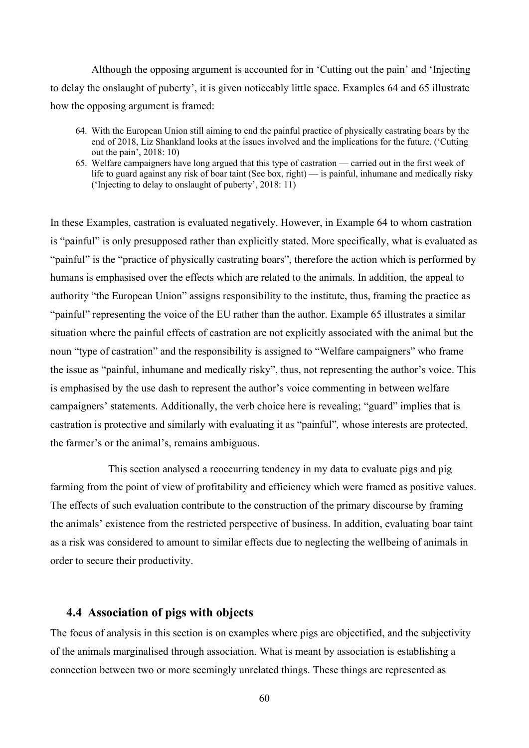Although the opposing argument is accounted for in 'Cutting out the pain' and 'Injecting to delay the onslaught of puberty', it is given noticeably little space. Examples 64 and 65 illustrate how the opposing argument is framed:

- 64. With the European Union still aiming to end the painful practice of physically castrating boars by the end of 2018, Liz Shankland looks at the issues involved and the implications for the future. ('Cutting out the pain', 2018: 10)
- 65. Welfare campaigners have long argued that this type of castration carried out in the first week of life to guard against any risk of boar taint (See box, right) — is painful, inhumane and medically risky ('Injecting to delay to onslaught of puberty', 2018: 11)

In these Examples, castration is evaluated negatively. However, in Example 64 to whom castration is "painful" is only presupposed rather than explicitly stated. More specifically, what is evaluated as "painful" is the "practice of physically castrating boars", therefore the action which is performed by humans is emphasised over the effects which are related to the animals. In addition, the appeal to authority "the European Union" assigns responsibility to the institute, thus, framing the practice as "painful" representing the voice of the EU rather than the author. Example 65 illustrates a similar situation where the painful effects of castration are not explicitly associated with the animal but the noun "type of castration" and the responsibility is assigned to "Welfare campaigners" who frame the issue as "painful, inhumane and medically risky", thus, not representing the author's voice. This is emphasised by the use dash to represent the author's voice commenting in between welfare campaigners' statements. Additionally, the verb choice here is revealing; "guard" implies that is castration is protective and similarly with evaluating it as "painful"*,* whose interests are protected, the farmer's or the animal's, remains ambiguous.

This section analysed a reoccurring tendency in my data to evaluate pigs and pig farming from the point of view of profitability and efficiency which were framed as positive values. The effects of such evaluation contribute to the construction of the primary discourse by framing the animals' existence from the restricted perspective of business. In addition, evaluating boar taint as a risk was considered to amount to similar effects due to neglecting the wellbeing of animals in order to secure their productivity.

## **4.4 Association of pigs with objects**

The focus of analysis in this section is on examples where pigs are objectified, and the subjectivity of the animals marginalised through association. What is meant by association is establishing a connection between two or more seemingly unrelated things. These things are represented as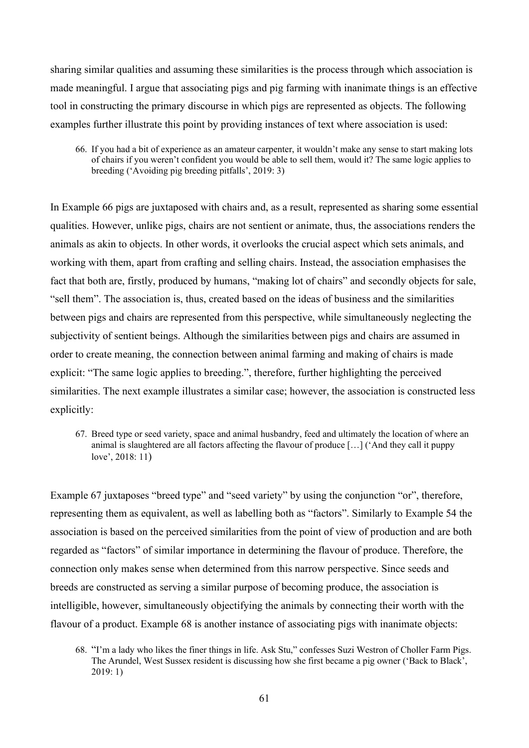sharing similar qualities and assuming these similarities is the process through which association is made meaningful. I argue that associating pigs and pig farming with inanimate things is an effective tool in constructing the primary discourse in which pigs are represented as objects. The following examples further illustrate this point by providing instances of text where association is used:

66. If you had a bit of experience as an amateur carpenter, it wouldn't make any sense to start making lots of chairs if you weren't confident you would be able to sell them, would it? The same logic applies to breeding ('Avoiding pig breeding pitfalls', 2019: 3)

In Example 66 pigs are juxtaposed with chairs and, as a result, represented as sharing some essential qualities. However, unlike pigs, chairs are not sentient or animate, thus, the associations renders the animals as akin to objects. In other words, it overlooks the crucial aspect which sets animals, and working with them, apart from crafting and selling chairs. Instead, the association emphasises the fact that both are, firstly, produced by humans, "making lot of chairs" and secondly objects for sale, "sell them". The association is, thus, created based on the ideas of business and the similarities between pigs and chairs are represented from this perspective, while simultaneously neglecting the subjectivity of sentient beings. Although the similarities between pigs and chairs are assumed in order to create meaning, the connection between animal farming and making of chairs is made explicit: "The same logic applies to breeding.", therefore, further highlighting the perceived similarities. The next example illustrates a similar case; however, the association is constructed less explicitly:

67. Breed type or seed variety, space and animal husbandry, feed and ultimately the location of where an animal is slaughtered are all factors affecting the flavour of produce […] ('And they call it puppy love', 2018: 11)

Example 67 juxtaposes "breed type" and "seed variety" by using the conjunction "or", therefore, representing them as equivalent, as well as labelling both as "factors". Similarly to Example 54 the association is based on the perceived similarities from the point of view of production and are both regarded as "factors" of similar importance in determining the flavour of produce. Therefore, the connection only makes sense when determined from this narrow perspective. Since seeds and breeds are constructed as serving a similar purpose of becoming produce, the association is intelligible, however, simultaneously objectifying the animals by connecting their worth with the flavour of a product. Example 68 is another instance of associating pigs with inanimate objects:

<sup>68.</sup> "I'm a lady who likes the finer things in life. Ask Stu," confesses Suzi Westron of Choller Farm Pigs. The Arundel, West Sussex resident is discussing how she first became a pig owner ('Back to Black', 2019: 1)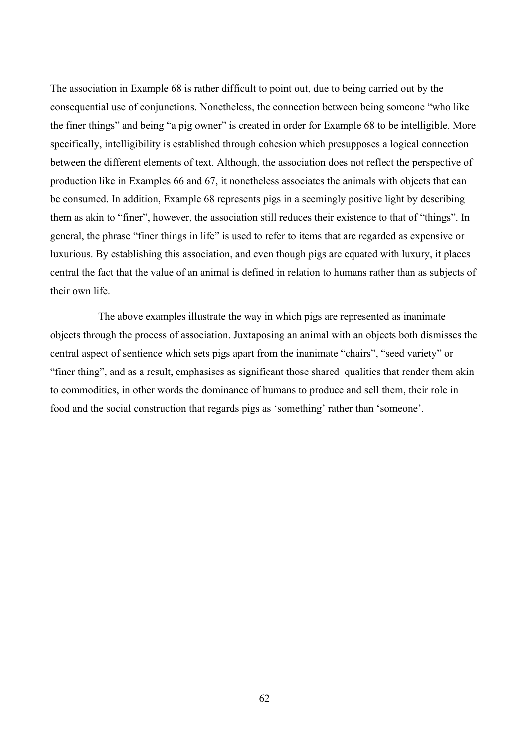The association in Example 68 is rather difficult to point out, due to being carried out by the consequential use of conjunctions. Nonetheless, the connection between being someone "who like the finer things" and being "a pig owner" is created in order for Example 68 to be intelligible. More specifically, intelligibility is established through cohesion which presupposes a logical connection between the different elements of text. Although, the association does not reflect the perspective of production like in Examples 66 and 67, it nonetheless associates the animals with objects that can be consumed. In addition, Example 68 represents pigs in a seemingly positive light by describing them as akin to "finer", however, the association still reduces their existence to that of "things". In general, the phrase "finer things in life" is used to refer to items that are regarded as expensive or luxurious. By establishing this association, and even though pigs are equated with luxury, it places central the fact that the value of an animal is defined in relation to humans rather than as subjects of their own life.

The above examples illustrate the way in which pigs are represented as inanimate objects through the process of association. Juxtaposing an animal with an objects both dismisses the central aspect of sentience which sets pigs apart from the inanimate "chairs", "seed variety" or "finer thing", and as a result, emphasises as significant those shared qualities that render them akin to commodities, in other words the dominance of humans to produce and sell them, their role in food and the social construction that regards pigs as 'something' rather than 'someone'.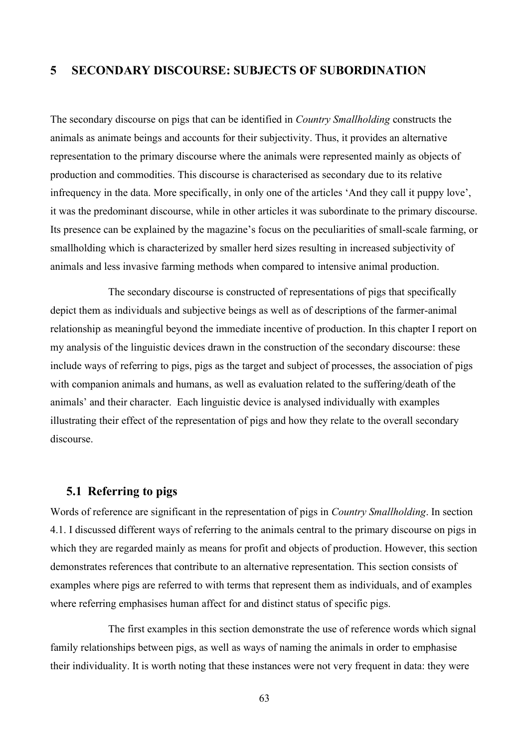# **5 SECONDARY DISCOURSE: SUBJECTS OF SUBORDINATION**

The secondary discourse on pigs that can be identified in *Country Smallholding* constructs the animals as animate beings and accounts for their subjectivity. Thus, it provides an alternative representation to the primary discourse where the animals were represented mainly as objects of production and commodities. This discourse is characterised as secondary due to its relative infrequency in the data. More specifically, in only one of the articles 'And they call it puppy love', it was the predominant discourse, while in other articles it was subordinate to the primary discourse. Its presence can be explained by the magazine's focus on the peculiarities of small-scale farming, or smallholding which is characterized by smaller herd sizes resulting in increased subjectivity of animals and less invasive farming methods when compared to intensive animal production.

The secondary discourse is constructed of representations of pigs that specifically depict them as individuals and subjective beings as well as of descriptions of the farmer-animal relationship as meaningful beyond the immediate incentive of production. In this chapter I report on my analysis of the linguistic devices drawn in the construction of the secondary discourse: these include ways of referring to pigs, pigs as the target and subject of processes, the association of pigs with companion animals and humans, as well as evaluation related to the suffering/death of the animals' and their character. Each linguistic device is analysed individually with examples illustrating their effect of the representation of pigs and how they relate to the overall secondary discourse.

## **5.1 Referring to pigs**

Words of reference are significant in the representation of pigs in *Country Smallholding*. In section 4.1. I discussed different ways of referring to the animals central to the primary discourse on pigs in which they are regarded mainly as means for profit and objects of production. However, this section demonstrates references that contribute to an alternative representation. This section consists of examples where pigs are referred to with terms that represent them as individuals, and of examples where referring emphasises human affect for and distinct status of specific pigs.

The first examples in this section demonstrate the use of reference words which signal family relationships between pigs, as well as ways of naming the animals in order to emphasise their individuality. It is worth noting that these instances were not very frequent in data: they were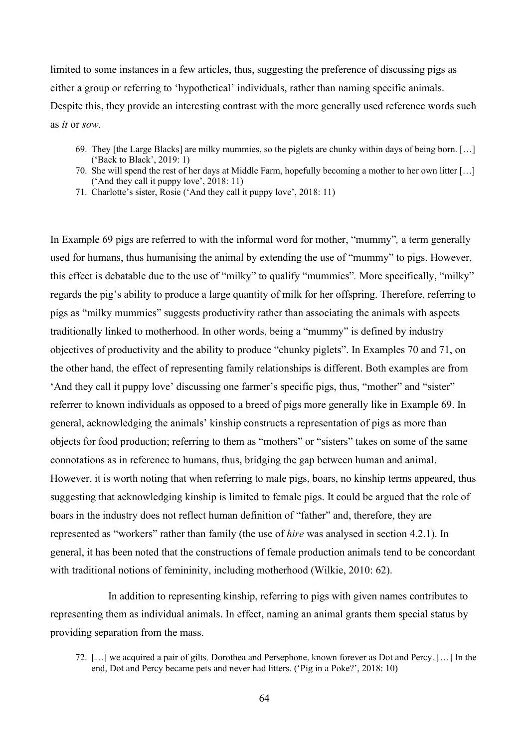limited to some instances in a few articles, thus, suggesting the preference of discussing pigs as either a group or referring to 'hypothetical' individuals, rather than naming specific animals. Despite this, they provide an interesting contrast with the more generally used reference words such as *it* or *sow.*

- 69. They [the Large Blacks] are milky mummies, so the piglets are chunky within days of being born. […] ('Back to Black', 2019: 1)
- 70. She will spend the rest of her days at Middle Farm, hopefully becoming a mother to her own litter […] ('And they call it puppy love', 2018: 11)
- 71. Charlotte's sister, Rosie ('And they call it puppy love', 2018: 11)

In Example 69 pigs are referred to with the informal word for mother, "mummy"*,* a term generally used for humans, thus humanising the animal by extending the use of "mummy" to pigs. However, this effect is debatable due to the use of "milky" to qualify "mummies"*.* More specifically, "milky" regards the pig's ability to produce a large quantity of milk for her offspring. Therefore, referring to pigs as "milky mummies" suggests productivity rather than associating the animals with aspects traditionally linked to motherhood. In other words, being a "mummy" is defined by industry objectives of productivity and the ability to produce "chunky piglets". In Examples 70 and 71, on the other hand, the effect of representing family relationships is different. Both examples are from 'And they call it puppy love' discussing one farmer's specific pigs, thus, "mother" and "sister" referrer to known individuals as opposed to a breed of pigs more generally like in Example 69. In general, acknowledging the animals' kinship constructs a representation of pigs as more than objects for food production; referring to them as "mothers" or "sisters" takes on some of the same connotations as in reference to humans, thus, bridging the gap between human and animal. However, it is worth noting that when referring to male pigs, boars, no kinship terms appeared, thus suggesting that acknowledging kinship is limited to female pigs. It could be argued that the role of boars in the industry does not reflect human definition of "father" and, therefore, they are represented as "workers" rather than family (the use of *hire* was analysed in section 4.2.1). In general, it has been noted that the constructions of female production animals tend to be concordant with traditional notions of femininity, including motherhood (Wilkie, 2010: 62).

In addition to representing kinship, referring to pigs with given names contributes to representing them as individual animals. In effect, naming an animal grants them special status by providing separation from the mass.

<sup>72.</sup> […] we acquired a pair of gilts*,* Dorothea and Persephone, known forever as Dot and Percy. […] In the end, Dot and Percy became pets and never had litters. ('Pig in a Poke?', 2018: 10)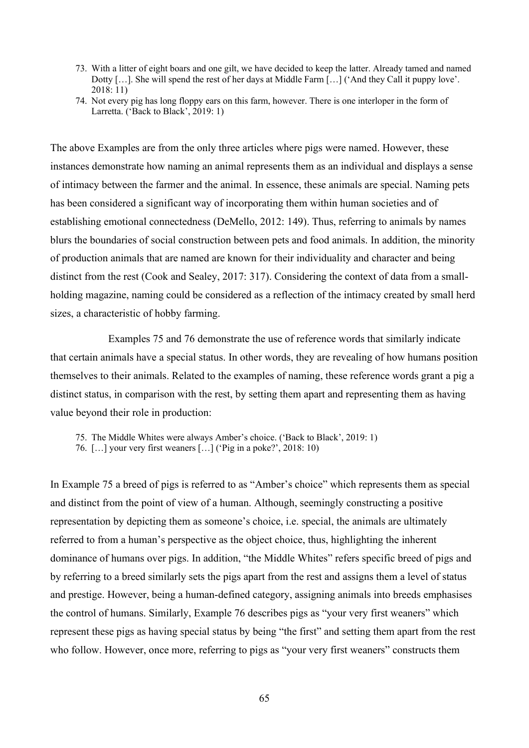- 73. With a litter of eight boars and one gilt, we have decided to keep the latter. Already tamed and named Dotty […]. She will spend the rest of her days at Middle Farm […] ('And they Call it puppy love'. 2018: 11)
- 74. Not every pig has long floppy ears on this farm, however. There is one interloper in the form of Larretta. ('Back to Black', 2019: 1)

The above Examples are from the only three articles where pigs were named. However, these instances demonstrate how naming an animal represents them as an individual and displays a sense of intimacy between the farmer and the animal. In essence, these animals are special. Naming pets has been considered a significant way of incorporating them within human societies and of establishing emotional connectedness (DeMello, 2012: 149). Thus, referring to animals by names blurs the boundaries of social construction between pets and food animals. In addition, the minority of production animals that are named are known for their individuality and character and being distinct from the rest (Cook and Sealey, 2017: 317). Considering the context of data from a smallholding magazine, naming could be considered as a reflection of the intimacy created by small herd sizes, a characteristic of hobby farming.

Examples 75 and 76 demonstrate the use of reference words that similarly indicate that certain animals have a special status. In other words, they are revealing of how humans position themselves to their animals. Related to the examples of naming, these reference words grant a pig a distinct status, in comparison with the rest, by setting them apart and representing them as having value beyond their role in production:

75. The Middle Whites were always Amber's choice. ('Back to Black', 2019: 1)

76. […] your very first weaners […] ('Pig in a poke?', 2018: 10)

In Example 75 a breed of pigs is referred to as "Amber's choice" which represents them as special and distinct from the point of view of a human. Although, seemingly constructing a positive representation by depicting them as someone's choice, i.e. special, the animals are ultimately referred to from a human's perspective as the object choice, thus, highlighting the inherent dominance of humans over pigs. In addition, "the Middle Whites" refers specific breed of pigs and by referring to a breed similarly sets the pigs apart from the rest and assigns them a level of status and prestige. However, being a human-defined category, assigning animals into breeds emphasises the control of humans. Similarly, Example 76 describes pigs as "your very first weaners" which represent these pigs as having special status by being "the first" and setting them apart from the rest who follow. However, once more, referring to pigs as "your very first weaners" constructs them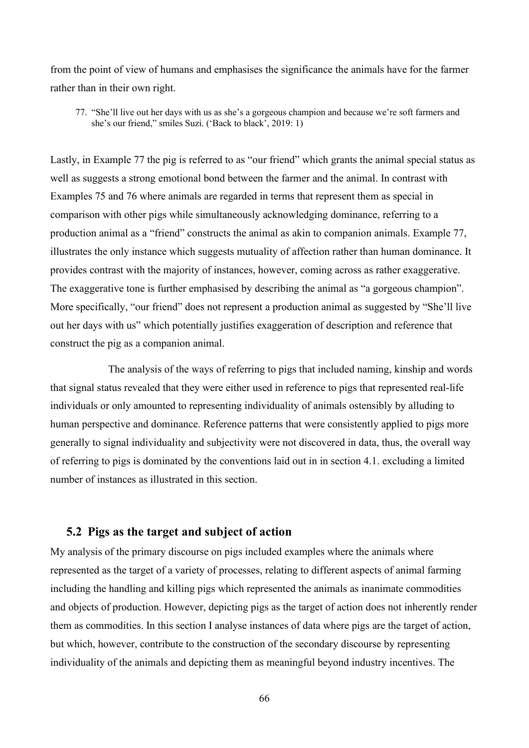from the point of view of humans and emphasises the significance the animals have for the farmer rather than in their own right.

77. "She'll live out her days with us as she's a gorgeous champion and because we're soft farmers and she's our friend," smiles Suzi. ('Back to black', 2019: 1)

Lastly, in Example 77 the pig is referred to as "our friend" which grants the animal special status as well as suggests a strong emotional bond between the farmer and the animal. In contrast with Examples 75 and 76 where animals are regarded in terms that represent them as special in comparison with other pigs while simultaneously acknowledging dominance, referring to a production animal as a "friend" constructs the animal as akin to companion animals. Example 77, illustrates the only instance which suggests mutuality of affection rather than human dominance. It provides contrast with the majority of instances, however, coming across as rather exaggerative. The exaggerative tone is further emphasised by describing the animal as "a gorgeous champion". More specifically, "our friend" does not represent a production animal as suggested by "She'll live out her days with us" which potentially justifies exaggeration of description and reference that construct the pig as a companion animal.

The analysis of the ways of referring to pigs that included naming, kinship and words that signal status revealed that they were either used in reference to pigs that represented real-life individuals or only amounted to representing individuality of animals ostensibly by alluding to human perspective and dominance. Reference patterns that were consistently applied to pigs more generally to signal individuality and subjectivity were not discovered in data, thus, the overall way of referring to pigs is dominated by the conventions laid out in in section 4.1. excluding a limited number of instances as illustrated in this section.

# **5.2 Pigs as the target and subject of action**

My analysis of the primary discourse on pigs included examples where the animals where represented as the target of a variety of processes, relating to different aspects of animal farming including the handling and killing pigs which represented the animals as inanimate commodities and objects of production. However, depicting pigs as the target of action does not inherently render them as commodities. In this section I analyse instances of data where pigs are the target of action, but which, however, contribute to the construction of the secondary discourse by representing individuality of the animals and depicting them as meaningful beyond industry incentives. The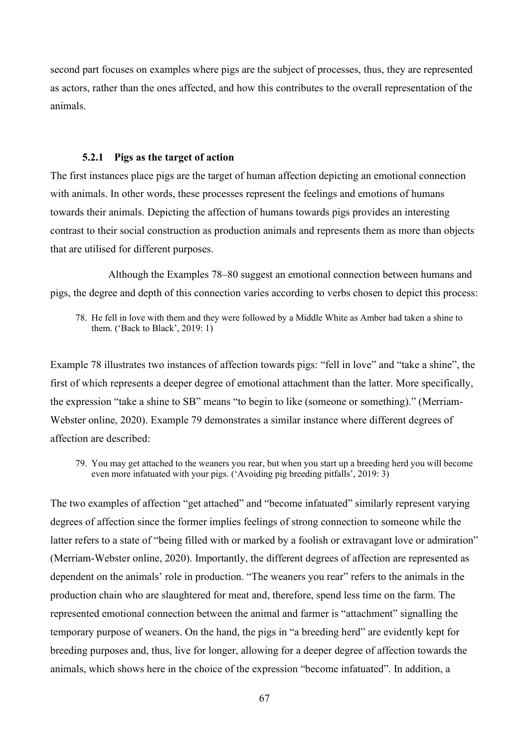second part focuses on examples where pigs are the subject of processes, thus, they are represented as actors, rather than the ones affected, and how this contributes to the overall representation of the animals.

### **5.2.1 Pigs as the target of action**

The first instances place pigs are the target of human affection depicting an emotional connection with animals. In other words, these processes represent the feelings and emotions of humans towards their animals. Depicting the affection of humans towards pigs provides an interesting contrast to their social construction as production animals and represents them as more than objects that are utilised for different purposes.

Although the Examples 78–80 suggest an emotional connection between humans and pigs, the degree and depth of this connection varies according to verbs chosen to depict this process:

78. He fell in love with them and they were followed by a Middle White as Amber had taken a shine to them. ('Back to Black', 2019: 1)

Example 78 illustrates two instances of affection towards pigs: "fell in love" and "take a shine", the first of which represents a deeper degree of emotional attachment than the latter. More specifically, the expression "take a shine to SB" means "to begin to like (someone or something)." (Merriam-Webster online, 2020). Example 79 demonstrates a similar instance where different degrees of affection are described:

79. You may get attached to the weaners you rear, but when you start up a breeding herd you will become even more infatuated with your pigs. ('Avoiding pig breeding pitfalls', 2019: 3)

The two examples of affection "get attached" and "become infatuated" similarly represent varying degrees of affection since the former implies feelings of strong connection to someone while the latter refers to a state of "being filled with or marked by a foolish or extravagant love or admiration" (Merriam-Webster online, 2020). Importantly, the different degrees of affection are represented as dependent on the animals' role in production. "The weaners you rear" refers to the animals in the production chain who are slaughtered for meat and, therefore, spend less time on the farm. The represented emotional connection between the animal and farmer is "attachment" signalling the temporary purpose of weaners. On the hand, the pigs in "a breeding herd" are evidently kept for breeding purposes and, thus, live for longer, allowing for a deeper degree of affection towards the animals, which shows here in the choice of the expression "become infatuated". In addition, a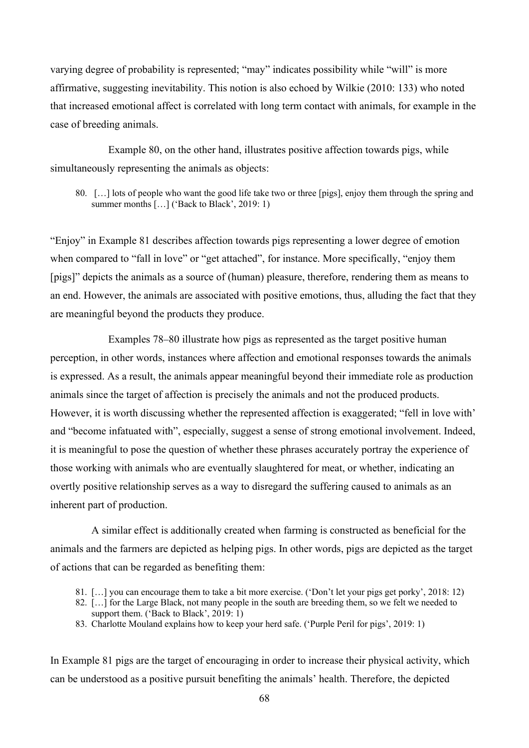varying degree of probability is represented; "may" indicates possibility while "will" is more affirmative, suggesting inevitability. This notion is also echoed by Wilkie (2010: 133) who noted that increased emotional affect is correlated with long term contact with animals, for example in the case of breeding animals.

Example 80, on the other hand, illustrates positive affection towards pigs, while simultaneously representing the animals as objects:

80. […] lots of people who want the good life take two or three [pigs], enjoy them through the spring and summer months [...] ('Back to Black', 2019: 1)

"Enjoy" in Example 81 describes affection towards pigs representing a lower degree of emotion when compared to "fall in love" or "get attached", for instance. More specifically, "enjoy them [pigs]" depicts the animals as a source of (human) pleasure, therefore, rendering them as means to an end. However, the animals are associated with positive emotions, thus, alluding the fact that they are meaningful beyond the products they produce.

Examples 78–80 illustrate how pigs as represented as the target positive human perception, in other words, instances where affection and emotional responses towards the animals is expressed. As a result, the animals appear meaningful beyond their immediate role as production animals since the target of affection is precisely the animals and not the produced products. However, it is worth discussing whether the represented affection is exaggerated; "fell in love with' and "become infatuated with", especially, suggest a sense of strong emotional involvement. Indeed, it is meaningful to pose the question of whether these phrases accurately portray the experience of those working with animals who are eventually slaughtered for meat, or whether, indicating an overtly positive relationship serves as a way to disregard the suffering caused to animals as an inherent part of production.

A similar effect is additionally created when farming is constructed as beneficial for the animals and the farmers are depicted as helping pigs. In other words, pigs are depicted as the target of actions that can be regarded as benefiting them:

- 81. […] you can encourage them to take a bit more exercise. ('Don't let your pigs get porky', 2018: 12)
- 82. […] for the Large Black, not many people in the south are breeding them, so we felt we needed to support them. ('Back to Black',  $2019: 1$ )
- 83. Charlotte Mouland explains how to keep your herd safe. ('Purple Peril for pigs', 2019: 1)

In Example 81 pigs are the target of encouraging in order to increase their physical activity, which can be understood as a positive pursuit benefiting the animals' health. Therefore, the depicted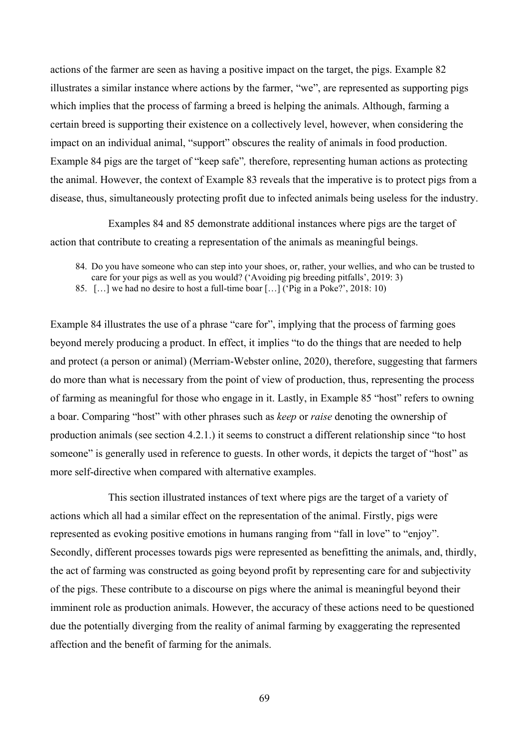actions of the farmer are seen as having a positive impact on the target, the pigs. Example 82 illustrates a similar instance where actions by the farmer, "we", are represented as supporting pigs which implies that the process of farming a breed is helping the animals. Although, farming a certain breed is supporting their existence on a collectively level, however, when considering the impact on an individual animal, "support" obscures the reality of animals in food production. Example 84 pigs are the target of "keep safe"*,* therefore, representing human actions as protecting the animal. However, the context of Example 83 reveals that the imperative is to protect pigs from a disease, thus, simultaneously protecting profit due to infected animals being useless for the industry.

Examples 84 and 85 demonstrate additional instances where pigs are the target of action that contribute to creating a representation of the animals as meaningful beings.

- 84. Do you have someone who can step into your shoes, or, rather, your wellies, and who can be trusted to care for your pigs as well as you would? ('Avoiding pig breeding pitfalls', 2019: 3)
- 85. […] we had no desire to host a full-time boar […] ('Pig in a Poke?', 2018: 10)

Example 84 illustrates the use of a phrase "care for", implying that the process of farming goes beyond merely producing a product. In effect, it implies "to do the things that are needed to help and protect (a person or animal) (Merriam-Webster online, 2020), therefore, suggesting that farmers do more than what is necessary from the point of view of production, thus, representing the process of farming as meaningful for those who engage in it. Lastly, in Example 85 "host" refers to owning a boar. Comparing "host" with other phrases such as *keep* or *raise* denoting the ownership of production animals (see section 4.2.1.) it seems to construct a different relationship since "to host someone" is generally used in reference to guests. In other words, it depicts the target of "host" as more self-directive when compared with alternative examples.

This section illustrated instances of text where pigs are the target of a variety of actions which all had a similar effect on the representation of the animal. Firstly, pigs were represented as evoking positive emotions in humans ranging from "fall in love" to "enjoy". Secondly, different processes towards pigs were represented as benefitting the animals, and, thirdly, the act of farming was constructed as going beyond profit by representing care for and subjectivity of the pigs. These contribute to a discourse on pigs where the animal is meaningful beyond their imminent role as production animals. However, the accuracy of these actions need to be questioned due the potentially diverging from the reality of animal farming by exaggerating the represented affection and the benefit of farming for the animals.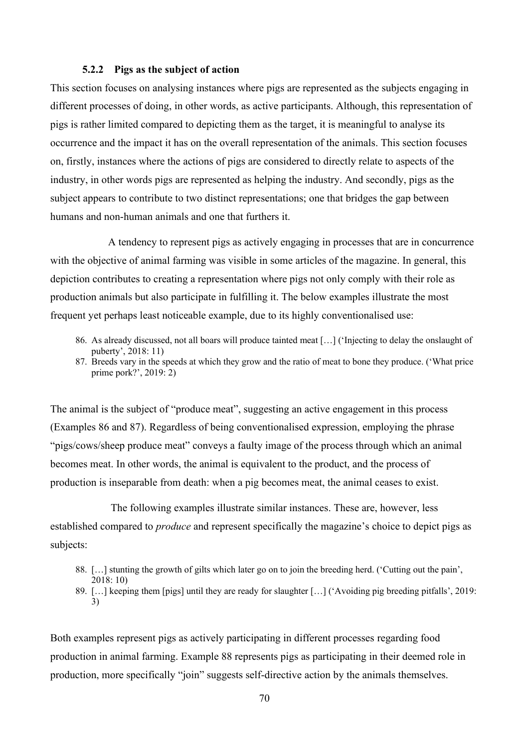#### **5.2.2 Pigs as the subject of action**

This section focuses on analysing instances where pigs are represented as the subjects engaging in different processes of doing, in other words, as active participants. Although, this representation of pigs is rather limited compared to depicting them as the target, it is meaningful to analyse its occurrence and the impact it has on the overall representation of the animals. This section focuses on, firstly, instances where the actions of pigs are considered to directly relate to aspects of the industry, in other words pigs are represented as helping the industry. And secondly, pigs as the subject appears to contribute to two distinct representations; one that bridges the gap between humans and non-human animals and one that furthers it.

A tendency to represent pigs as actively engaging in processes that are in concurrence with the objective of animal farming was visible in some articles of the magazine. In general, this depiction contributes to creating a representation where pigs not only comply with their role as production animals but also participate in fulfilling it. The below examples illustrate the most frequent yet perhaps least noticeable example, due to its highly conventionalised use:

- 86. As already discussed, not all boars will produce tainted meat […] ('Injecting to delay the onslaught of puberty', 2018: 11)
- 87. Breeds vary in the speeds at which they grow and the ratio of meat to bone they produce. ('What price prime pork?', 2019: 2)

The animal is the subject of "produce meat", suggesting an active engagement in this process (Examples 86 and 87). Regardless of being conventionalised expression, employing the phrase "pigs/cows/sheep produce meat" conveys a faulty image of the process through which an animal becomes meat. In other words, the animal is equivalent to the product, and the process of production is inseparable from death: when a pig becomes meat, the animal ceases to exist.

The following examples illustrate similar instances. These are, however, less established compared to *produce* and represent specifically the magazine's choice to depict pigs as subjects:

- 88. […] stunting the growth of gilts which later go on to join the breeding herd. ('Cutting out the pain', 2018: 10)
- 89. […] keeping them [pigs] until they are ready for slaughter […] ('Avoiding pig breeding pitfalls', 2019: 3)

Both examples represent pigs as actively participating in different processes regarding food production in animal farming. Example 88 represents pigs as participating in their deemed role in production, more specifically "join" suggests self-directive action by the animals themselves.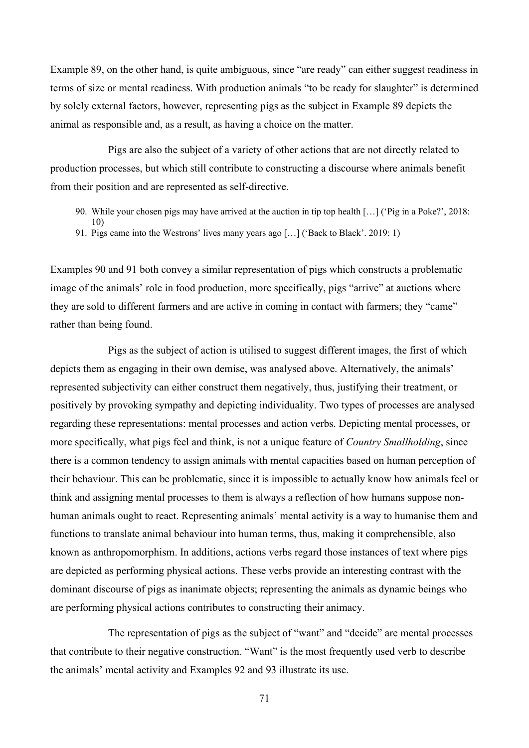Example 89, on the other hand, is quite ambiguous, since "are ready" can either suggest readiness in terms of size or mental readiness. With production animals "to be ready for slaughter" is determined by solely external factors, however, representing pigs as the subject in Example 89 depicts the animal as responsible and, as a result, as having a choice on the matter.

Pigs are also the subject of a variety of other actions that are not directly related to production processes, but which still contribute to constructing a discourse where animals benefit from their position and are represented as self-directive.

- 90. While your chosen pigs may have arrived at the auction in tip top health […] ('Pig in a Poke?', 2018: 10)
- 91. Pigs came into the Westrons' lives many years ago […] ('Back to Black'. 2019: 1)

Examples 90 and 91 both convey a similar representation of pigs which constructs a problematic image of the animals' role in food production, more specifically, pigs "arrive" at auctions where they are sold to different farmers and are active in coming in contact with farmers; they "came" rather than being found.

Pigs as the subject of action is utilised to suggest different images, the first of which depicts them as engaging in their own demise, was analysed above. Alternatively, the animals' represented subjectivity can either construct them negatively, thus, justifying their treatment, or positively by provoking sympathy and depicting individuality. Two types of processes are analysed regarding these representations: mental processes and action verbs. Depicting mental processes, or more specifically, what pigs feel and think, is not a unique feature of *Country Smallholding*, since there is a common tendency to assign animals with mental capacities based on human perception of their behaviour. This can be problematic, since it is impossible to actually know how animals feel or think and assigning mental processes to them is always a reflection of how humans suppose nonhuman animals ought to react. Representing animals' mental activity is a way to humanise them and functions to translate animal behaviour into human terms, thus, making it comprehensible, also known as anthropomorphism. In additions, actions verbs regard those instances of text where pigs are depicted as performing physical actions. These verbs provide an interesting contrast with the dominant discourse of pigs as inanimate objects; representing the animals as dynamic beings who are performing physical actions contributes to constructing their animacy.

The representation of pigs as the subject of "want" and "decide" are mental processes that contribute to their negative construction. "Want" is the most frequently used verb to describe the animals' mental activity and Examples 92 and 93 illustrate its use.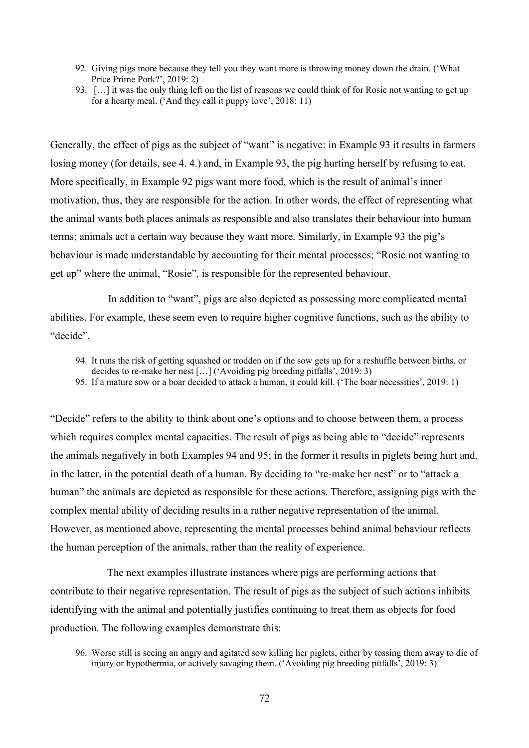- 92. Giving pigs more because they tell you they want more is throwing money down the drain. ('What Price Prime Pork?', 2019: 2)
- 93. […] it was the only thing left on the list of reasons we could think of for Rosie not wanting to get up for a hearty meal. ('And they call it puppy love', 2018: 11)

Generally, the effect of pigs as the subject of "want" is negative: in Example 93 it results in farmers losing money (for details, see 4. 4.) and, in Example 93, the pig hurting herself by refusing to eat. More specifically, in Example 92 pigs want more food, which is the result of animal's inner motivation, thus, they are responsible for the action. In other words, the effect of representing what the animal wants both places animals as responsible and also translates their behaviour into human terms; animals act a certain way because they want more. Similarly, in Example 93 the pig's behaviour is made understandable by accounting for their mental processes; "Rosie not wanting to get up" where the animal, "Rosie"*,* is responsible for the represented behaviour.

In addition to "want", pigs are also depicted as possessing more complicated mental abilities. For example, these seem even to require higher cognitive functions, such as the ability to "decide"*.*

- 94. It runs the risk of getting squashed or trodden on if the sow gets up for a reshuffle between births, or decides to re-make her nest […] ('Avoiding pig breeding pitfalls', 2019: 3)
- 95. If a mature sow or a boar decided to attack a human, it could kill. ('The boar necessities', 2019: 1)

"Decide" refers to the ability to think about one's options and to choose between them, a process which requires complex mental capacities. The result of pigs as being able to "decide" represents the animals negatively in both Examples 94 and 95; in the former it results in piglets being hurt and, in the latter, in the potential death of a human. By deciding to "re-make her nest" or to "attack a human" the animals are depicted as responsible for these actions. Therefore, assigning pigs with the complex mental ability of deciding results in a rather negative representation of the animal. However, as mentioned above, representing the mental processes behind animal behaviour reflects the human perception of the animals, rather than the reality of experience.

The next examples illustrate instances where pigs are performing actions that contribute to their negative representation. The result of pigs as the subject of such actions inhibits identifying with the animal and potentially justifies continuing to treat them as objects for food production. The following examples demonstrate this:

<sup>96.</sup> Worse still is seeing an angry and agitated sow killing her piglets, either by tossing them away to die of injury or hypothermia, or actively savaging them. ('Avoiding pig breeding pitfalls', 2019: 3)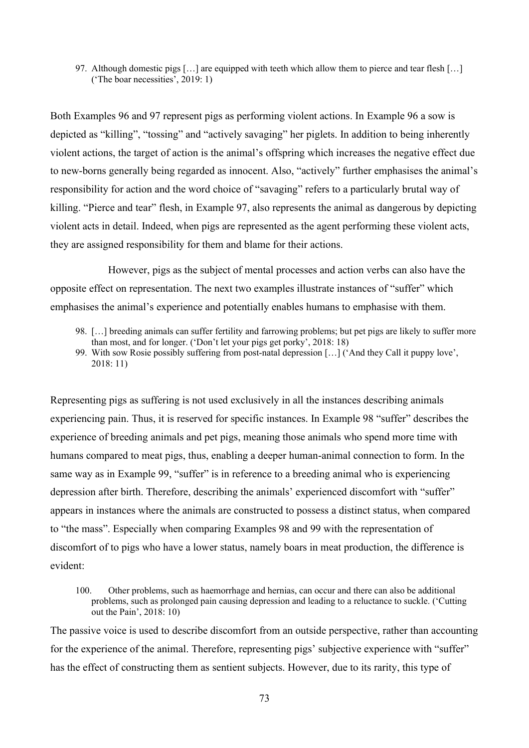97. Although domestic pigs […] are equipped with teeth which allow them to pierce and tear flesh […] ('The boar necessities', 2019: 1)

Both Examples 96 and 97 represent pigs as performing violent actions. In Example 96 a sow is depicted as "killing", "tossing" and "actively savaging" her piglets. In addition to being inherently violent actions, the target of action is the animal's offspring which increases the negative effect due to new-borns generally being regarded as innocent. Also, "actively" further emphasises the animal's responsibility for action and the word choice of "savaging" refers to a particularly brutal way of killing. "Pierce and tear" flesh, in Example 97, also represents the animal as dangerous by depicting violent acts in detail. Indeed, when pigs are represented as the agent performing these violent acts, they are assigned responsibility for them and blame for their actions.

However, pigs as the subject of mental processes and action verbs can also have the opposite effect on representation. The next two examples illustrate instances of "suffer" which emphasises the animal's experience and potentially enables humans to emphasise with them.

- 98. […] breeding animals can suffer fertility and farrowing problems; but pet pigs are likely to suffer more than most, and for longer. ('Don't let your pigs get porky', 2018: 18)
- 99. With sow Rosie possibly suffering from post-natal depression […] ('And they Call it puppy love', 2018: 11)

Representing pigs as suffering is not used exclusively in all the instances describing animals experiencing pain. Thus, it is reserved for specific instances. In Example 98 "suffer" describes the experience of breeding animals and pet pigs, meaning those animals who spend more time with humans compared to meat pigs, thus, enabling a deeper human-animal connection to form. In the same way as in Example 99, "suffer" is in reference to a breeding animal who is experiencing depression after birth. Therefore, describing the animals' experienced discomfort with "suffer" appears in instances where the animals are constructed to possess a distinct status, when compared to "the mass". Especially when comparing Examples 98 and 99 with the representation of discomfort of to pigs who have a lower status, namely boars in meat production, the difference is evident:

100. Other problems, such as haemorrhage and hernias, can occur and there can also be additional problems, such as prolonged pain causing depression and leading to a reluctance to suckle. ('Cutting out the Pain', 2018: 10)

The passive voice is used to describe discomfort from an outside perspective, rather than accounting for the experience of the animal. Therefore, representing pigs' subjective experience with "suffer" has the effect of constructing them as sentient subjects. However, due to its rarity, this type of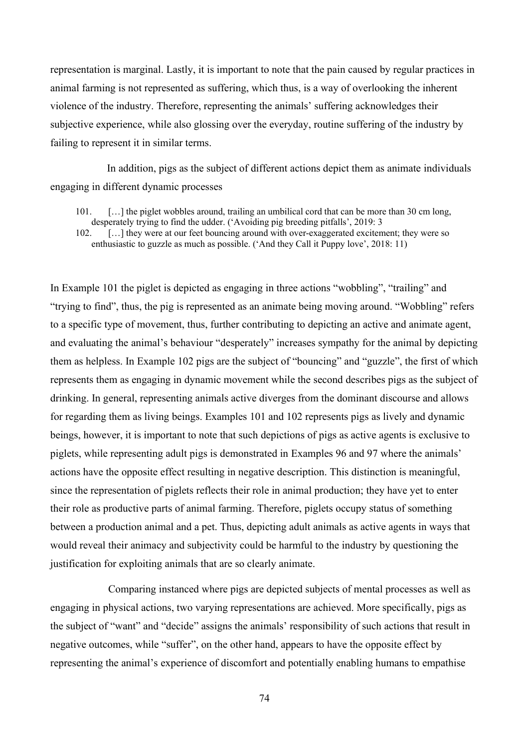representation is marginal. Lastly, it is important to note that the pain caused by regular practices in animal farming is not represented as suffering, which thus, is a way of overlooking the inherent violence of the industry. Therefore, representing the animals' suffering acknowledges their subjective experience, while also glossing over the everyday, routine suffering of the industry by failing to represent it in similar terms.

In addition, pigs as the subject of different actions depict them as animate individuals engaging in different dynamic processes

- 101. […] the piglet wobbles around, trailing an umbilical cord that can be more than 30 cm long, desperately trying to find the udder. ('Avoiding pig breeding pitfalls', 2019: 3
- 102. […] they were at our feet bouncing around with over-exaggerated excitement; they were so enthusiastic to guzzle as much as possible. ('And they Call it Puppy love', 2018: 11)

In Example 101 the piglet is depicted as engaging in three actions "wobbling", "trailing" and "trying to find", thus, the pig is represented as an animate being moving around. "Wobbling" refers to a specific type of movement, thus, further contributing to depicting an active and animate agent, and evaluating the animal's behaviour "desperately" increases sympathy for the animal by depicting them as helpless. In Example 102 pigs are the subject of "bouncing" and "guzzle", the first of which represents them as engaging in dynamic movement while the second describes pigs as the subject of drinking. In general, representing animals active diverges from the dominant discourse and allows for regarding them as living beings. Examples 101 and 102 represents pigs as lively and dynamic beings, however, it is important to note that such depictions of pigs as active agents is exclusive to piglets, while representing adult pigs is demonstrated in Examples 96 and 97 where the animals' actions have the opposite effect resulting in negative description. This distinction is meaningful, since the representation of piglets reflects their role in animal production; they have yet to enter their role as productive parts of animal farming. Therefore, piglets occupy status of something between a production animal and a pet. Thus, depicting adult animals as active agents in ways that would reveal their animacy and subjectivity could be harmful to the industry by questioning the justification for exploiting animals that are so clearly animate.

Comparing instanced where pigs are depicted subjects of mental processes as well as engaging in physical actions, two varying representations are achieved. More specifically, pigs as the subject of "want" and "decide" assigns the animals' responsibility of such actions that result in negative outcomes, while "suffer", on the other hand, appears to have the opposite effect by representing the animal's experience of discomfort and potentially enabling humans to empathise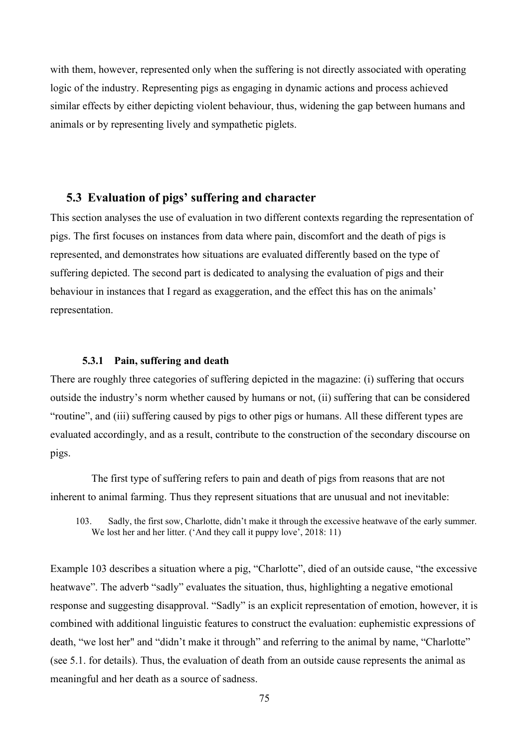with them, however, represented only when the suffering is not directly associated with operating logic of the industry. Representing pigs as engaging in dynamic actions and process achieved similar effects by either depicting violent behaviour, thus, widening the gap between humans and animals or by representing lively and sympathetic piglets.

### **5.3 Evaluation of pigs' suffering and character**

This section analyses the use of evaluation in two different contexts regarding the representation of pigs. The first focuses on instances from data where pain, discomfort and the death of pigs is represented, and demonstrates how situations are evaluated differently based on the type of suffering depicted. The second part is dedicated to analysing the evaluation of pigs and their behaviour in instances that I regard as exaggeration, and the effect this has on the animals' representation.

### **5.3.1 Pain, suffering and death**

There are roughly three categories of suffering depicted in the magazine: (i) suffering that occurs outside the industry's norm whether caused by humans or not, (ii) suffering that can be considered "routine", and (iii) suffering caused by pigs to other pigs or humans. All these different types are evaluated accordingly, and as a result, contribute to the construction of the secondary discourse on pigs.

The first type of suffering refers to pain and death of pigs from reasons that are not inherent to animal farming. Thus they represent situations that are unusual and not inevitable:

103. Sadly, the first sow, Charlotte, didn't make it through the excessive heatwave of the early summer. We lost her and her litter. ('And they call it puppy love', 2018: 11)

Example 103 describes a situation where a pig, "Charlotte", died of an outside cause, "the excessive heatwave". The adverb "sadly" evaluates the situation, thus, highlighting a negative emotional response and suggesting disapproval. "Sadly" is an explicit representation of emotion, however, it is combined with additional linguistic features to construct the evaluation: euphemistic expressions of death, "we lost her" and "didn't make it through" and referring to the animal by name, "Charlotte" (see 5.1. for details). Thus, the evaluation of death from an outside cause represents the animal as meaningful and her death as a source of sadness.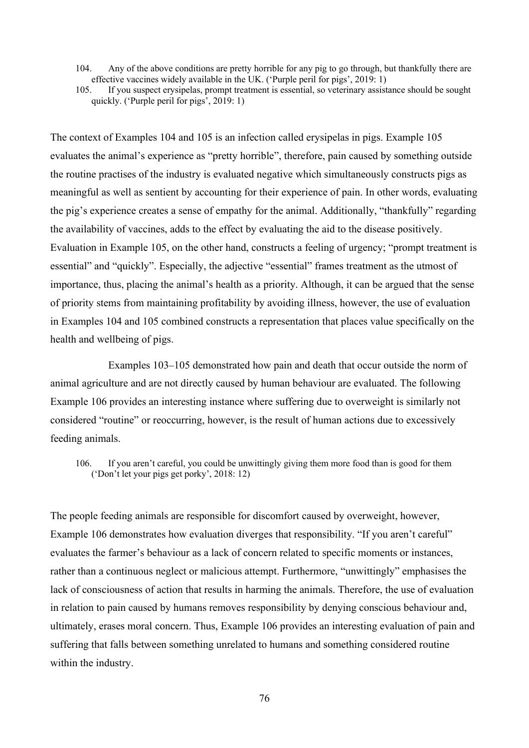- 104. Any of the above conditions are pretty horrible for any pig to go through, but thankfully there are effective vaccines widely available in the UK. ('Purple peril for pigs', 2019: 1)
- 105. If you suspect erysipelas, prompt treatment is essential, so veterinary assistance should be sought quickly. ('Purple peril for pigs', 2019: 1)

The context of Examples 104 and 105 is an infection called erysipelas in pigs. Example 105 evaluates the animal's experience as "pretty horrible", therefore, pain caused by something outside the routine practises of the industry is evaluated negative which simultaneously constructs pigs as meaningful as well as sentient by accounting for their experience of pain. In other words, evaluating the pig's experience creates a sense of empathy for the animal. Additionally, "thankfully" regarding the availability of vaccines, adds to the effect by evaluating the aid to the disease positively. Evaluation in Example 105, on the other hand, constructs a feeling of urgency; "prompt treatment is essential" and "quickly". Especially, the adjective "essential" frames treatment as the utmost of importance, thus, placing the animal's health as a priority. Although, it can be argued that the sense of priority stems from maintaining profitability by avoiding illness, however, the use of evaluation in Examples 104 and 105 combined constructs a representation that places value specifically on the health and wellbeing of pigs.

Examples 103–105 demonstrated how pain and death that occur outside the norm of animal agriculture and are not directly caused by human behaviour are evaluated. The following Example 106 provides an interesting instance where suffering due to overweight is similarly not considered "routine" or reoccurring, however, is the result of human actions due to excessively feeding animals.

106. If you aren't careful, you could be unwittingly giving them more food than is good for them ('Don't let your pigs get porky', 2018: 12)

The people feeding animals are responsible for discomfort caused by overweight, however, Example 106 demonstrates how evaluation diverges that responsibility. "If you aren't careful" evaluates the farmer's behaviour as a lack of concern related to specific moments or instances, rather than a continuous neglect or malicious attempt. Furthermore, "unwittingly" emphasises the lack of consciousness of action that results in harming the animals. Therefore, the use of evaluation in relation to pain caused by humans removes responsibility by denying conscious behaviour and, ultimately, erases moral concern. Thus, Example 106 provides an interesting evaluation of pain and suffering that falls between something unrelated to humans and something considered routine within the industry.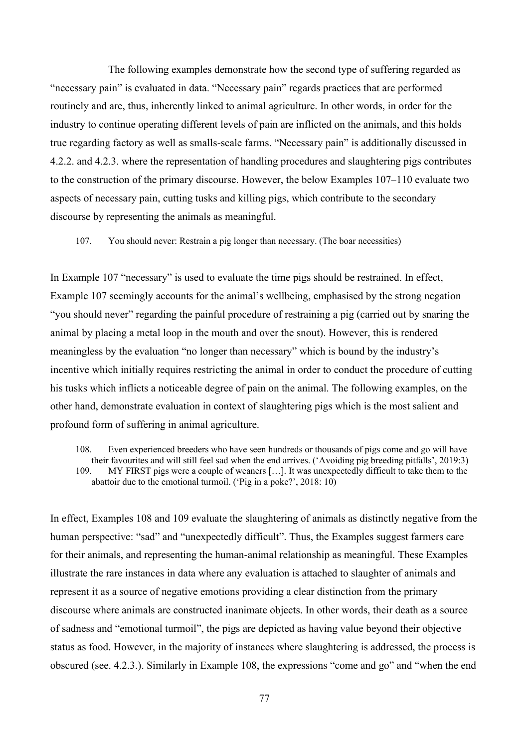The following examples demonstrate how the second type of suffering regarded as "necessary pain" is evaluated in data. "Necessary pain" regards practices that are performed routinely and are, thus, inherently linked to animal agriculture. In other words, in order for the industry to continue operating different levels of pain are inflicted on the animals, and this holds true regarding factory as well as smalls-scale farms. "Necessary pain" is additionally discussed in 4.2.2. and 4.2.3. where the representation of handling procedures and slaughtering pigs contributes to the construction of the primary discourse. However, the below Examples 107–110 evaluate two aspects of necessary pain, cutting tusks and killing pigs, which contribute to the secondary discourse by representing the animals as meaningful.

107. You should never: Restrain a pig longer than necessary. (The boar necessities)

In Example 107 "necessary" is used to evaluate the time pigs should be restrained. In effect, Example 107 seemingly accounts for the animal's wellbeing, emphasised by the strong negation "you should never" regarding the painful procedure of restraining a pig (carried out by snaring the animal by placing a metal loop in the mouth and over the snout). However, this is rendered meaningless by the evaluation "no longer than necessary" which is bound by the industry's incentive which initially requires restricting the animal in order to conduct the procedure of cutting his tusks which inflicts a noticeable degree of pain on the animal. The following examples, on the other hand, demonstrate evaluation in context of slaughtering pigs which is the most salient and profound form of suffering in animal agriculture.

108. Even experienced breeders who have seen hundreds or thousands of pigs come and go will have their favourites and will still feel sad when the end arrives. ('Avoiding pig breeding pitfalls', 2019:3) 109. MY FIRST pigs were a couple of weaners […]. It was unexpectedly difficult to take them to the abattoir due to the emotional turmoil. ('Pig in a poke?', 2018: 10)

In effect, Examples 108 and 109 evaluate the slaughtering of animals as distinctly negative from the human perspective: "sad" and "unexpectedly difficult". Thus, the Examples suggest farmers care for their animals, and representing the human-animal relationship as meaningful. These Examples illustrate the rare instances in data where any evaluation is attached to slaughter of animals and represent it as a source of negative emotions providing a clear distinction from the primary discourse where animals are constructed inanimate objects. In other words, their death as a source of sadness and "emotional turmoil", the pigs are depicted as having value beyond their objective status as food. However, in the majority of instances where slaughtering is addressed, the process is obscured (see. 4.2.3.). Similarly in Example 108, the expressions "come and go" and "when the end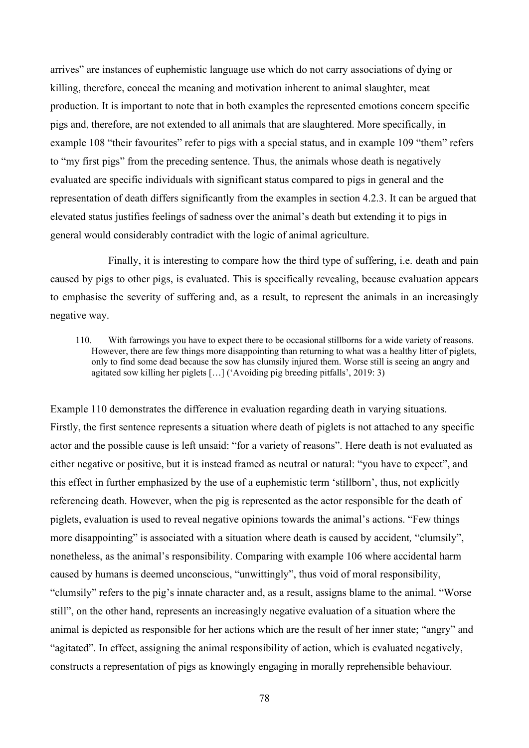arrives" are instances of euphemistic language use which do not carry associations of dying or killing, therefore, conceal the meaning and motivation inherent to animal slaughter, meat production. It is important to note that in both examples the represented emotions concern specific pigs and, therefore, are not extended to all animals that are slaughtered. More specifically, in example 108 "their favourites" refer to pigs with a special status, and in example 109 "them" refers to "my first pigs" from the preceding sentence. Thus, the animals whose death is negatively evaluated are specific individuals with significant status compared to pigs in general and the representation of death differs significantly from the examples in section 4.2.3. It can be argued that elevated status justifies feelings of sadness over the animal's death but extending it to pigs in general would considerably contradict with the logic of animal agriculture.

Finally, it is interesting to compare how the third type of suffering, i.e. death and pain caused by pigs to other pigs, is evaluated. This is specifically revealing, because evaluation appears to emphasise the severity of suffering and, as a result, to represent the animals in an increasingly negative way.

110. With farrowings you have to expect there to be occasional stillborns for a wide variety of reasons. However, there are few things more disappointing than returning to what was a healthy litter of piglets, only to find some dead because the sow has clumsily injured them. Worse still is seeing an angry and agitated sow killing her piglets […] ('Avoiding pig breeding pitfalls', 2019: 3)

Example 110 demonstrates the difference in evaluation regarding death in varying situations. Firstly, the first sentence represents a situation where death of piglets is not attached to any specific actor and the possible cause is left unsaid: "for a variety of reasons". Here death is not evaluated as either negative or positive, but it is instead framed as neutral or natural: "you have to expect", and this effect in further emphasized by the use of a euphemistic term 'stillborn', thus, not explicitly referencing death. However, when the pig is represented as the actor responsible for the death of piglets, evaluation is used to reveal negative opinions towards the animal's actions. "Few things more disappointing" is associated with a situation where death is caused by accident*,* "clumsily", nonetheless, as the animal's responsibility. Comparing with example 106 where accidental harm caused by humans is deemed unconscious, "unwittingly", thus void of moral responsibility, "clumsily" refers to the pig's innate character and, as a result, assigns blame to the animal. "Worse still", on the other hand, represents an increasingly negative evaluation of a situation where the animal is depicted as responsible for her actions which are the result of her inner state; "angry" and "agitated". In effect, assigning the animal responsibility of action, which is evaluated negatively, constructs a representation of pigs as knowingly engaging in morally reprehensible behaviour.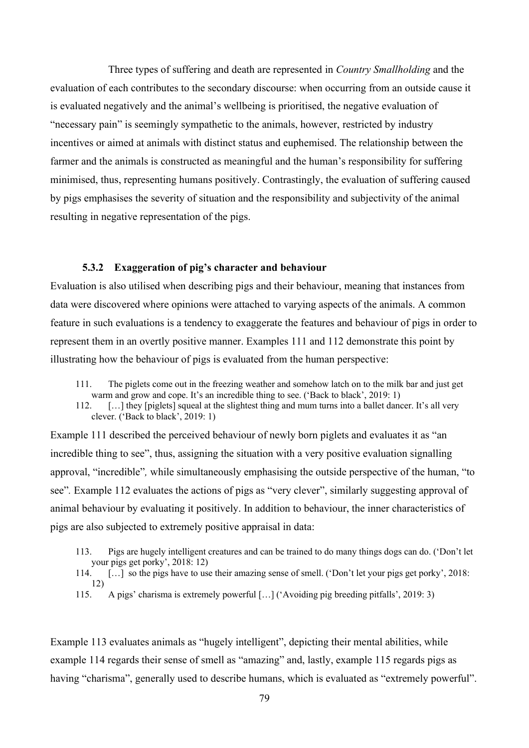Three types of suffering and death are represented in *Country Smallholding* and the evaluation of each contributes to the secondary discourse: when occurring from an outside cause it is evaluated negatively and the animal's wellbeing is prioritised, the negative evaluation of "necessary pain" is seemingly sympathetic to the animals, however, restricted by industry incentives or aimed at animals with distinct status and euphemised. The relationship between the farmer and the animals is constructed as meaningful and the human's responsibility for suffering minimised, thus, representing humans positively. Contrastingly, the evaluation of suffering caused by pigs emphasises the severity of situation and the responsibility and subjectivity of the animal resulting in negative representation of the pigs.

## **5.3.2 Exaggeration of pig's character and behaviour**

Evaluation is also utilised when describing pigs and their behaviour, meaning that instances from data were discovered where opinions were attached to varying aspects of the animals. A common feature in such evaluations is a tendency to exaggerate the features and behaviour of pigs in order to represent them in an overtly positive manner. Examples 111 and 112 demonstrate this point by illustrating how the behaviour of pigs is evaluated from the human perspective:

111. The piglets come out in the freezing weather and somehow latch on to the milk bar and just get warm and grow and cope. It's an incredible thing to see. ('Back to black', 2019: 1)

112. […] they [piglets] squeal at the slightest thing and mum turns into a ballet dancer. It's all very clever. ('Back to black', 2019: 1)

Example 111 described the perceived behaviour of newly born piglets and evaluates it as "an incredible thing to see", thus, assigning the situation with a very positive evaluation signalling approval, "incredible"*,* while simultaneously emphasising the outside perspective of the human, "to see"*.* Example 112 evaluates the actions of pigs as "very clever", similarly suggesting approval of animal behaviour by evaluating it positively. In addition to behaviour, the inner characteristics of pigs are also subjected to extremely positive appraisal in data:

- 113. Pigs are hugely intelligent creatures and can be trained to do many things dogs can do. ('Don't let your pigs get porky', 2018: 12)
- 114. […] so the pigs have to use their amazing sense of smell. ('Don't let your pigs get porky', 2018: 12)
- 115. A pigs' charisma is extremely powerful […] ('Avoiding pig breeding pitfalls', 2019: 3)

Example 113 evaluates animals as "hugely intelligent", depicting their mental abilities, while example 114 regards their sense of smell as "amazing" and, lastly, example 115 regards pigs as having "charisma", generally used to describe humans, which is evaluated as "extremely powerful".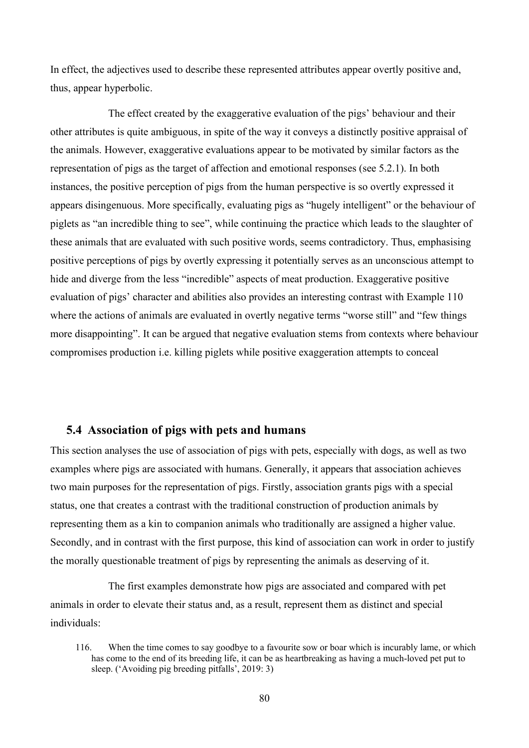In effect, the adjectives used to describe these represented attributes appear overtly positive and, thus, appear hyperbolic.

The effect created by the exaggerative evaluation of the pigs' behaviour and their other attributes is quite ambiguous, in spite of the way it conveys a distinctly positive appraisal of the animals. However, exaggerative evaluations appear to be motivated by similar factors as the representation of pigs as the target of affection and emotional responses (see 5.2.1). In both instances, the positive perception of pigs from the human perspective is so overtly expressed it appears disingenuous. More specifically, evaluating pigs as "hugely intelligent" or the behaviour of piglets as "an incredible thing to see", while continuing the practice which leads to the slaughter of these animals that are evaluated with such positive words, seems contradictory. Thus, emphasising positive perceptions of pigs by overtly expressing it potentially serves as an unconscious attempt to hide and diverge from the less "incredible" aspects of meat production. Exaggerative positive evaluation of pigs' character and abilities also provides an interesting contrast with Example 110 where the actions of animals are evaluated in overtly negative terms "worse still" and "few things more disappointing". It can be argued that negative evaluation stems from contexts where behaviour compromises production i.e. killing piglets while positive exaggeration attempts to conceal

## **5.4 Association of pigs with pets and humans**

This section analyses the use of association of pigs with pets, especially with dogs, as well as two examples where pigs are associated with humans. Generally, it appears that association achieves two main purposes for the representation of pigs. Firstly, association grants pigs with a special status, one that creates a contrast with the traditional construction of production animals by representing them as a kin to companion animals who traditionally are assigned a higher value. Secondly, and in contrast with the first purpose, this kind of association can work in order to justify the morally questionable treatment of pigs by representing the animals as deserving of it.

The first examples demonstrate how pigs are associated and compared with pet animals in order to elevate their status and, as a result, represent them as distinct and special individuals:

<sup>116.</sup> When the time comes to say goodbye to a favourite sow or boar which is incurably lame, or which has come to the end of its breeding life, it can be as heartbreaking as having a much-loved pet put to sleep. ('Avoiding pig breeding pitfalls', 2019: 3)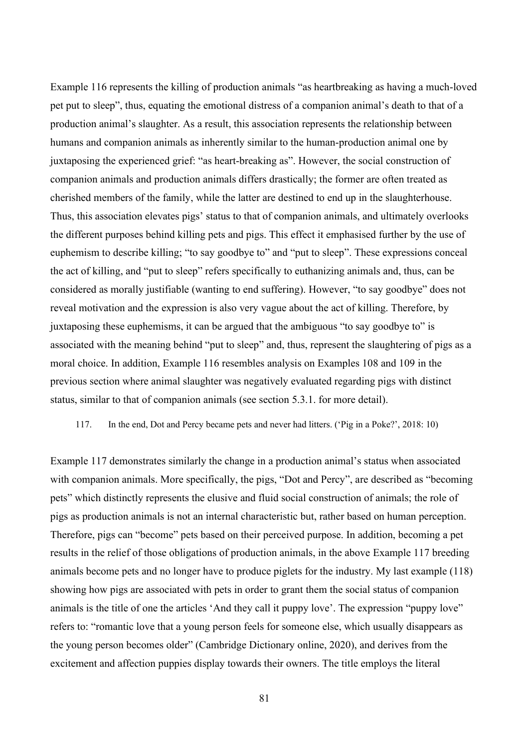Example 116 represents the killing of production animals "as heartbreaking as having a much-loved pet put to sleep", thus, equating the emotional distress of a companion animal's death to that of a production animal's slaughter. As a result, this association represents the relationship between humans and companion animals as inherently similar to the human-production animal one by juxtaposing the experienced grief: "as heart-breaking as". However, the social construction of companion animals and production animals differs drastically; the former are often treated as cherished members of the family, while the latter are destined to end up in the slaughterhouse. Thus, this association elevates pigs' status to that of companion animals, and ultimately overlooks the different purposes behind killing pets and pigs. This effect it emphasised further by the use of euphemism to describe killing; "to say goodbye to" and "put to sleep". These expressions conceal the act of killing, and "put to sleep" refers specifically to euthanizing animals and, thus, can be considered as morally justifiable (wanting to end suffering). However, "to say goodbye" does not reveal motivation and the expression is also very vague about the act of killing. Therefore, by juxtaposing these euphemisms, it can be argued that the ambiguous "to say goodbye to" is associated with the meaning behind "put to sleep" and, thus, represent the slaughtering of pigs as a moral choice. In addition, Example 116 resembles analysis on Examples 108 and 109 in the previous section where animal slaughter was negatively evaluated regarding pigs with distinct status, similar to that of companion animals (see section 5.3.1. for more detail).

117. In the end, Dot and Percy became pets and never had litters. ('Pig in a Poke?', 2018: 10)

Example 117 demonstrates similarly the change in a production animal's status when associated with companion animals. More specifically, the pigs, "Dot and Percy", are described as "becoming pets" which distinctly represents the elusive and fluid social construction of animals; the role of pigs as production animals is not an internal characteristic but, rather based on human perception. Therefore, pigs can "become" pets based on their perceived purpose. In addition, becoming a pet results in the relief of those obligations of production animals, in the above Example 117 breeding animals become pets and no longer have to produce piglets for the industry. My last example (118) showing how pigs are associated with pets in order to grant them the social status of companion animals is the title of one the articles 'And they call it puppy love'. The expression "puppy love" refers to: "romantic love that a young person feels for someone else, which usually disappears as the young person becomes older" (Cambridge Dictionary online, 2020), and derives from the excitement and affection puppies display towards their owners. The title employs the literal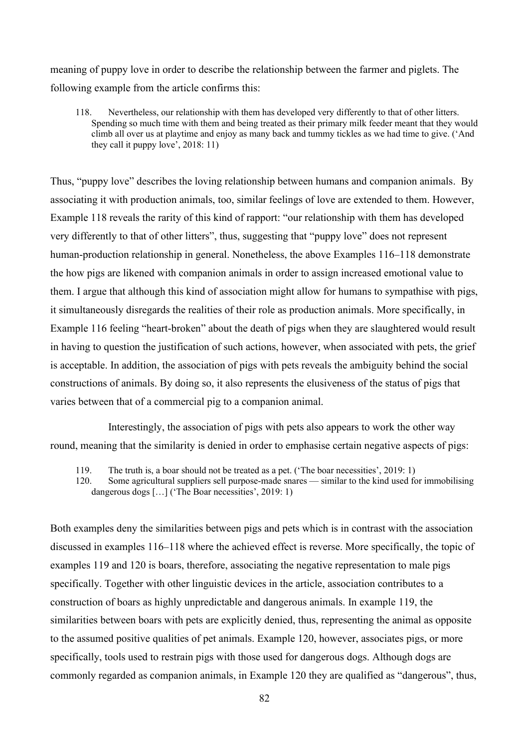meaning of puppy love in order to describe the relationship between the farmer and piglets. The following example from the article confirms this:

118. Nevertheless, our relationship with them has developed very differently to that of other litters. Spending so much time with them and being treated as their primary milk feeder meant that they would climb all over us at playtime and enjoy as many back and tummy tickles as we had time to give. ('And they call it puppy love', 2018: 11)

Thus, "puppy love" describes the loving relationship between humans and companion animals. By associating it with production animals, too, similar feelings of love are extended to them. However, Example 118 reveals the rarity of this kind of rapport: "our relationship with them has developed very differently to that of other litters", thus, suggesting that "puppy love" does not represent human-production relationship in general. Nonetheless, the above Examples 116–118 demonstrate the how pigs are likened with companion animals in order to assign increased emotional value to them. I argue that although this kind of association might allow for humans to sympathise with pigs, it simultaneously disregards the realities of their role as production animals. More specifically, in Example 116 feeling "heart-broken" about the death of pigs when they are slaughtered would result in having to question the justification of such actions, however, when associated with pets, the grief is acceptable. In addition, the association of pigs with pets reveals the ambiguity behind the social constructions of animals. By doing so, it also represents the elusiveness of the status of pigs that varies between that of a commercial pig to a companion animal.

Interestingly, the association of pigs with pets also appears to work the other way round, meaning that the similarity is denied in order to emphasise certain negative aspects of pigs:

119. The truth is, a boar should not be treated as a pet. ('The boar necessities', 2019: 1)

120. Some agricultural suppliers sell purpose-made snares — similar to the kind used for immobilising dangerous dogs […] ('The Boar necessities', 2019: 1)

Both examples deny the similarities between pigs and pets which is in contrast with the association discussed in examples 116–118 where the achieved effect is reverse. More specifically, the topic of examples 119 and 120 is boars, therefore, associating the negative representation to male pigs specifically. Together with other linguistic devices in the article, association contributes to a construction of boars as highly unpredictable and dangerous animals. In example 119, the similarities between boars with pets are explicitly denied, thus, representing the animal as opposite to the assumed positive qualities of pet animals. Example 120, however, associates pigs, or more specifically, tools used to restrain pigs with those used for dangerous dogs. Although dogs are commonly regarded as companion animals, in Example 120 they are qualified as "dangerous", thus,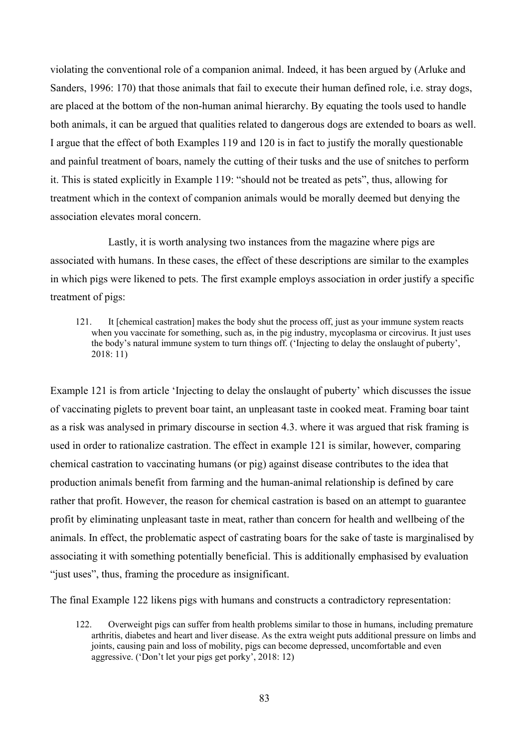violating the conventional role of a companion animal. Indeed, it has been argued by (Arluke and Sanders, 1996: 170) that those animals that fail to execute their human defined role, i.e. stray dogs, are placed at the bottom of the non-human animal hierarchy. By equating the tools used to handle both animals, it can be argued that qualities related to dangerous dogs are extended to boars as well. I argue that the effect of both Examples 119 and 120 is in fact to justify the morally questionable and painful treatment of boars, namely the cutting of their tusks and the use of snitches to perform it. This is stated explicitly in Example 119: "should not be treated as pets", thus, allowing for treatment which in the context of companion animals would be morally deemed but denying the association elevates moral concern.

Lastly, it is worth analysing two instances from the magazine where pigs are associated with humans. In these cases, the effect of these descriptions are similar to the examples in which pigs were likened to pets. The first example employs association in order justify a specific treatment of pigs:

121. It [chemical castration] makes the body shut the process off, just as your immune system reacts when you vaccinate for something, such as, in the pig industry, mycoplasma or circovirus. It just uses the body's natural immune system to turn things off. ('Injecting to delay the onslaught of puberty', 2018: 11)

Example 121 is from article 'Injecting to delay the onslaught of puberty' which discusses the issue of vaccinating piglets to prevent boar taint, an unpleasant taste in cooked meat. Framing boar taint as a risk was analysed in primary discourse in section 4.3. where it was argued that risk framing is used in order to rationalize castration. The effect in example 121 is similar, however, comparing chemical castration to vaccinating humans (or pig) against disease contributes to the idea that production animals benefit from farming and the human-animal relationship is defined by care rather that profit. However, the reason for chemical castration is based on an attempt to guarantee profit by eliminating unpleasant taste in meat, rather than concern for health and wellbeing of the animals. In effect, the problematic aspect of castrating boars for the sake of taste is marginalised by associating it with something potentially beneficial. This is additionally emphasised by evaluation "just uses", thus, framing the procedure as insignificant.

The final Example 122 likens pigs with humans and constructs a contradictory representation:

122. Overweight pigs can suffer from health problems similar to those in humans, including premature arthritis, diabetes and heart and liver disease. As the extra weight puts additional pressure on limbs and joints, causing pain and loss of mobility, pigs can become depressed, uncomfortable and even aggressive. ('Don't let your pigs get porky', 2018: 12)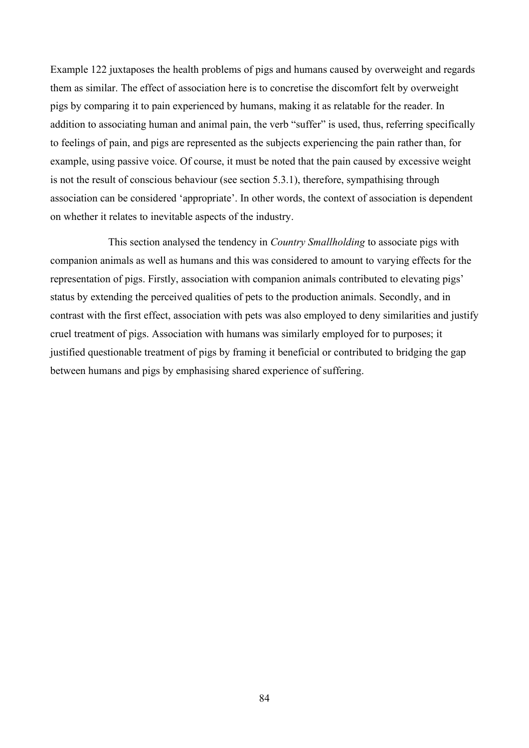Example 122 juxtaposes the health problems of pigs and humans caused by overweight and regards them as similar. The effect of association here is to concretise the discomfort felt by overweight pigs by comparing it to pain experienced by humans, making it as relatable for the reader. In addition to associating human and animal pain, the verb "suffer" is used, thus, referring specifically to feelings of pain, and pigs are represented as the subjects experiencing the pain rather than, for example, using passive voice. Of course, it must be noted that the pain caused by excessive weight is not the result of conscious behaviour (see section 5.3.1), therefore, sympathising through association can be considered 'appropriate'. In other words, the context of association is dependent on whether it relates to inevitable aspects of the industry.

This section analysed the tendency in *Country Smallholding* to associate pigs with companion animals as well as humans and this was considered to amount to varying effects for the representation of pigs. Firstly, association with companion animals contributed to elevating pigs' status by extending the perceived qualities of pets to the production animals. Secondly, and in contrast with the first effect, association with pets was also employed to deny similarities and justify cruel treatment of pigs. Association with humans was similarly employed for to purposes; it justified questionable treatment of pigs by framing it beneficial or contributed to bridging the gap between humans and pigs by emphasising shared experience of suffering.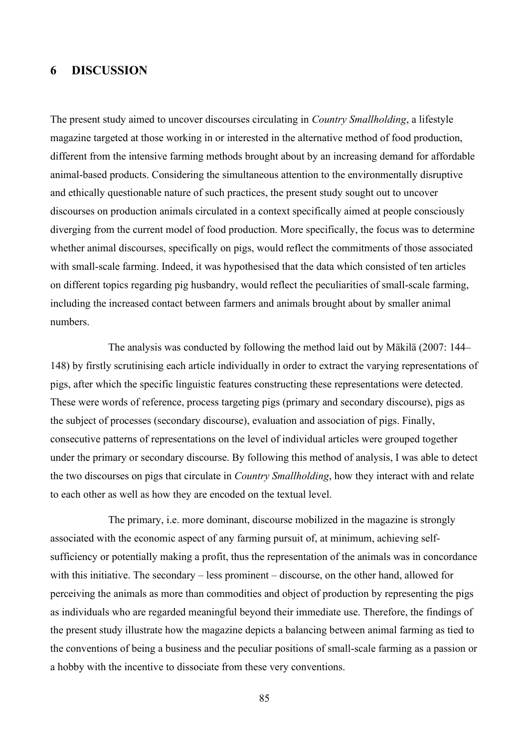## **6 DISCUSSION**

The present study aimed to uncover discourses circulating in *Country Smallholding*, a lifestyle magazine targeted at those working in or interested in the alternative method of food production, different from the intensive farming methods brought about by an increasing demand for affordable animal-based products. Considering the simultaneous attention to the environmentally disruptive and ethically questionable nature of such practices, the present study sought out to uncover discourses on production animals circulated in a context specifically aimed at people consciously diverging from the current model of food production. More specifically, the focus was to determine whether animal discourses, specifically on pigs, would reflect the commitments of those associated with small-scale farming. Indeed, it was hypothesised that the data which consisted of ten articles on different topics regarding pig husbandry, would reflect the peculiarities of small-scale farming, including the increased contact between farmers and animals brought about by smaller animal numbers.

The analysis was conducted by following the method laid out by Mäkilä (2007: 144– 148) by firstly scrutinising each article individually in order to extract the varying representations of pigs, after which the specific linguistic features constructing these representations were detected. These were words of reference, process targeting pigs (primary and secondary discourse), pigs as the subject of processes (secondary discourse), evaluation and association of pigs. Finally, consecutive patterns of representations on the level of individual articles were grouped together under the primary or secondary discourse. By following this method of analysis, I was able to detect the two discourses on pigs that circulate in *Country Smallholding*, how they interact with and relate to each other as well as how they are encoded on the textual level.

The primary, i.e. more dominant, discourse mobilized in the magazine is strongly associated with the economic aspect of any farming pursuit of, at minimum, achieving selfsufficiency or potentially making a profit, thus the representation of the animals was in concordance with this initiative. The secondary – less prominent – discourse, on the other hand, allowed for perceiving the animals as more than commodities and object of production by representing the pigs as individuals who are regarded meaningful beyond their immediate use. Therefore, the findings of the present study illustrate how the magazine depicts a balancing between animal farming as tied to the conventions of being a business and the peculiar positions of small-scale farming as a passion or a hobby with the incentive to dissociate from these very conventions.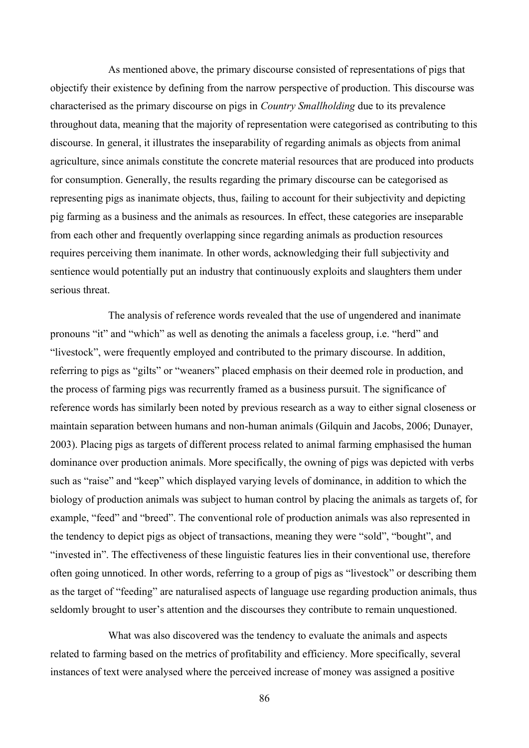As mentioned above, the primary discourse consisted of representations of pigs that objectify their existence by defining from the narrow perspective of production. This discourse was characterised as the primary discourse on pigs in *Country Smallholding* due to its prevalence throughout data, meaning that the majority of representation were categorised as contributing to this discourse. In general, it illustrates the inseparability of regarding animals as objects from animal agriculture, since animals constitute the concrete material resources that are produced into products for consumption. Generally, the results regarding the primary discourse can be categorised as representing pigs as inanimate objects, thus, failing to account for their subjectivity and depicting pig farming as a business and the animals as resources. In effect, these categories are inseparable from each other and frequently overlapping since regarding animals as production resources requires perceiving them inanimate. In other words, acknowledging their full subjectivity and sentience would potentially put an industry that continuously exploits and slaughters them under serious threat.

The analysis of reference words revealed that the use of ungendered and inanimate pronouns "it" and "which" as well as denoting the animals a faceless group, i.e. "herd" and "livestock", were frequently employed and contributed to the primary discourse. In addition, referring to pigs as "gilts" or "weaners" placed emphasis on their deemed role in production, and the process of farming pigs was recurrently framed as a business pursuit. The significance of reference words has similarly been noted by previous research as a way to either signal closeness or maintain separation between humans and non-human animals (Gilquin and Jacobs, 2006; Dunayer, 2003). Placing pigs as targets of different process related to animal farming emphasised the human dominance over production animals. More specifically, the owning of pigs was depicted with verbs such as "raise" and "keep" which displayed varying levels of dominance, in addition to which the biology of production animals was subject to human control by placing the animals as targets of, for example, "feed" and "breed". The conventional role of production animals was also represented in the tendency to depict pigs as object of transactions, meaning they were "sold", "bought", and "invested in". The effectiveness of these linguistic features lies in their conventional use, therefore often going unnoticed. In other words, referring to a group of pigs as "livestock" or describing them as the target of "feeding" are naturalised aspects of language use regarding production animals, thus seldomly brought to user's attention and the discourses they contribute to remain unquestioned.

What was also discovered was the tendency to evaluate the animals and aspects related to farming based on the metrics of profitability and efficiency. More specifically, several instances of text were analysed where the perceived increase of money was assigned a positive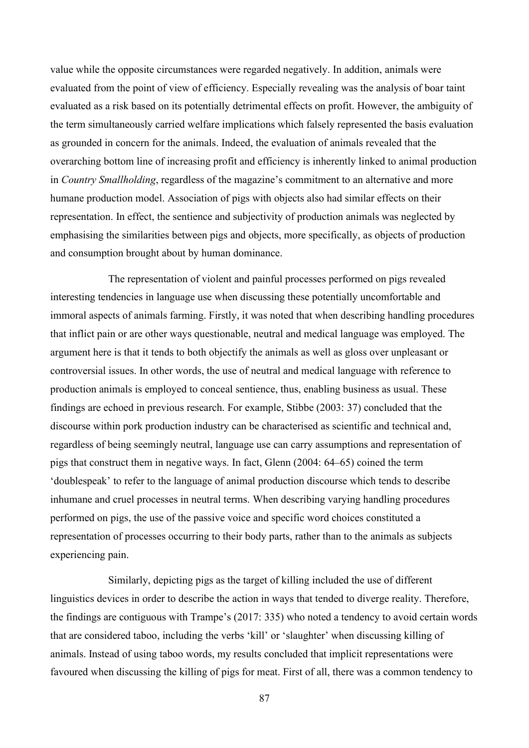value while the opposite circumstances were regarded negatively. In addition, animals were evaluated from the point of view of efficiency. Especially revealing was the analysis of boar taint evaluated as a risk based on its potentially detrimental effects on profit. However, the ambiguity of the term simultaneously carried welfare implications which falsely represented the basis evaluation as grounded in concern for the animals. Indeed, the evaluation of animals revealed that the overarching bottom line of increasing profit and efficiency is inherently linked to animal production in *Country Smallholding*, regardless of the magazine's commitment to an alternative and more humane production model. Association of pigs with objects also had similar effects on their representation. In effect, the sentience and subjectivity of production animals was neglected by emphasising the similarities between pigs and objects, more specifically, as objects of production and consumption brought about by human dominance.

The representation of violent and painful processes performed on pigs revealed interesting tendencies in language use when discussing these potentially uncomfortable and immoral aspects of animals farming. Firstly, it was noted that when describing handling procedures that inflict pain or are other ways questionable, neutral and medical language was employed. The argument here is that it tends to both objectify the animals as well as gloss over unpleasant or controversial issues. In other words, the use of neutral and medical language with reference to production animals is employed to conceal sentience, thus, enabling business as usual. These findings are echoed in previous research. For example, Stibbe (2003: 37) concluded that the discourse within pork production industry can be characterised as scientific and technical and, regardless of being seemingly neutral, language use can carry assumptions and representation of pigs that construct them in negative ways. In fact, Glenn (2004: 64–65) coined the term 'doublespeak' to refer to the language of animal production discourse which tends to describe inhumane and cruel processes in neutral terms. When describing varying handling procedures performed on pigs, the use of the passive voice and specific word choices constituted a representation of processes occurring to their body parts, rather than to the animals as subjects experiencing pain.

Similarly, depicting pigs as the target of killing included the use of different linguistics devices in order to describe the action in ways that tended to diverge reality. Therefore, the findings are contiguous with Trampe's (2017: 335) who noted a tendency to avoid certain words that are considered taboo, including the verbs 'kill' or 'slaughter' when discussing killing of animals. Instead of using taboo words, my results concluded that implicit representations were favoured when discussing the killing of pigs for meat. First of all, there was a common tendency to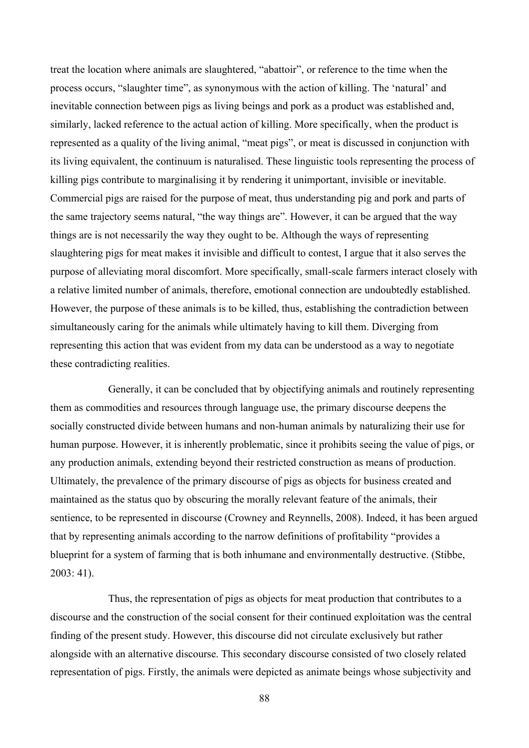treat the location where animals are slaughtered, "abattoir", or reference to the time when the process occurs, "slaughter time", as synonymous with the action of killing. The 'natural' and inevitable connection between pigs as living beings and pork as a product was established and, similarly, lacked reference to the actual action of killing. More specifically, when the product is represented as a quality of the living animal, "meat pigs", or meat is discussed in conjunction with its living equivalent, the continuum is naturalised. These linguistic tools representing the process of killing pigs contribute to marginalising it by rendering it unimportant, invisible or inevitable. Commercial pigs are raised for the purpose of meat, thus understanding pig and pork and parts of the same trajectory seems natural, "the way things are". However, it can be argued that the way things are is not necessarily the way they ought to be. Although the ways of representing slaughtering pigs for meat makes it invisible and difficult to contest, I argue that it also serves the purpose of alleviating moral discomfort. More specifically, small-scale farmers interact closely with a relative limited number of animals, therefore, emotional connection are undoubtedly established. However, the purpose of these animals is to be killed, thus, establishing the contradiction between simultaneously caring for the animals while ultimately having to kill them. Diverging from representing this action that was evident from my data can be understood as a way to negotiate these contradicting realities.

Generally, it can be concluded that by objectifying animals and routinely representing them as commodities and resources through language use, the primary discourse deepens the socially constructed divide between humans and non-human animals by naturalizing their use for human purpose. However, it is inherently problematic, since it prohibits seeing the value of pigs, or any production animals, extending beyond their restricted construction as means of production. Ultimately, the prevalence of the primary discourse of pigs as objects for business created and maintained as the status quo by obscuring the morally relevant feature of the animals, their sentience, to be represented in discourse (Crowney and Reynnells, 2008). Indeed, it has been argued that by representing animals according to the narrow definitions of profitability "provides a blueprint for a system of farming that is both inhumane and environmentally destructive. (Stibbe, 2003: 41).

Thus, the representation of pigs as objects for meat production that contributes to a discourse and the construction of the social consent for their continued exploitation was the central finding of the present study. However, this discourse did not circulate exclusively but rather alongside with an alternative discourse. This secondary discourse consisted of two closely related representation of pigs. Firstly, the animals were depicted as animate beings whose subjectivity and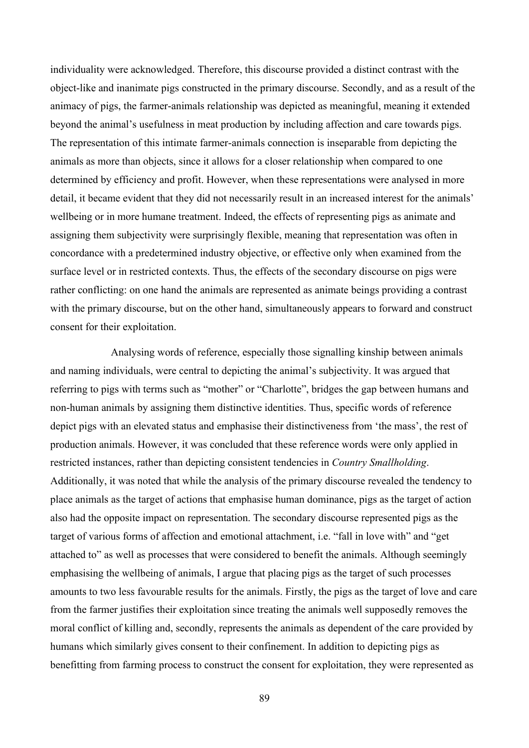individuality were acknowledged. Therefore, this discourse provided a distinct contrast with the object-like and inanimate pigs constructed in the primary discourse. Secondly, and as a result of the animacy of pigs, the farmer-animals relationship was depicted as meaningful, meaning it extended beyond the animal's usefulness in meat production by including affection and care towards pigs. The representation of this intimate farmer-animals connection is inseparable from depicting the animals as more than objects, since it allows for a closer relationship when compared to one determined by efficiency and profit. However, when these representations were analysed in more detail, it became evident that they did not necessarily result in an increased interest for the animals' wellbeing or in more humane treatment. Indeed, the effects of representing pigs as animate and assigning them subjectivity were surprisingly flexible, meaning that representation was often in concordance with a predetermined industry objective, or effective only when examined from the surface level or in restricted contexts. Thus, the effects of the secondary discourse on pigs were rather conflicting: on one hand the animals are represented as animate beings providing a contrast with the primary discourse, but on the other hand, simultaneously appears to forward and construct consent for their exploitation.

Analysing words of reference, especially those signalling kinship between animals and naming individuals, were central to depicting the animal's subjectivity. It was argued that referring to pigs with terms such as "mother" or "Charlotte", bridges the gap between humans and non-human animals by assigning them distinctive identities. Thus, specific words of reference depict pigs with an elevated status and emphasise their distinctiveness from 'the mass', the rest of production animals. However, it was concluded that these reference words were only applied in restricted instances, rather than depicting consistent tendencies in *Country Smallholding*. Additionally, it was noted that while the analysis of the primary discourse revealed the tendency to place animals as the target of actions that emphasise human dominance, pigs as the target of action also had the opposite impact on representation. The secondary discourse represented pigs as the target of various forms of affection and emotional attachment, i.e. "fall in love with" and "get attached to" as well as processes that were considered to benefit the animals. Although seemingly emphasising the wellbeing of animals, I argue that placing pigs as the target of such processes amounts to two less favourable results for the animals. Firstly, the pigs as the target of love and care from the farmer justifies their exploitation since treating the animals well supposedly removes the moral conflict of killing and, secondly, represents the animals as dependent of the care provided by humans which similarly gives consent to their confinement. In addition to depicting pigs as benefitting from farming process to construct the consent for exploitation, they were represented as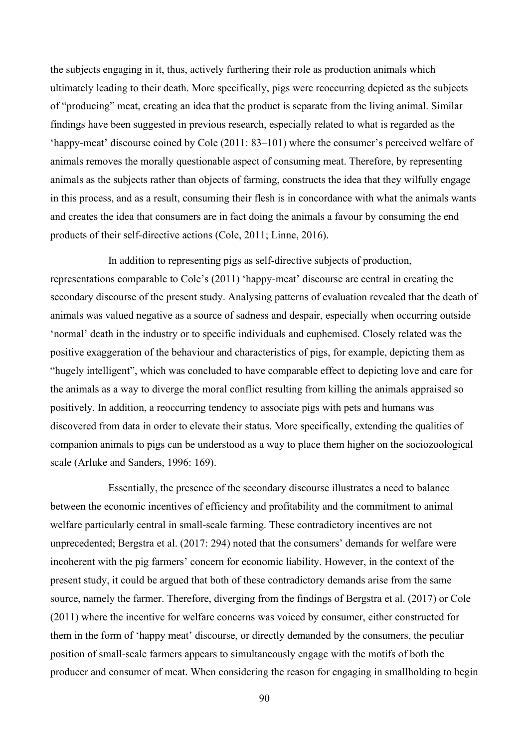the subjects engaging in it, thus, actively furthering their role as production animals which ultimately leading to their death. More specifically, pigs were reoccurring depicted as the subjects of "producing" meat, creating an idea that the product is separate from the living animal. Similar findings have been suggested in previous research, especially related to what is regarded as the 'happy-meat' discourse coined by Cole (2011: 83–101) where the consumer's perceived welfare of animals removes the morally questionable aspect of consuming meat. Therefore, by representing animals as the subjects rather than objects of farming, constructs the idea that they wilfully engage in this process, and as a result, consuming their flesh is in concordance with what the animals wants and creates the idea that consumers are in fact doing the animals a favour by consuming the end products of their self-directive actions (Cole, 2011; Linne, 2016).

In addition to representing pigs as self-directive subjects of production, representations comparable to Cole's (2011) 'happy-meat' discourse are central in creating the secondary discourse of the present study. Analysing patterns of evaluation revealed that the death of animals was valued negative as a source of sadness and despair, especially when occurring outside 'normal' death in the industry or to specific individuals and euphemised. Closely related was the positive exaggeration of the behaviour and characteristics of pigs, for example, depicting them as "hugely intelligent", which was concluded to have comparable effect to depicting love and care for the animals as a way to diverge the moral conflict resulting from killing the animals appraised so positively. In addition, a reoccurring tendency to associate pigs with pets and humans was discovered from data in order to elevate their status. More specifically, extending the qualities of companion animals to pigs can be understood as a way to place them higher on the sociozoological scale (Arluke and Sanders, 1996: 169).

Essentially, the presence of the secondary discourse illustrates a need to balance between the economic incentives of efficiency and profitability and the commitment to animal welfare particularly central in small-scale farming. These contradictory incentives are not unprecedented; Bergstra et al. (2017: 294) noted that the consumers' demands for welfare were incoherent with the pig farmers' concern for economic liability. However, in the context of the present study, it could be argued that both of these contradictory demands arise from the same source, namely the farmer. Therefore, diverging from the findings of Bergstra et al. (2017) or Cole (2011) where the incentive for welfare concerns was voiced by consumer, either constructed for them in the form of 'happy meat' discourse, or directly demanded by the consumers, the peculiar position of small-scale farmers appears to simultaneously engage with the motifs of both the producer and consumer of meat. When considering the reason for engaging in smallholding to begin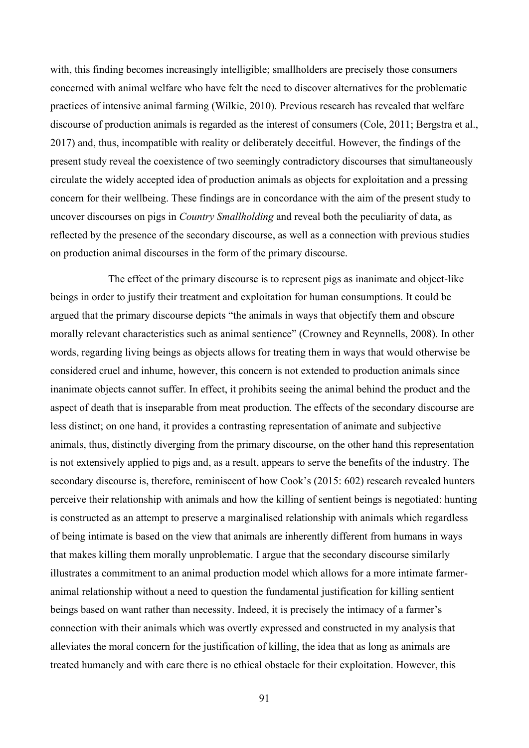with, this finding becomes increasingly intelligible; smallholders are precisely those consumers concerned with animal welfare who have felt the need to discover alternatives for the problematic practices of intensive animal farming (Wilkie, 2010). Previous research has revealed that welfare discourse of production animals is regarded as the interest of consumers (Cole, 2011; Bergstra et al., 2017) and, thus, incompatible with reality or deliberately deceitful. However, the findings of the present study reveal the coexistence of two seemingly contradictory discourses that simultaneously circulate the widely accepted idea of production animals as objects for exploitation and a pressing concern for their wellbeing. These findings are in concordance with the aim of the present study to uncover discourses on pigs in *Country Smallholding* and reveal both the peculiarity of data, as reflected by the presence of the secondary discourse, as well as a connection with previous studies on production animal discourses in the form of the primary discourse.

The effect of the primary discourse is to represent pigs as inanimate and object-like beings in order to justify their treatment and exploitation for human consumptions. It could be argued that the primary discourse depicts "the animals in ways that objectify them and obscure morally relevant characteristics such as animal sentience" (Crowney and Reynnells, 2008). In other words, regarding living beings as objects allows for treating them in ways that would otherwise be considered cruel and inhume, however, this concern is not extended to production animals since inanimate objects cannot suffer. In effect, it prohibits seeing the animal behind the product and the aspect of death that is inseparable from meat production. The effects of the secondary discourse are less distinct; on one hand, it provides a contrasting representation of animate and subjective animals, thus, distinctly diverging from the primary discourse, on the other hand this representation is not extensively applied to pigs and, as a result, appears to serve the benefits of the industry. The secondary discourse is, therefore, reminiscent of how Cook's (2015: 602) research revealed hunters perceive their relationship with animals and how the killing of sentient beings is negotiated: hunting is constructed as an attempt to preserve a marginalised relationship with animals which regardless of being intimate is based on the view that animals are inherently different from humans in ways that makes killing them morally unproblematic. I argue that the secondary discourse similarly illustrates a commitment to an animal production model which allows for a more intimate farmeranimal relationship without a need to question the fundamental justification for killing sentient beings based on want rather than necessity. Indeed, it is precisely the intimacy of a farmer's connection with their animals which was overtly expressed and constructed in my analysis that alleviates the moral concern for the justification of killing, the idea that as long as animals are treated humanely and with care there is no ethical obstacle for their exploitation. However, this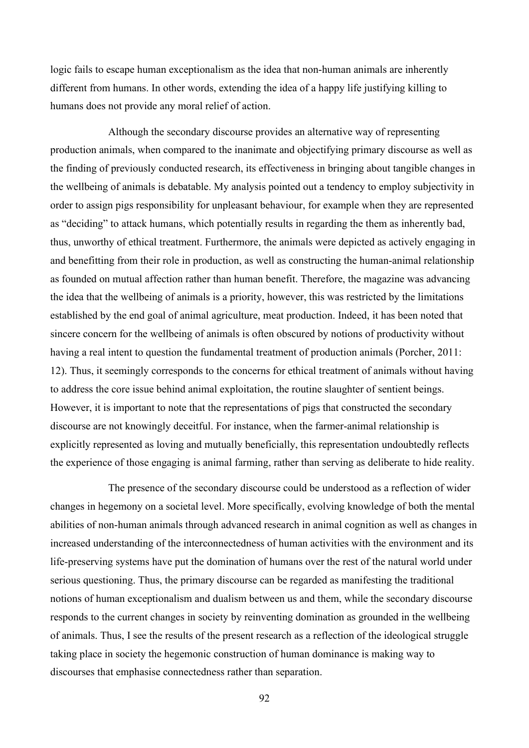logic fails to escape human exceptionalism as the idea that non-human animals are inherently different from humans. In other words, extending the idea of a happy life justifying killing to humans does not provide any moral relief of action.

Although the secondary discourse provides an alternative way of representing production animals, when compared to the inanimate and objectifying primary discourse as well as the finding of previously conducted research, its effectiveness in bringing about tangible changes in the wellbeing of animals is debatable. My analysis pointed out a tendency to employ subjectivity in order to assign pigs responsibility for unpleasant behaviour, for example when they are represented as "deciding" to attack humans, which potentially results in regarding the them as inherently bad, thus, unworthy of ethical treatment. Furthermore, the animals were depicted as actively engaging in and benefitting from their role in production, as well as constructing the human-animal relationship as founded on mutual affection rather than human benefit. Therefore, the magazine was advancing the idea that the wellbeing of animals is a priority, however, this was restricted by the limitations established by the end goal of animal agriculture, meat production. Indeed, it has been noted that sincere concern for the wellbeing of animals is often obscured by notions of productivity without having a real intent to question the fundamental treatment of production animals (Porcher, 2011: 12). Thus, it seemingly corresponds to the concerns for ethical treatment of animals without having to address the core issue behind animal exploitation, the routine slaughter of sentient beings. However, it is important to note that the representations of pigs that constructed the secondary discourse are not knowingly deceitful. For instance, when the farmer-animal relationship is explicitly represented as loving and mutually beneficially, this representation undoubtedly reflects the experience of those engaging is animal farming, rather than serving as deliberate to hide reality.

The presence of the secondary discourse could be understood as a reflection of wider changes in hegemony on a societal level. More specifically, evolving knowledge of both the mental abilities of non-human animals through advanced research in animal cognition as well as changes in increased understanding of the interconnectedness of human activities with the environment and its life-preserving systems have put the domination of humans over the rest of the natural world under serious questioning. Thus, the primary discourse can be regarded as manifesting the traditional notions of human exceptionalism and dualism between us and them, while the secondary discourse responds to the current changes in society by reinventing domination as grounded in the wellbeing of animals. Thus, I see the results of the present research as a reflection of the ideological struggle taking place in society the hegemonic construction of human dominance is making way to discourses that emphasise connectedness rather than separation.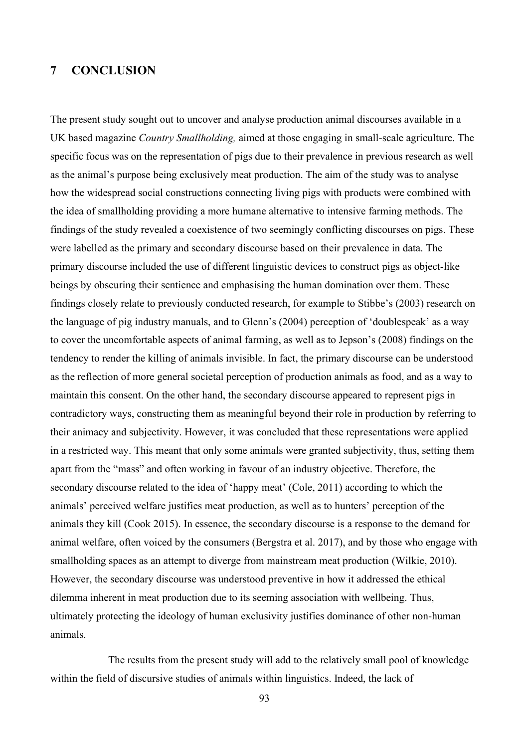# **7 CONCLUSION**

The present study sought out to uncover and analyse production animal discourses available in a UK based magazine *Country Smallholding,* aimed at those engaging in small-scale agriculture. The specific focus was on the representation of pigs due to their prevalence in previous research as well as the animal's purpose being exclusively meat production. The aim of the study was to analyse how the widespread social constructions connecting living pigs with products were combined with the idea of smallholding providing a more humane alternative to intensive farming methods. The findings of the study revealed a coexistence of two seemingly conflicting discourses on pigs. These were labelled as the primary and secondary discourse based on their prevalence in data. The primary discourse included the use of different linguistic devices to construct pigs as object-like beings by obscuring their sentience and emphasising the human domination over them. These findings closely relate to previously conducted research, for example to Stibbe's (2003) research on the language of pig industry manuals, and to Glenn's (2004) perception of 'doublespeak' as a way to cover the uncomfortable aspects of animal farming, as well as to Jepson's (2008) findings on the tendency to render the killing of animals invisible. In fact, the primary discourse can be understood as the reflection of more general societal perception of production animals as food, and as a way to maintain this consent. On the other hand, the secondary discourse appeared to represent pigs in contradictory ways, constructing them as meaningful beyond their role in production by referring to their animacy and subjectivity. However, it was concluded that these representations were applied in a restricted way. This meant that only some animals were granted subjectivity, thus, setting them apart from the "mass" and often working in favour of an industry objective. Therefore, the secondary discourse related to the idea of 'happy meat' (Cole, 2011) according to which the animals' perceived welfare justifies meat production, as well as to hunters' perception of the animals they kill (Cook 2015). In essence, the secondary discourse is a response to the demand for animal welfare, often voiced by the consumers (Bergstra et al. 2017), and by those who engage with smallholding spaces as an attempt to diverge from mainstream meat production (Wilkie, 2010). However, the secondary discourse was understood preventive in how it addressed the ethical dilemma inherent in meat production due to its seeming association with wellbeing. Thus, ultimately protecting the ideology of human exclusivity justifies dominance of other non-human animals.

The results from the present study will add to the relatively small pool of knowledge within the field of discursive studies of animals within linguistics. Indeed, the lack of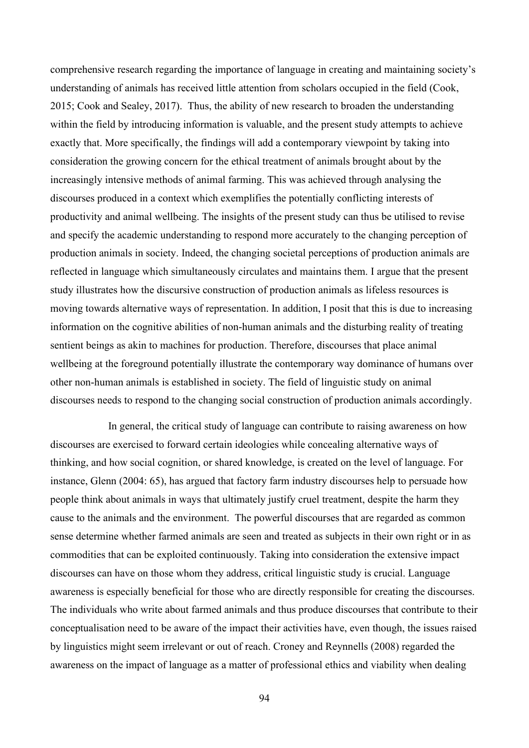comprehensive research regarding the importance of language in creating and maintaining society's understanding of animals has received little attention from scholars occupied in the field (Cook, 2015; Cook and Sealey, 2017). Thus, the ability of new research to broaden the understanding within the field by introducing information is valuable, and the present study attempts to achieve exactly that. More specifically, the findings will add a contemporary viewpoint by taking into consideration the growing concern for the ethical treatment of animals brought about by the increasingly intensive methods of animal farming. This was achieved through analysing the discourses produced in a context which exemplifies the potentially conflicting interests of productivity and animal wellbeing. The insights of the present study can thus be utilised to revise and specify the academic understanding to respond more accurately to the changing perception of production animals in society. Indeed, the changing societal perceptions of production animals are reflected in language which simultaneously circulates and maintains them. I argue that the present study illustrates how the discursive construction of production animals as lifeless resources is moving towards alternative ways of representation. In addition, I posit that this is due to increasing information on the cognitive abilities of non-human animals and the disturbing reality of treating sentient beings as akin to machines for production. Therefore, discourses that place animal wellbeing at the foreground potentially illustrate the contemporary way dominance of humans over other non-human animals is established in society. The field of linguistic study on animal discourses needs to respond to the changing social construction of production animals accordingly.

In general, the critical study of language can contribute to raising awareness on how discourses are exercised to forward certain ideologies while concealing alternative ways of thinking, and how social cognition, or shared knowledge, is created on the level of language. For instance, Glenn (2004: 65), has argued that factory farm industry discourses help to persuade how people think about animals in ways that ultimately justify cruel treatment, despite the harm they cause to the animals and the environment. The powerful discourses that are regarded as common sense determine whether farmed animals are seen and treated as subjects in their own right or in as commodities that can be exploited continuously. Taking into consideration the extensive impact discourses can have on those whom they address, critical linguistic study is crucial. Language awareness is especially beneficial for those who are directly responsible for creating the discourses. The individuals who write about farmed animals and thus produce discourses that contribute to their conceptualisation need to be aware of the impact their activities have, even though, the issues raised by linguistics might seem irrelevant or out of reach. Croney and Reynnells (2008) regarded the awareness on the impact of language as a matter of professional ethics and viability when dealing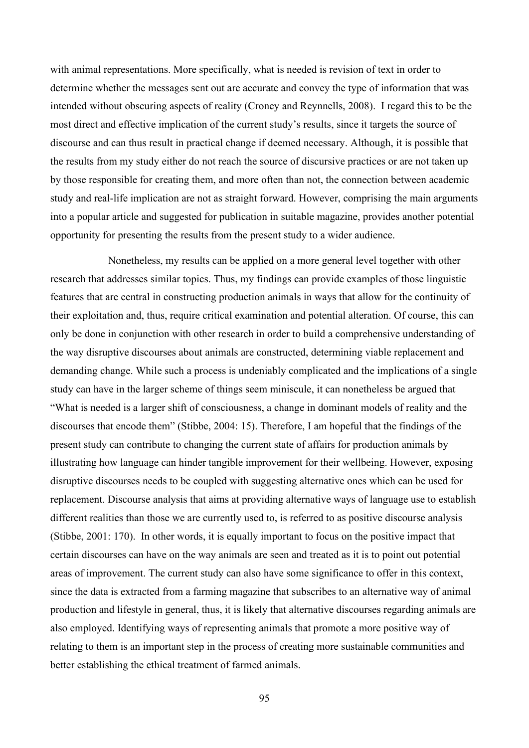with animal representations. More specifically, what is needed is revision of text in order to determine whether the messages sent out are accurate and convey the type of information that was intended without obscuring aspects of reality (Croney and Reynnells, 2008). I regard this to be the most direct and effective implication of the current study's results, since it targets the source of discourse and can thus result in practical change if deemed necessary. Although, it is possible that the results from my study either do not reach the source of discursive practices or are not taken up by those responsible for creating them, and more often than not, the connection between academic study and real-life implication are not as straight forward. However, comprising the main arguments into a popular article and suggested for publication in suitable magazine, provides another potential opportunity for presenting the results from the present study to a wider audience.

Nonetheless, my results can be applied on a more general level together with other research that addresses similar topics. Thus, my findings can provide examples of those linguistic features that are central in constructing production animals in ways that allow for the continuity of their exploitation and, thus, require critical examination and potential alteration. Of course, this can only be done in conjunction with other research in order to build a comprehensive understanding of the way disruptive discourses about animals are constructed, determining viable replacement and demanding change. While such a process is undeniably complicated and the implications of a single study can have in the larger scheme of things seem miniscule, it can nonetheless be argued that "What is needed is a larger shift of consciousness, a change in dominant models of reality and the discourses that encode them" (Stibbe, 2004: 15). Therefore, I am hopeful that the findings of the present study can contribute to changing the current state of affairs for production animals by illustrating how language can hinder tangible improvement for their wellbeing. However, exposing disruptive discourses needs to be coupled with suggesting alternative ones which can be used for replacement. Discourse analysis that aims at providing alternative ways of language use to establish different realities than those we are currently used to, is referred to as positive discourse analysis (Stibbe, 2001: 170). In other words, it is equally important to focus on the positive impact that certain discourses can have on the way animals are seen and treated as it is to point out potential areas of improvement. The current study can also have some significance to offer in this context, since the data is extracted from a farming magazine that subscribes to an alternative way of animal production and lifestyle in general, thus, it is likely that alternative discourses regarding animals are also employed. Identifying ways of representing animals that promote a more positive way of relating to them is an important step in the process of creating more sustainable communities and better establishing the ethical treatment of farmed animals.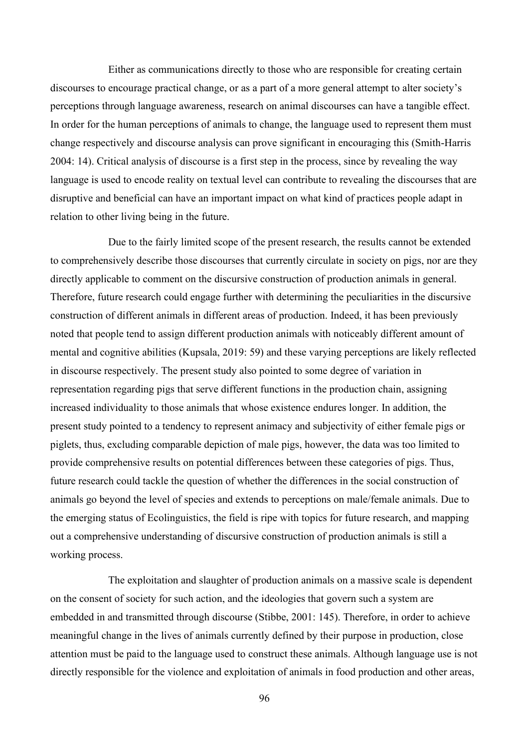Either as communications directly to those who are responsible for creating certain discourses to encourage practical change, or as a part of a more general attempt to alter society's perceptions through language awareness, research on animal discourses can have a tangible effect. In order for the human perceptions of animals to change, the language used to represent them must change respectively and discourse analysis can prove significant in encouraging this (Smith-Harris 2004: 14). Critical analysis of discourse is a first step in the process, since by revealing the way language is used to encode reality on textual level can contribute to revealing the discourses that are disruptive and beneficial can have an important impact on what kind of practices people adapt in relation to other living being in the future.

Due to the fairly limited scope of the present research, the results cannot be extended to comprehensively describe those discourses that currently circulate in society on pigs, nor are they directly applicable to comment on the discursive construction of production animals in general. Therefore, future research could engage further with determining the peculiarities in the discursive construction of different animals in different areas of production. Indeed, it has been previously noted that people tend to assign different production animals with noticeably different amount of mental and cognitive abilities (Kupsala, 2019: 59) and these varying perceptions are likely reflected in discourse respectively. The present study also pointed to some degree of variation in representation regarding pigs that serve different functions in the production chain, assigning increased individuality to those animals that whose existence endures longer. In addition, the present study pointed to a tendency to represent animacy and subjectivity of either female pigs or piglets, thus, excluding comparable depiction of male pigs, however, the data was too limited to provide comprehensive results on potential differences between these categories of pigs. Thus, future research could tackle the question of whether the differences in the social construction of animals go beyond the level of species and extends to perceptions on male/female animals. Due to the emerging status of Ecolinguistics, the field is ripe with topics for future research, and mapping out a comprehensive understanding of discursive construction of production animals is still a working process.

The exploitation and slaughter of production animals on a massive scale is dependent on the consent of society for such action, and the ideologies that govern such a system are embedded in and transmitted through discourse (Stibbe, 2001: 145). Therefore, in order to achieve meaningful change in the lives of animals currently defined by their purpose in production, close attention must be paid to the language used to construct these animals. Although language use is not directly responsible for the violence and exploitation of animals in food production and other areas,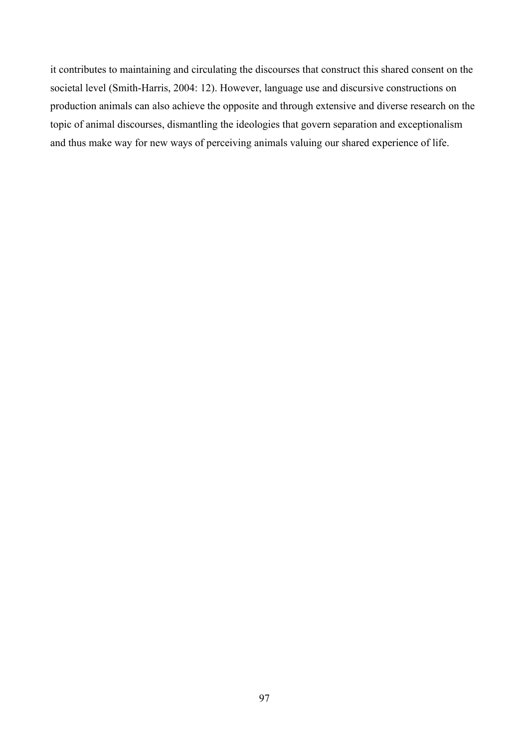it contributes to maintaining and circulating the discourses that construct this shared consent on the societal level (Smith-Harris, 2004: 12). However, language use and discursive constructions on production animals can also achieve the opposite and through extensive and diverse research on the topic of animal discourses, dismantling the ideologies that govern separation and exceptionalism and thus make way for new ways of perceiving animals valuing our shared experience of life.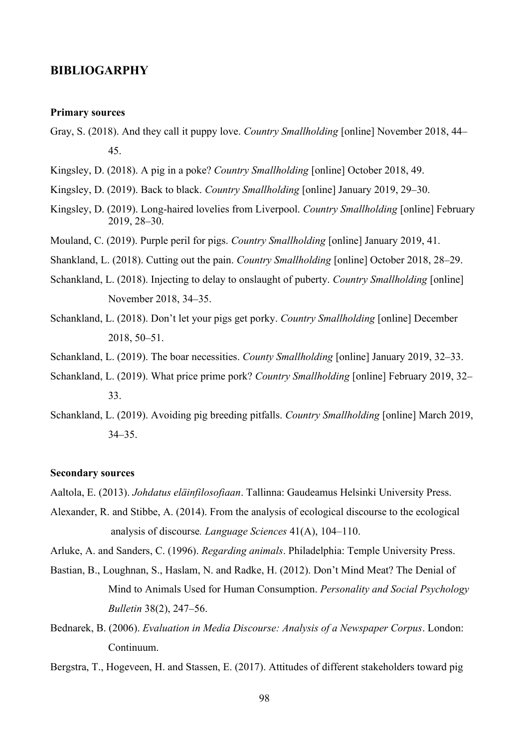# **BIBLIOGARPHY**

#### **Primary sources**

- Gray, S. (2018). And they call it puppy love. *Country Smallholding* [online] November 2018, 44– 45.
- Kingsley, D. (2018). A pig in a poke? *Country Smallholding* [online] October 2018, 49.
- Kingsley, D. (2019). Back to black. *Country Smallholding* [online] January 2019, 29–30.
- Kingsley, D. (2019). Long-haired lovelies from Liverpool. *Country Smallholding* [online] February 2019, 28–30.
- Mouland, C. (2019). Purple peril for pigs. *Country Smallholding* [online] January 2019, 41.

Shankland, L. (2018). Cutting out the pain. *Country Smallholding* [online] October 2018, 28–29.

- Schankland, L. (2018). Injecting to delay to onslaught of puberty. *Country Smallholding* [online] November 2018, 34–35.
- Schankland, L. (2018). Don't let your pigs get porky. *Country Smallholding* [online] December 2018, 50–51.
- Schankland, L. (2019). The boar necessities. *County Smallholding* [online] January 2019, 32–33.
- Schankland, L. (2019). What price prime pork? *Country Smallholding* [online] February 2019, 32– 33.
- Schankland, L. (2019). Avoiding pig breeding pitfalls. *Country Smallholding* [online] March 2019, 34–35.

#### **Secondary sources**

- Aaltola, E. (2013). *Johdatus eläinfilosofiaan*. Tallinna: Gaudeamus Helsinki University Press.
- Alexander, R. and Stibbe, A. (2014). From the analysis of ecological discourse to the ecological analysis of discourse*. Language Sciences* 41(A), 104–110.
- Arluke, A. and Sanders, C. (1996). *Regarding animals*. Philadelphia: Temple University Press.
- Bastian, B., Loughnan, S., Haslam, N. and Radke, H. (2012). Don't Mind Meat? The Denial of Mind to Animals Used for Human Consumption. *Personality and Social Psychology Bulletin* 38(2), 247–56.
- Bednarek, B. (2006). *Evaluation in Media Discourse: Analysis of a Newspaper Corpus*. London: Continuum.

Bergstra, T., Hogeveen, H. and Stassen, E. (2017). Attitudes of different stakeholders toward pig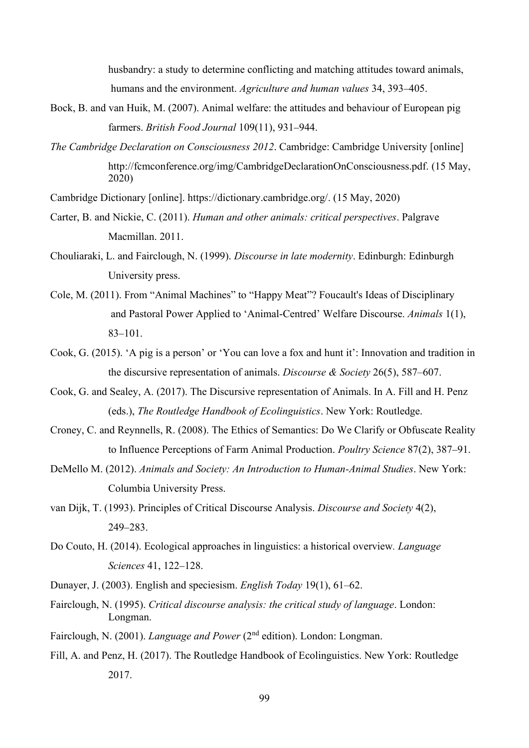husbandry: a study to determine conflicting and matching attitudes toward animals, humans and the environment. *Agriculture and human values* 34, 393–405.

- Bock, B. and van Huik, M. (2007). Animal welfare: the attitudes and behaviour of European pig farmers. *British Food Journal* 109(11), 931–944.
- *The Cambridge Declaration on Consciousness 2012*. Cambridge: Cambridge University [online] http://fcmconference.org/img/CambridgeDeclarationOnConsciousness.pdf. (15 May, 2020)
- Cambridge Dictionary [online]. https://dictionary.cambridge.org/. (15 May, 2020)
- Carter, B. and Nickie, C. (2011). *Human and other animals: critical perspectives*. Palgrave Macmillan. 2011.
- Chouliaraki, L. and Fairclough, N. (1999). *Discourse in late modernity*. Edinburgh: Edinburgh University press.
- Cole, M. (2011). From "Animal Machines" to "Happy Meat"? Foucault's Ideas of Disciplinary and Pastoral Power Applied to 'Animal-Centred' Welfare Discourse. *Animals* 1(1), 83–101.
- Cook, G. (2015). 'A pig is a person' or 'You can love a fox and hunt it': Innovation and tradition in the discursive representation of animals. *Discourse & Society* 26(5), 587–607.
- Cook, G. and Sealey, A. (2017). The Discursive representation of Animals. In A. Fill and H. Penz (eds.), *The Routledge Handbook of Ecolinguistics*. New York: Routledge.
- Croney, C. and Reynnells, R. (2008). The Ethics of Semantics: Do We Clarify or Obfuscate Reality to Influence Perceptions of Farm Animal Production. *Poultry Science* 87(2), 387–91.
- DeMello M. (2012). *Animals and Society: An Introduction to Human-Animal Studies*. New York: Columbia University Press.
- van Dijk, T. (1993). Principles of Critical Discourse Analysis. *Discourse and Society* 4(2), 249–283.
- Do Couto, H. (2014). Ecological approaches in linguistics: a historical overview*. Language Sciences* 41, 122–128.
- Dunayer, J. (2003). English and speciesism. *English Today* 19(1), 61–62.
- Fairclough, N. (1995). *Critical discourse analysis: the critical study of language*. London: Longman.
- Fairclough, N. (2001). *Language and Power* (2<sup>nd</sup> edition). London: Longman.
- Fill, A. and Penz, H. (2017). The Routledge Handbook of Ecolinguistics. New York: Routledge 2017.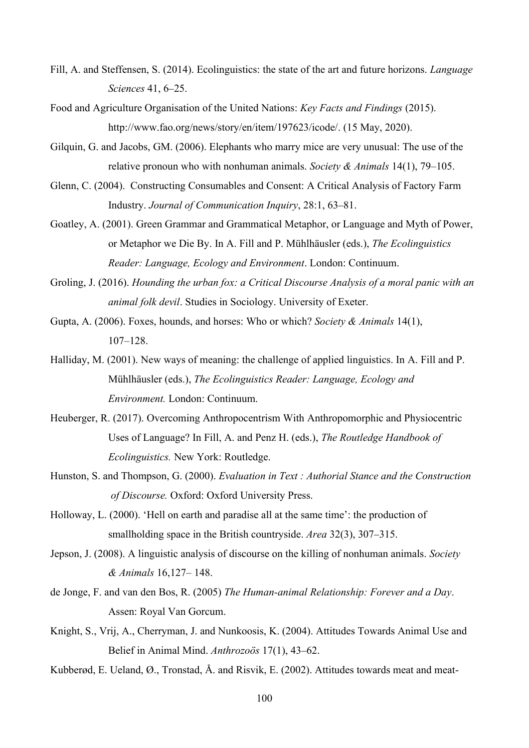- Fill, A. and Steffensen, S. (2014). Ecolinguistics: the state of the art and future horizons. *Language Sciences* 41, 6–25.
- Food and Agriculture Organisation of the United Nations: *Key Facts and Findings* (2015). http://www.fao.org/news/story/en/item/197623/icode/. (15 May, 2020).
- Gilquin, G. and Jacobs, GM. (2006). Elephants who marry mice are very unusual: The use of the relative pronoun who with nonhuman animals. *Society & Animals* 14(1), 79–105.
- Glenn, C. (2004). Constructing Consumables and Consent: A Critical Analysis of Factory Farm Industry. *Journal of Communication Inquiry*, 28:1, 63–81.
- Goatley, A. (2001). Green Grammar and Grammatical Metaphor, or Language and Myth of Power, or Metaphor we Die By. In A. Fill and P. Mühlhäusler (eds.), *The Ecolinguistics Reader: Language, Ecology and Environment*. London: Continuum.
- Groling, J. (2016). *Hounding the urban fox: a Critical Discourse Analysis of a moral panic with an animal folk devil*. Studies in Sociology. University of Exeter.
- Gupta, A. (2006). Foxes, hounds, and horses: Who or which? *Society & Animals* 14(1), 107–128.
- Halliday, M. (2001). New ways of meaning: the challenge of applied linguistics. In A. Fill and P. Mühlhäusler (eds.), *The Ecolinguistics Reader: Language, Ecology and Environment.* London: Continuum.
- Heuberger, R. (2017). Overcoming Anthropocentrism With Anthropomorphic and Physiocentric Uses of Language? In Fill, A. and Penz H. (eds.), *The Routledge Handbook of Ecolinguistics.* New York: Routledge.
- Hunston, S. and Thompson, G. (2000). *Evaluation in Text : Authorial Stance and the Construction of Discourse.* Oxford: Oxford University Press.
- Holloway, L. (2000). 'Hell on earth and paradise all at the same time': the production of smallholding space in the British countryside. *Area* 32(3), 307–315.
- Jepson, J. (2008). A linguistic analysis of discourse on the killing of nonhuman animals. *Society & Animals* 16,127– 148.
- de Jonge, F. and van den Bos, R. (2005) *The Human-animal Relationship: Forever and a Day*. Assen: Royal Van Gorcum.
- Knight, S., Vrij, A., Cherryman, J. and Nunkoosis, K. (2004). Attitudes Towards Animal Use and Belief in Animal Mind. *Anthrozoös* 17(1), 43–62.
- Kubberød, E. Ueland, Ø., Tronstad, Å. and Risvik, E. (2002). Attitudes towards meat and meat-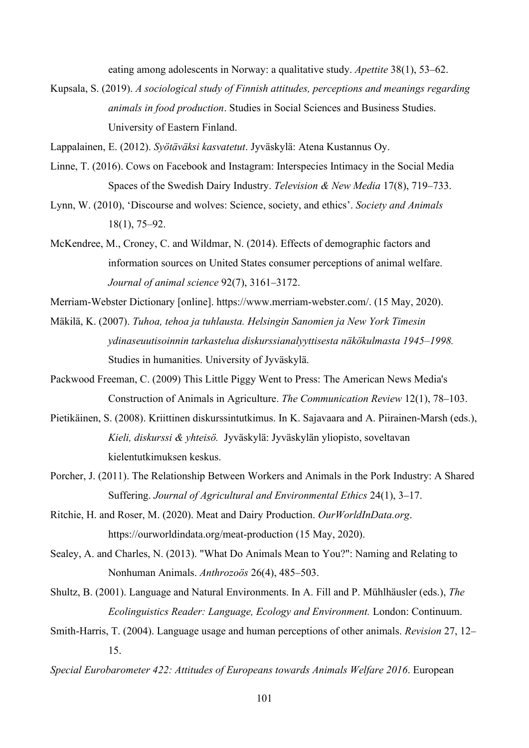eating among adolescents in Norway: a qualitative study. *Apettite* 38(1), 53–62.

Kupsala, S. (2019). *A sociological study of Finnish attitudes, perceptions and meanings regarding animals in food production*. Studies in Social Sciences and Business Studies. University of Eastern Finland.

Lappalainen, E. (2012). *Syötäväksi kasvatetut*. Jyväskylä: Atena Kustannus Oy.

- Linne, T. (2016). Cows on Facebook and Instagram: Interspecies Intimacy in the Social Media Spaces of the Swedish Dairy Industry. *Television & New Media* 17(8), 719–733.
- Lynn, W. (2010), 'Discourse and wolves: Science, society, and ethics'. *Society and Animals* 18(1), 75–92.
- McKendree, M., Croney, C. and Wildmar, N. (2014). Effects of demographic factors and information sources on United States consumer perceptions of animal welfare. *Journal of animal science* 92(7), 3161–3172.

Merriam-Webster Dictionary [online]. https://www.merriam-webster.com/. (15 May, 2020).

- Mäkilä, K. (2007). *Tuhoa, tehoa ja tuhlausta. Helsingin Sanomien ja New York Timesin ydinaseuutisoinnin tarkastelua diskurssianalyyttisesta näkökulmasta 1945–1998.*  Studies in humanities. University of Jyväskylä.
- Packwood Freeman, C. (2009) This Little Piggy Went to Press: The American News Media's Construction of Animals in Agriculture. *The Communication Review* 12(1), 78–103.
- Pietikäinen, S. (2008). Kriittinen diskurssintutkimus. In K. Sajavaara and A. Piirainen-Marsh (eds.), *Kieli, diskurssi & yhteisö.* Jyväskylä: Jyväskylän yliopisto, soveltavan kielentutkimuksen keskus.
- Porcher, J. (2011). The Relationship Between Workers and Animals in the Pork Industry: A Shared Suffering. *Journal of Agricultural and Environmental Ethics* 24(1), 3–17.
- Ritchie, H. and Roser, M. (2020). Meat and Dairy Production. *OurWorldInData.org*. https://ourworldindata.org/meat-production (15 May, 2020).
- Sealey, A. and Charles, N. (2013). "What Do Animals Mean to You?": Naming and Relating to Nonhuman Animals. *Anthrozoös* 26(4), 485–503.
- Shultz, B. (2001). Language and Natural Environments. In A. Fill and P. Mühlhäusler (eds.), *The Ecolinguistics Reader: Language, Ecology and Environment.* London: Continuum.
- Smith-Harris, T. (2004). Language usage and human perceptions of other animals. *Revision* 27, 12– 15.

*Special Eurobarometer 422: Attitudes of Europeans towards Animals Welfare 2016*. European